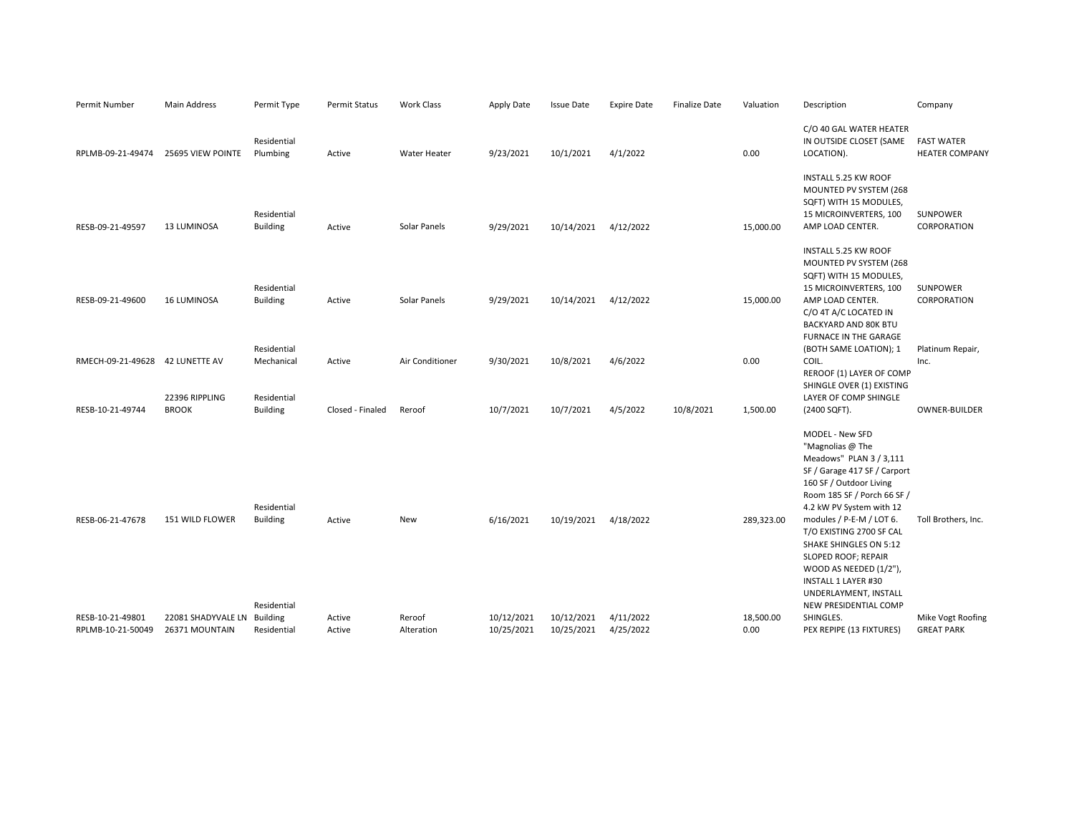| Permit Number                         | <b>Main Address</b>                           | Permit Type                                   | <b>Permit Status</b> | Work Class           | Apply Date               | <b>Issue Date</b>        | <b>Expire Date</b>     | <b>Finalize Date</b> | Valuation         | Description                                                                                                                                                                                                                                                                                                                                                                                             | Company                                    |
|---------------------------------------|-----------------------------------------------|-----------------------------------------------|----------------------|----------------------|--------------------------|--------------------------|------------------------|----------------------|-------------------|---------------------------------------------------------------------------------------------------------------------------------------------------------------------------------------------------------------------------------------------------------------------------------------------------------------------------------------------------------------------------------------------------------|--------------------------------------------|
| RPLMB-09-21-49474                     | 25695 VIEW POINTE                             | Residential<br>Plumbing                       | Active               | Water Heater         | 9/23/2021                | 10/1/2021                | 4/1/2022               |                      | 0.00              | C/O 40 GAL WATER HEATER<br>IN OUTSIDE CLOSET (SAME<br>LOCATION).                                                                                                                                                                                                                                                                                                                                        | <b>FAST WATER</b><br><b>HEATER COMPANY</b> |
| RESB-09-21-49597                      | <b>13 LUMINOSA</b>                            | Residential<br><b>Building</b>                | Active               | Solar Panels         | 9/29/2021                | 10/14/2021               | 4/12/2022              |                      | 15,000.00         | INSTALL 5.25 KW ROOF<br>MOUNTED PV SYSTEM (268<br>SQFT) WITH 15 MODULES,<br>15 MICROINVERTERS, 100<br>AMP LOAD CENTER.                                                                                                                                                                                                                                                                                  | SUNPOWER<br>CORPORATION                    |
| RESB-09-21-49600                      | <b>16 LUMINOSA</b>                            | Residential<br><b>Building</b>                | Active               | Solar Panels         | 9/29/2021                | 10/14/2021               | 4/12/2022              |                      | 15,000.00         | INSTALL 5.25 KW ROOF<br>MOUNTED PV SYSTEM (268<br>SQFT) WITH 15 MODULES,<br>15 MICROINVERTERS, 100<br>AMP LOAD CENTER.<br>C/O 4T A/C LOCATED IN<br>BACKYARD AND 80K BTU                                                                                                                                                                                                                                 | <b>SUNPOWER</b><br>CORPORATION             |
| RMECH-09-21-49628 42 LUNETTE AV       | 22396 RIPPLING                                | Residential<br>Mechanical<br>Residential      | Active               | Air Conditioner      | 9/30/2021                | 10/8/2021                | 4/6/2022               |                      | 0.00              | FURNACE IN THE GARAGE<br>(BOTH SAME LOATION); 1<br>COIL.<br>REROOF (1) LAYER OF COMP<br>SHINGLE OVER (1) EXISTING<br>LAYER OF COMP SHINGLE                                                                                                                                                                                                                                                              | Platinum Repair,<br>Inc.                   |
| RESB-10-21-49744                      | <b>BROOK</b>                                  | <b>Building</b>                               | Closed - Finaled     | Reroof               | 10/7/2021                | 10/7/2021                | 4/5/2022               | 10/8/2021            | 1,500.00          | (2400 SQFT).                                                                                                                                                                                                                                                                                                                                                                                            | <b>OWNER-BUILDER</b>                       |
| RESB-06-21-47678                      | 151 WILD FLOWER                               | Residential<br><b>Building</b><br>Residential | Active               | New                  | 6/16/2021                | 10/19/2021               | 4/18/2022              |                      | 289,323.00        | MODEL - New SFD<br>"Magnolias @ The<br>Meadows" PLAN 3 / 3,111<br>SF / Garage 417 SF / Carport<br>160 SF / Outdoor Living<br>Room 185 SF / Porch 66 SF /<br>4.2 kW PV System with 12<br>modules / P-E-M / LOT 6.<br>T/O EXISTING 2700 SF CAL<br>SHAKE SHINGLES ON 5:12<br>SLOPED ROOF; REPAIR<br>WOOD AS NEEDED (1/2"),<br><b>INSTALL 1 LAYER #30</b><br>UNDERLAYMENT, INSTALL<br>NEW PRESIDENTIAL COMP | Toll Brothers, Inc.                        |
| RESB-10-21-49801<br>RPLMB-10-21-50049 | 22081 SHADYVALE LN Building<br>26371 MOUNTAIN | Residential                                   | Active<br>Active     | Reroof<br>Alteration | 10/12/2021<br>10/25/2021 | 10/12/2021<br>10/25/2021 | 4/11/2022<br>4/25/2022 |                      | 18,500.00<br>0.00 | SHINGLES.<br>PEX REPIPE (13 FIXTURES)                                                                                                                                                                                                                                                                                                                                                                   | Mike Vogt Roofing<br><b>GREAT PARK</b>     |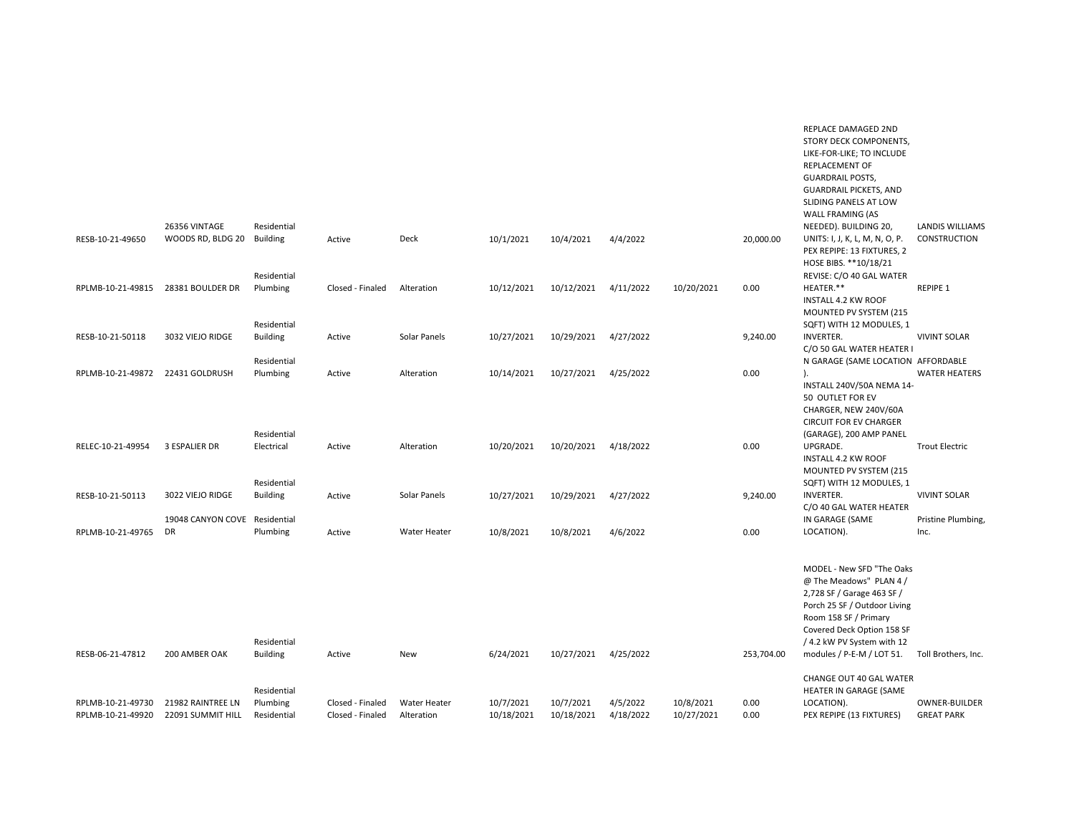|                                        | 26356 VINTAGE                          | Residential                              |                                      |                            |                         |                         |                       |                         |              | REPLACE DAMAGED 2ND<br>STORY DECK COMPONENTS,<br>LIKE-FOR-LIKE; TO INCLUDE<br><b>REPLACEMENT OF</b><br><b>GUARDRAIL POSTS,</b><br><b>GUARDRAIL PICKETS, AND</b><br>SLIDING PANELS AT LOW<br>WALL FRAMING (AS<br>NEEDED). BUILDING 20, | <b>LANDIS WILLIAMS</b>             |
|----------------------------------------|----------------------------------------|------------------------------------------|--------------------------------------|----------------------------|-------------------------|-------------------------|-----------------------|-------------------------|--------------|---------------------------------------------------------------------------------------------------------------------------------------------------------------------------------------------------------------------------------------|------------------------------------|
| RESB-10-21-49650                       | WOODS RD, BLDG 20                      | <b>Building</b><br>Residential           | Active                               | Deck                       | 10/1/2021               | 10/4/2021               | 4/4/2022              |                         | 20,000.00    | UNITS: I, J, K, L, M, N, O, P.<br>PEX REPIPE: 13 FIXTURES, 2<br>HOSE BIBS. **10/18/21<br>REVISE: C/O 40 GAL WATER                                                                                                                     | <b>CONSTRUCTION</b>                |
| RPLMB-10-21-49815                      | 28381 BOULDER DR                       | Plumbing<br>Residential                  | Closed - Finaled                     | Alteration                 | 10/12/2021              | 10/12/2021              | 4/11/2022             | 10/20/2021              | 0.00         | HEATER.**<br>INSTALL 4.2 KW ROOF<br>MOUNTED PV SYSTEM (215<br>SQFT) WITH 12 MODULES, 1                                                                                                                                                | <b>REPIPE 1</b>                    |
| RESB-10-21-50118                       | 3032 VIEJO RIDGE                       | <b>Building</b>                          | Active                               | Solar Panels               | 10/27/2021              | 10/29/2021              | 4/27/2022             |                         | 9,240.00     | <b>INVERTER.</b><br>C/O 50 GAL WATER HEATER I                                                                                                                                                                                         | <b>VIVINT SOLAR</b>                |
| RPLMB-10-21-49872 22431 GOLDRUSH       |                                        | Residential<br>Plumbing                  | Active                               | Alteration                 | 10/14/2021              | 10/27/2021              | 4/25/2022             |                         | 0.00         | N GARAGE (SAME LOCATION AFFORDABLE<br>$\mathcal{L}$<br>INSTALL 240V/50A NEMA 14-<br>50 OUTLET FOR EV<br>CHARGER, NEW 240V/60A<br><b>CIRCUIT FOR EV CHARGER</b>                                                                        | <b>WATER HEATERS</b>               |
| RELEC-10-21-49954                      | 3 ESPALIER DR                          | Residential<br>Electrical<br>Residential | Active                               | Alteration                 | 10/20/2021              | 10/20/2021              | 4/18/2022             |                         | 0.00         | (GARAGE), 200 AMP PANEL<br>UPGRADE.<br><b>INSTALL 4.2 KW ROOF</b><br>MOUNTED PV SYSTEM (215<br>SQFT) WITH 12 MODULES, 1                                                                                                               | <b>Trout Electric</b>              |
| RESB-10-21-50113                       | 3022 VIEJO RIDGE                       | <b>Building</b>                          | Active                               | Solar Panels               | 10/27/2021              | 10/29/2021              | 4/27/2022             |                         | 9,240.00     | <b>INVERTER.</b><br>C/O 40 GAL WATER HEATER                                                                                                                                                                                           | <b>VIVINT SOLAR</b>                |
| RPLMB-10-21-49765                      | 19048 CANYON COVE<br><b>DR</b>         | Residential<br>Plumbing                  | Active                               | <b>Water Heater</b>        | 10/8/2021               | 10/8/2021               | 4/6/2022              |                         | 0.00         | IN GARAGE (SAME<br>LOCATION).                                                                                                                                                                                                         | Pristine Plumbing,<br>Inc.         |
|                                        |                                        | Residential                              |                                      |                            |                         |                         |                       |                         |              | MODEL - New SFD "The Oaks<br>@ The Meadows" PLAN 4 /<br>2,728 SF / Garage 463 SF /<br>Porch 25 SF / Outdoor Living<br>Room 158 SF / Primary<br>Covered Deck Option 158 SF<br>/ 4.2 kW PV System with 12                               |                                    |
| RESB-06-21-47812                       | 200 AMBER OAK                          | <b>Building</b>                          | Active                               | New                        | 6/24/2021               | 10/27/2021 4/25/2022    |                       |                         | 253,704.00   | modules / P-E-M / LOT 51. Toll Brothers, Inc.<br>CHANGE OUT 40 GAL WATER                                                                                                                                                              |                                    |
| RPLMB-10-21-49730<br>RPLMB-10-21-49920 | 21982 RAINTREE LN<br>22091 SUMMIT HILL | Residential<br>Plumbing<br>Residential   | Closed - Finaled<br>Closed - Finaled | Water Heater<br>Alteration | 10/7/2021<br>10/18/2021 | 10/7/2021<br>10/18/2021 | 4/5/2022<br>4/18/2022 | 10/8/2021<br>10/27/2021 | 0.00<br>0.00 | HEATER IN GARAGE (SAME<br>LOCATION).<br>PEX REPIPE (13 FIXTURES)                                                                                                                                                                      | OWNER-BUILDER<br><b>GREAT PARK</b> |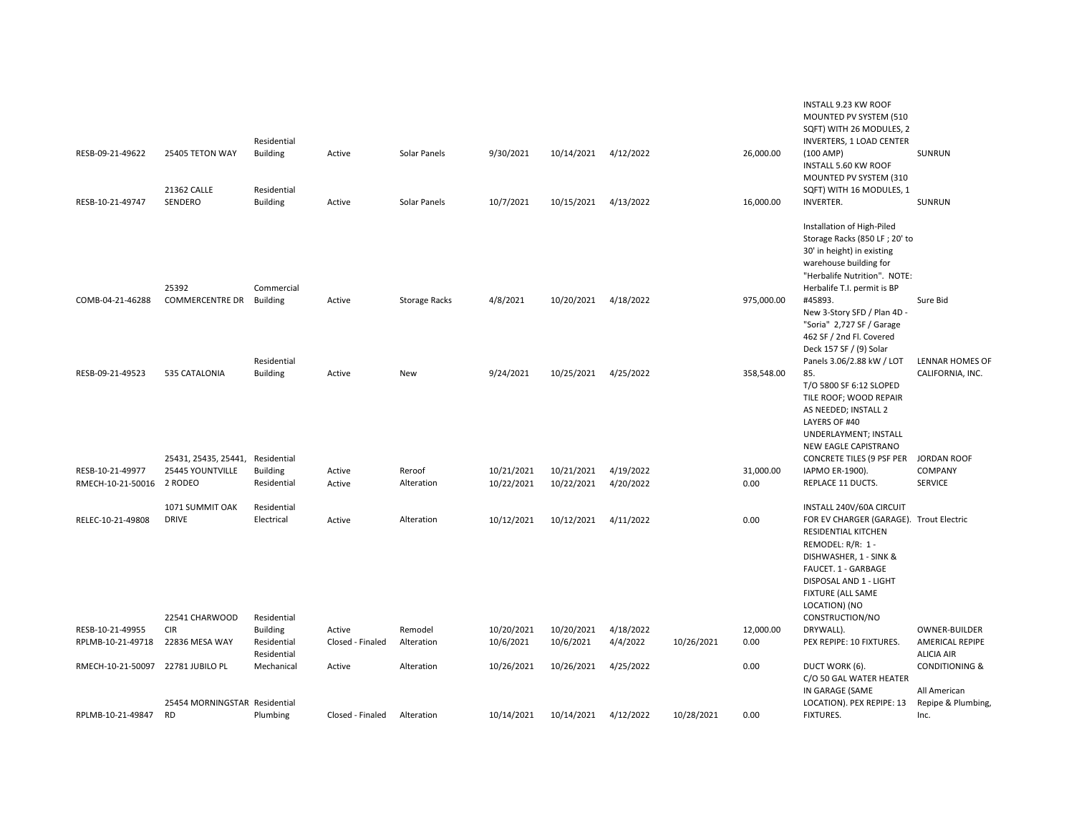|                   |                                                 | Residential                                   |                            |                       |                         |                         |                       |            |            | INSTALL 9.23 KW ROOF<br>MOUNTED PV SYSTEM (510<br>SQFT) WITH 26 MODULES, 2<br><b>INVERTERS, 1 LOAD CENTER</b>                                                                                                                    |                                                              |
|-------------------|-------------------------------------------------|-----------------------------------------------|----------------------------|-----------------------|-------------------------|-------------------------|-----------------------|------------|------------|----------------------------------------------------------------------------------------------------------------------------------------------------------------------------------------------------------------------------------|--------------------------------------------------------------|
| RESB-09-21-49622  | 25405 TETON WAY<br>21362 CALLE                  | <b>Building</b><br>Residential                | Active                     | Solar Panels          | 9/30/2021               | 10/14/2021              | 4/12/2022             |            | 26,000.00  | $(100 \text{ AMP})$<br><b>INSTALL 5.60 KW ROOF</b><br>MOUNTED PV SYSTEM (310<br>SQFT) WITH 16 MODULES, 1                                                                                                                         | SUNRUN                                                       |
| RESB-10-21-49747  | SENDERO                                         | <b>Building</b>                               | Active                     | Solar Panels          | 10/7/2021               | 10/15/2021              | 4/13/2022             |            | 16,000.00  | <b>INVERTER.</b>                                                                                                                                                                                                                 | SUNRUN                                                       |
|                   | 25392                                           | Commercial                                    |                            |                       |                         |                         |                       |            |            | Installation of High-Piled<br>Storage Racks (850 LF; 20' to<br>30' in height) in existing<br>warehouse building for<br>"Herbalife Nutrition". NOTE:<br>Herbalife T.I. permit is BP                                               |                                                              |
| COMB-04-21-46288  | <b>COMMERCENTRE DR</b>                          | <b>Building</b><br>Residential                | Active                     | <b>Storage Racks</b>  | 4/8/2021                | 10/20/2021              | 4/18/2022             |            | 975,000.00 | #45893.<br>New 3-Story SFD / Plan 4D -<br>"Soria" 2,727 SF / Garage<br>462 SF / 2nd Fl. Covered<br>Deck 157 SF / (9) Solar<br>Panels 3.06/2.88 kW / LOT                                                                          | Sure Bid<br><b>LENNAR HOMES OF</b>                           |
| RESB-09-21-49523  | 535 CATALONIA                                   | <b>Building</b>                               | Active                     | New                   | 9/24/2021               | 10/25/2021              | 4/25/2022             |            | 358,548.00 | 85.<br>T/O 5800 SF 6:12 SLOPED<br>TILE ROOF; WOOD REPAIR<br>AS NEEDED; INSTALL 2<br>LAYERS OF #40<br>UNDERLAYMENT; INSTALL<br>NEW EAGLE CAPISTRANO                                                                               | CALIFORNIA, INC.                                             |
| RESB-10-21-49977  | 25431, 25435, 25441,<br><b>25445 YOUNTVILLE</b> | Residential<br><b>Building</b>                | Active                     | Reroof                | 10/21/2021              | 10/21/2021              | 4/19/2022             |            | 31,000.00  | <b>CONCRETE TILES (9 PSF PER</b><br>IAPMO ER-1900).                                                                                                                                                                              | <b>JORDAN ROOF</b><br>COMPANY                                |
| RMECH-10-21-50016 | 2 RODEO                                         | Residential                                   | Active                     | Alteration            | 10/22/2021              | 10/22/2021              | 4/20/2022             |            | 0.00       | REPLACE 11 DUCTS.                                                                                                                                                                                                                | <b>SERVICE</b>                                               |
| RELEC-10-21-49808 | 1071 SUMMIT OAK<br><b>DRIVE</b>                 | Residential<br>Electrical                     | Active                     | Alteration            | 10/12/2021              | 10/12/2021              | 4/11/2022             |            | 0.00       | INSTALL 240V/60A CIRCUIT<br>FOR EV CHARGER (GARAGE). Trout Electric<br>RESIDENTIAL KITCHEN<br>REMODEL: R/R: 1 -<br>DISHWASHER, 1 - SINK &<br>FAUCET. 1 - GARBAGE<br>DISPOSAL AND 1 - LIGHT<br>FIXTURE (ALL SAME<br>LOCATION) (NO |                                                              |
| RESB-10-21-49955  | 22541 CHARWOOD<br><b>CIR</b>                    | Residential                                   |                            |                       |                         |                         |                       |            | 12,000.00  | CONSTRUCTION/NO                                                                                                                                                                                                                  |                                                              |
| RPLMB-10-21-49718 | 22836 MESA WAY                                  | <b>Building</b><br>Residential<br>Residential | Active<br>Closed - Finaled | Remodel<br>Alteration | 10/20/2021<br>10/6/2021 | 10/20/2021<br>10/6/2021 | 4/18/2022<br>4/4/2022 | 10/26/2021 | 0.00       | DRYWALL).<br>PEX REPIPE: 10 FIXTURES.                                                                                                                                                                                            | OWNER-BUILDER<br><b>AMERICAL REPIPE</b><br><b>ALICIA AIR</b> |
| RMECH-10-21-50097 | 22781 JUBILO PL                                 | Mechanical                                    | Active                     | Alteration            | 10/26/2021              | 10/26/2021              | 4/25/2022             |            | 0.00       | DUCT WORK (6).<br>C/O 50 GAL WATER HEATER<br>IN GARAGE (SAME                                                                                                                                                                     | <b>CONDITIONING &amp;</b><br>All American                    |
| RPLMB-10-21-49847 | 25454 MORNINGSTAR Residential<br><b>RD</b>      | Plumbing                                      | Closed - Finaled           | Alteration            | 10/14/2021              | 10/14/2021              | 4/12/2022             | 10/28/2021 | 0.00       | LOCATION). PEX REPIPE: 13<br><b>FIXTURES.</b>                                                                                                                                                                                    | Repipe & Plumbing,<br>Inc.                                   |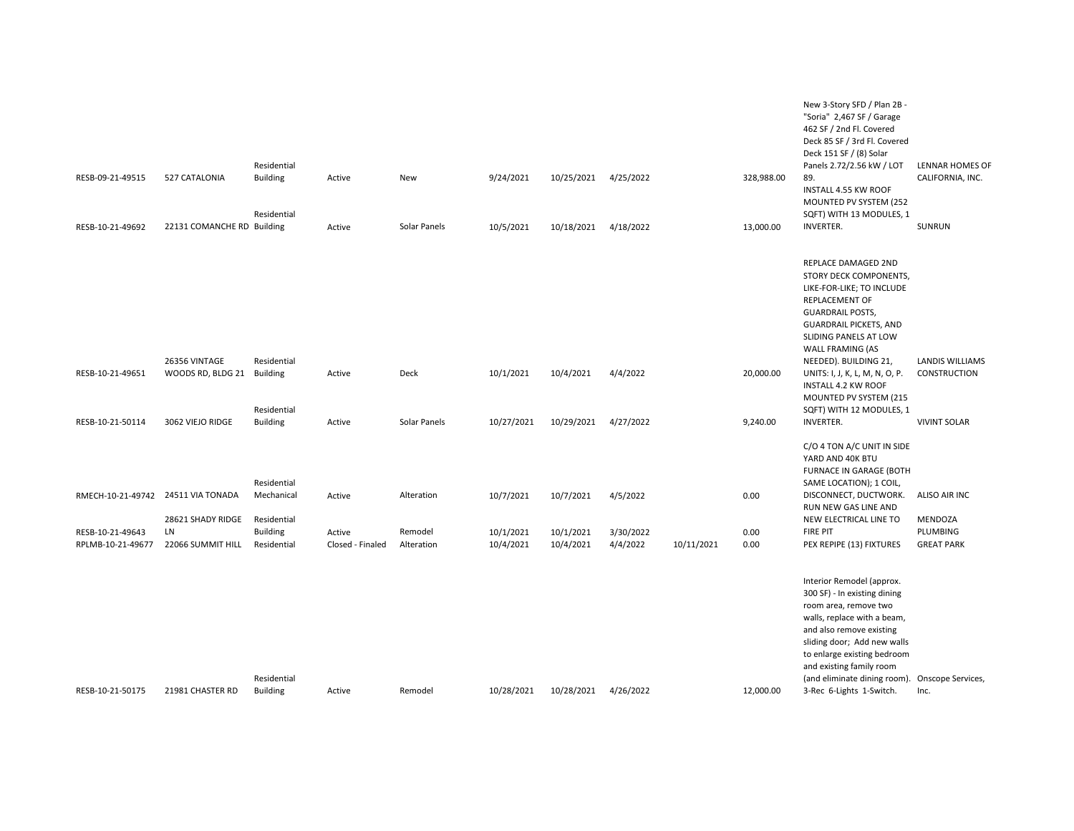|                                       |                                              | Residential                                   |                            |                       |                        |                        |                       |            |              | New 3-Story SFD / Plan 2B -<br>"Soria" 2,467 SF / Garage<br>462 SF / 2nd Fl. Covered<br>Deck 85 SF / 3rd Fl. Covered<br>Deck 151 SF / (8) Solar<br>Panels 2.72/2.56 kW / LOT                                                                                                                                          | LENNAR HOMES OF                          |
|---------------------------------------|----------------------------------------------|-----------------------------------------------|----------------------------|-----------------------|------------------------|------------------------|-----------------------|------------|--------------|-----------------------------------------------------------------------------------------------------------------------------------------------------------------------------------------------------------------------------------------------------------------------------------------------------------------------|------------------------------------------|
| RESB-09-21-49515                      | 527 CATALONIA                                | <b>Building</b><br>Residential                | Active                     | New                   | 9/24/2021              | 10/25/2021 4/25/2022   |                       |            | 328,988.00   | 89.<br>INSTALL 4.55 KW ROOF<br>MOUNTED PV SYSTEM (252<br>SQFT) WITH 13 MODULES, 1                                                                                                                                                                                                                                     | CALIFORNIA, INC.                         |
| RESB-10-21-49692                      | 22131 COMANCHE RD Building                   |                                               | Active                     | Solar Panels          | 10/5/2021              | 10/18/2021             | 4/18/2022             |            | 13,000.00    | <b>INVERTER.</b>                                                                                                                                                                                                                                                                                                      | SUNRUN                                   |
|                                       |                                              |                                               |                            |                       |                        |                        |                       |            |              | REPLACE DAMAGED 2ND<br>STORY DECK COMPONENTS,<br>LIKE-FOR-LIKE; TO INCLUDE<br>REPLACEMENT OF<br><b>GUARDRAIL POSTS,</b><br><b>GUARDRAIL PICKETS, AND</b><br>SLIDING PANELS AT LOW<br>WALL FRAMING (AS                                                                                                                 |                                          |
| RESB-10-21-49651                      | 26356 VINTAGE<br>WOODS RD, BLDG 21           | Residential<br>Building                       | Active                     | Deck                  | 10/1/2021              | 10/4/2021              | 4/4/2022              |            | 20,000.00    | NEEDED). BUILDING 21,<br>UNITS: I, J, K, L, M, N, O, P.<br><b>INSTALL 4.2 KW ROOF</b><br>MOUNTED PV SYSTEM (215                                                                                                                                                                                                       | <b>LANDIS WILLIAMS</b><br>CONSTRUCTION   |
| RESB-10-21-50114                      | 3062 VIEJO RIDGE                             | Residential<br><b>Building</b>                | Active                     | Solar Panels          | 10/27/2021             | 10/29/2021             | 4/27/2022             |            | 9,240.00     | SQFT) WITH 12 MODULES, 1<br>INVERTER.                                                                                                                                                                                                                                                                                 | <b>VIVINT SOLAR</b>                      |
|                                       | RMECH-10-21-49742 24511 VIA TONADA           | Residential<br>Mechanical                     | Active                     | Alteration            | 10/7/2021              | 10/7/2021              | 4/5/2022              |            | 0.00         | C/O 4 TON A/C UNIT IN SIDE<br>YARD AND 40K BTU<br>FURNACE IN GARAGE (BOTH<br>SAME LOCATION); 1 COIL,<br>DISCONNECT, DUCTWORK.                                                                                                                                                                                         | ALISO AIR INC                            |
| RESB-10-21-49643<br>RPLMB-10-21-49677 | 28621 SHADY RIDGE<br>LN<br>22066 SUMMIT HILL | Residential<br><b>Building</b><br>Residential | Active<br>Closed - Finaled | Remodel<br>Alteration | 10/1/2021<br>10/4/2021 | 10/1/2021<br>10/4/2021 | 3/30/2022<br>4/4/2022 | 10/11/2021 | 0.00<br>0.00 | RUN NEW GAS LINE AND<br>NEW ELECTRICAL LINE TO<br><b>FIRE PIT</b><br>PEX REPIPE (13) FIXTURES                                                                                                                                                                                                                         | MENDOZA<br>PLUMBING<br><b>GREAT PARK</b> |
| RESB-10-21-50175                      | 21981 CHASTER RD                             | Residential<br><b>Building</b>                | Active                     | Remodel               | 10/28/2021             | 10/28/2021             | 4/26/2022             |            | 12,000.00    | Interior Remodel (approx.<br>300 SF) - In existing dining<br>room area, remove two<br>walls, replace with a beam,<br>and also remove existing<br>sliding door; Add new walls<br>to enlarge existing bedroom<br>and existing family room<br>(and eliminate dining room). Onscope Services,<br>3-Rec 6-Lights 1-Switch. | Inc.                                     |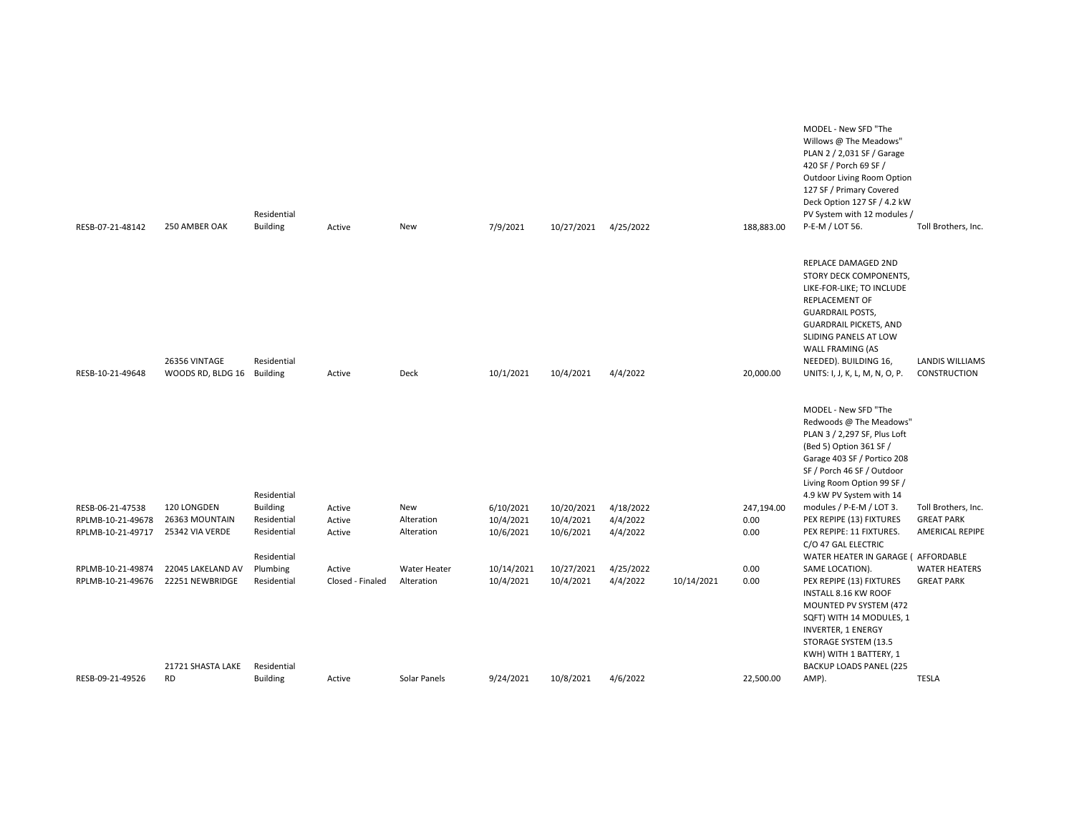| RESB-07-21-48142                       | 250 AMBER OAK                               | Residential<br><b>Building</b> | Active           | New                      | 7/9/2021               | 10/27/2021             | 4/25/2022            |            | 188,883.00   | MODEL - New SFD "The<br>Willows @ The Meadows"<br>PLAN 2 / 2,031 SF / Garage<br>420 SF / Porch 69 SF /<br>Outdoor Living Room Option<br>127 SF / Primary Covered<br>Deck Option 127 SF / 4.2 kW<br>PV System with 12 modules /<br>P-E-M / LOT 56.                       | Toll Brothers, Inc.                           |
|----------------------------------------|---------------------------------------------|--------------------------------|------------------|--------------------------|------------------------|------------------------|----------------------|------------|--------------|-------------------------------------------------------------------------------------------------------------------------------------------------------------------------------------------------------------------------------------------------------------------------|-----------------------------------------------|
| RESB-10-21-49648                       | 26356 VINTAGE<br>WOODS RD, BLDG 16 Building | Residential                    | Active           | <b>Deck</b>              | 10/1/2021              | 10/4/2021              | 4/4/2022             |            | 20,000.00    | REPLACE DAMAGED 2ND<br>STORY DECK COMPONENTS,<br>LIKE-FOR-LIKE; TO INCLUDE<br><b>REPLACEMENT OF</b><br><b>GUARDRAIL POSTS,</b><br><b>GUARDRAIL PICKETS, AND</b><br>SLIDING PANELS AT LOW<br>WALL FRAMING (AS<br>NEEDED). BUILDING 16,<br>UNITS: I, J, K, L, M, N, O, P. | <b>LANDIS WILLIAMS</b><br><b>CONSTRUCTION</b> |
|                                        |                                             | Residential                    |                  |                          |                        |                        |                      |            |              | MODEL - New SFD "The<br>Redwoods @ The Meadows"<br>PLAN 3 / 2,297 SF, Plus Loft<br>(Bed 5) Option 361 SF /<br>Garage 403 SF / Portico 208<br>SF / Porch 46 SF / Outdoor<br>Living Room Option 99 SF /<br>4.9 kW PV System with 14                                       |                                               |
| RESB-06-21-47538                       | 120 LONGDEN                                 | <b>Building</b>                | Active           | New                      | 6/10/2021              | 10/20/2021             | 4/18/2022            |            | 247,194.00   | modules / P-E-M / LOT 3.                                                                                                                                                                                                                                                | Toll Brothers, Inc.                           |
| RPLMB-10-21-49678<br>RPLMB-10-21-49717 | 26363 MOUNTAIN<br>25342 VIA VERDE           | Residential<br>Residential     | Active<br>Active | Alteration<br>Alteration | 10/4/2021<br>10/6/2021 | 10/4/2021<br>10/6/2021 | 4/4/2022<br>4/4/2022 |            | 0.00<br>0.00 | PEX REPIPE (13) FIXTURES<br>PEX REPIPE: 11 FIXTURES.                                                                                                                                                                                                                    | <b>GREAT PARK</b><br><b>AMERICAL REPIPE</b>   |
|                                        |                                             | Residential                    |                  |                          |                        |                        |                      |            |              | C/O 47 GAL ELECTRIC<br>WATER HEATER IN GARAGE ( AFFORDABLE                                                                                                                                                                                                              |                                               |
| RPLMB-10-21-49874                      | 22045 LAKELAND AV                           | Plumbing                       | Active           | Water Heater             | 10/14/2021             | 10/27/2021             | 4/25/2022            |            | 0.00         | SAME LOCATION).                                                                                                                                                                                                                                                         | <b>WATER HEATERS</b>                          |
| RPLMB-10-21-49676                      | 22251 NEWBRIDGE<br>21721 SHASTA LAKE        | Residential<br>Residential     | Closed - Finaled | Alteration               | 10/4/2021              | 10/4/2021              | 4/4/2022             | 10/14/2021 | 0.00         | PEX REPIPE (13) FIXTURES<br>INSTALL 8.16 KW ROOF<br>MOUNTED PV SYSTEM (472<br>SQFT) WITH 14 MODULES, 1<br><b>INVERTER, 1 ENERGY</b><br>STORAGE SYSTEM (13.5<br>KWH) WITH 1 BATTERY, 1<br><b>BACKUP LOADS PANEL (225</b>                                                 | <b>GREAT PARK</b>                             |
| RESB-09-21-49526                       | <b>RD</b>                                   | <b>Building</b>                | Active           | Solar Panels             | 9/24/2021              | 10/8/2021              | 4/6/2022             |            | 22,500.00    | AMP).                                                                                                                                                                                                                                                                   | <b>TESLA</b>                                  |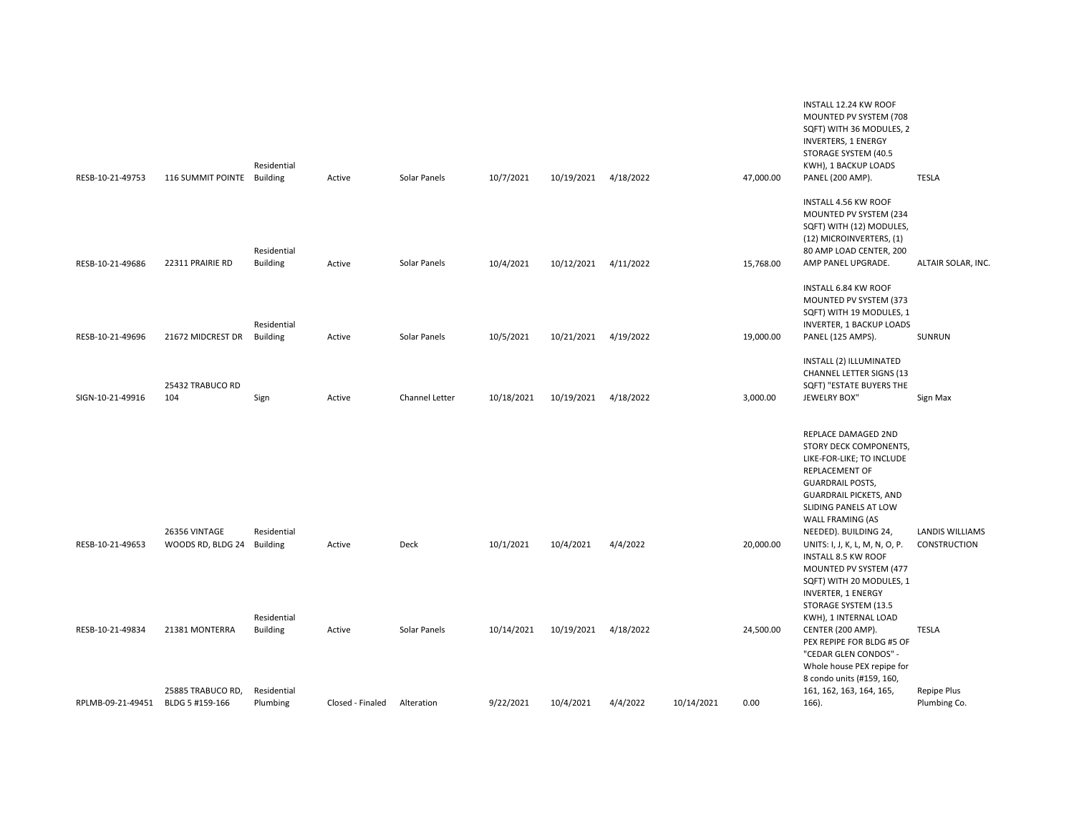|                   |                            | Residential     |                  |                |            |                      |           |            |           | <b>INVERTERS, 1 ENERGY</b><br>STORAGE SYSTEM (40.5<br>KWH), 1 BACKUP LOADS |                        |
|-------------------|----------------------------|-----------------|------------------|----------------|------------|----------------------|-----------|------------|-----------|----------------------------------------------------------------------------|------------------------|
| RESB-10-21-49753  | 116 SUMMIT POINTE Building |                 | Active           | Solar Panels   | 10/7/2021  | 10/19/2021           | 4/18/2022 |            | 47,000.00 | PANEL (200 AMP).                                                           | <b>TESLA</b>           |
|                   |                            |                 |                  |                |            |                      |           |            |           | INSTALL 4.56 KW ROOF                                                       |                        |
|                   |                            |                 |                  |                |            |                      |           |            |           | MOUNTED PV SYSTEM (234                                                     |                        |
|                   |                            |                 |                  |                |            |                      |           |            |           | SQFT) WITH (12) MODULES,<br>(12) MICROINVERTERS, (1)                       |                        |
|                   |                            | Residential     |                  |                |            |                      |           |            |           | 80 AMP LOAD CENTER, 200                                                    |                        |
| RESB-10-21-49686  | 22311 PRAIRIE RD           | <b>Building</b> | Active           | Solar Panels   | 10/4/2021  | 10/12/2021 4/11/2022 |           |            | 15,768.00 | AMP PANEL UPGRADE.                                                         | ALTAIR SOLAR, INC.     |
|                   |                            |                 |                  |                |            |                      |           |            |           | INSTALL 6.84 KW ROOF                                                       |                        |
|                   |                            |                 |                  |                |            |                      |           |            |           | MOUNTED PV SYSTEM (373                                                     |                        |
|                   |                            |                 |                  |                |            |                      |           |            |           | SQFT) WITH 19 MODULES, 1                                                   |                        |
|                   |                            | Residential     |                  |                |            |                      |           |            |           | <b>INVERTER, 1 BACKUP LOADS</b>                                            |                        |
| RESB-10-21-49696  | 21672 MIDCREST DR          | <b>Building</b> | Active           | Solar Panels   | 10/5/2021  | 10/21/2021           | 4/19/2022 |            | 19,000.00 | PANEL (125 AMPS).                                                          | <b>SUNRUN</b>          |
|                   |                            |                 |                  |                |            |                      |           |            |           | INSTALL (2) ILLUMINATED                                                    |                        |
|                   |                            |                 |                  |                |            |                      |           |            |           | <b>CHANNEL LETTER SIGNS (13</b>                                            |                        |
|                   | 25432 TRABUCO RD           |                 |                  |                |            |                      |           |            |           | SQFT) "ESTATE BUYERS THE                                                   |                        |
| SIGN-10-21-49916  | 104                        | Sign            | Active           | Channel Letter | 10/18/2021 | 10/19/2021           | 4/18/2022 |            | 3,000.00  | <b>JEWELRY BOX"</b>                                                        | Sign Max               |
|                   |                            |                 |                  |                |            |                      |           |            |           |                                                                            |                        |
|                   |                            |                 |                  |                |            |                      |           |            |           | REPLACE DAMAGED 2ND                                                        |                        |
|                   |                            |                 |                  |                |            |                      |           |            |           | STORY DECK COMPONENTS,                                                     |                        |
|                   |                            |                 |                  |                |            |                      |           |            |           | LIKE-FOR-LIKE; TO INCLUDE<br>REPLACEMENT OF                                |                        |
|                   |                            |                 |                  |                |            |                      |           |            |           | <b>GUARDRAIL POSTS,</b>                                                    |                        |
|                   |                            |                 |                  |                |            |                      |           |            |           | <b>GUARDRAIL PICKETS, AND</b>                                              |                        |
|                   |                            |                 |                  |                |            |                      |           |            |           | SLIDING PANELS AT LOW                                                      |                        |
|                   |                            |                 |                  |                |            |                      |           |            |           | WALL FRAMING (AS                                                           |                        |
|                   | 26356 VINTAGE              | Residential     |                  |                |            |                      |           |            |           | NEEDED). BUILDING 24,                                                      | <b>LANDIS WILLIAMS</b> |
| RESB-10-21-49653  | WOODS RD, BLDG 24          | <b>Building</b> | Active           | Deck           | 10/1/2021  | 10/4/2021            | 4/4/2022  |            | 20,000.00 | UNITS: I, J, K, L, M, N, O, P.                                             | <b>CONSTRUCTION</b>    |
|                   |                            |                 |                  |                |            |                      |           |            |           | <b>INSTALL 8.5 KW ROOF</b>                                                 |                        |
|                   |                            |                 |                  |                |            |                      |           |            |           | MOUNTED PV SYSTEM (477                                                     |                        |
|                   |                            |                 |                  |                |            |                      |           |            |           | SQFT) WITH 20 MODULES, 1                                                   |                        |
|                   |                            |                 |                  |                |            |                      |           |            |           | <b>INVERTER, 1 ENERGY</b>                                                  |                        |
|                   |                            |                 |                  |                |            |                      |           |            |           | STORAGE SYSTEM (13.5                                                       |                        |
|                   |                            | Residential     |                  |                |            |                      |           |            |           | KWH), 1 INTERNAL LOAD                                                      |                        |
| RESB-10-21-49834  | 21381 MONTERRA             | <b>Building</b> | Active           | Solar Panels   | 10/14/2021 | 10/19/2021           | 4/18/2022 |            | 24,500.00 | CENTER (200 AMP).                                                          | <b>TESLA</b>           |
|                   |                            |                 |                  |                |            |                      |           |            |           | PEX REPIPE FOR BLDG #5 OF                                                  |                        |
|                   |                            |                 |                  |                |            |                      |           |            |           | "CEDAR GLEN CONDOS" -                                                      |                        |
|                   |                            |                 |                  |                |            |                      |           |            |           | Whole house PEX repipe for                                                 |                        |
|                   |                            |                 |                  |                |            |                      |           |            |           | 8 condo units (#159, 160,                                                  |                        |
|                   | 25885 TRABUCO RD,          | Residential     |                  |                |            |                      |           |            |           | 161, 162, 163, 164, 165,                                                   | Repipe Plus            |
| RPLMB-09-21-49451 | BLDG 5 #159-166            | Plumbing        | Closed - Finaled | Alteration     | 9/22/2021  | 10/4/2021            | 4/4/2022  | 10/14/2021 | 0.00      | 166).                                                                      | Plumbing Co.           |

INSTALL 12.24 KW ROOF MOUNTED PV SYSTEM (708 SQFT) WITH 36 MODULES, 2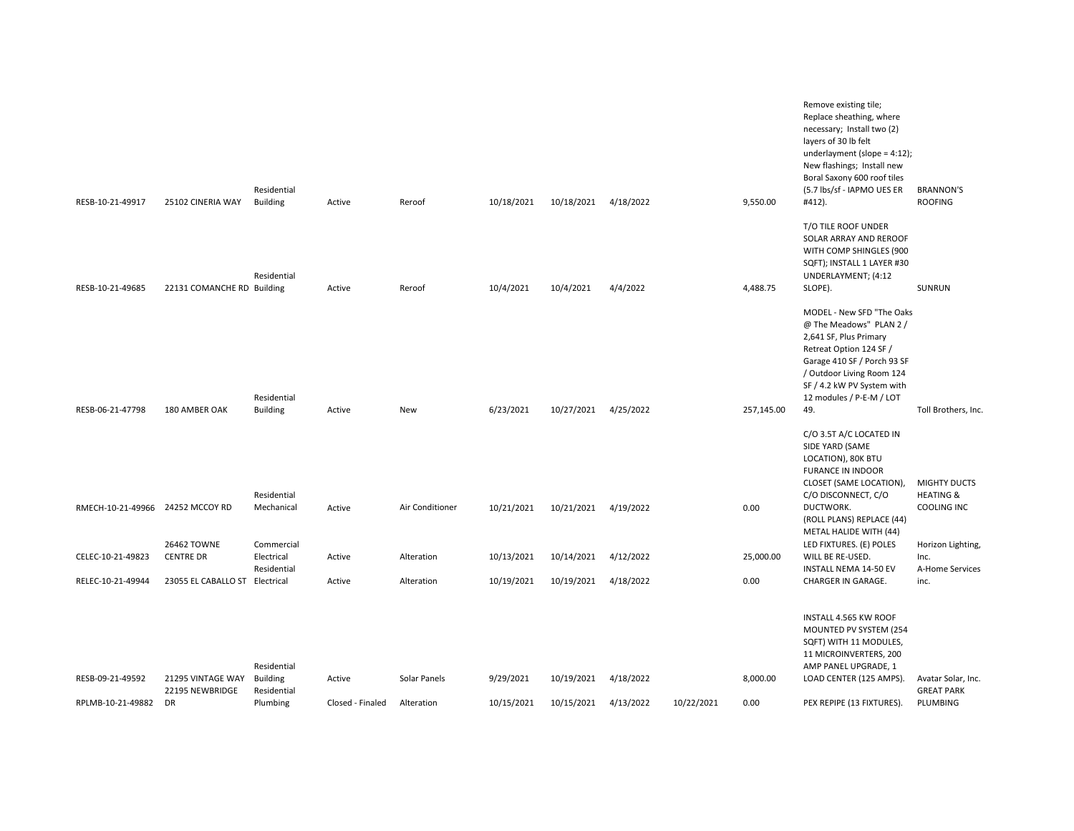| RESB-10-21-49917                      | 25102 CINERIA WAY                    | Residential<br><b>Building</b> | Active | Reroof          | 10/18/2021              | 10/18/2021               | 4/18/2022              |            | 9,550.00         | Remove existing tile;<br>Replace sheathing, where<br>necessary; Install two (2)<br>layers of 30 lb felt<br>underlayment (slope = $4:12$ );<br>New flashings; Install new<br>Boral Saxony 600 roof tiles<br>(5.7 lbs/sf - IAPMO UES ER<br>#412). | <b>BRANNON'S</b><br><b>ROOFING</b>                  |
|---------------------------------------|--------------------------------------|--------------------------------|--------|-----------------|-------------------------|--------------------------|------------------------|------------|------------------|-------------------------------------------------------------------------------------------------------------------------------------------------------------------------------------------------------------------------------------------------|-----------------------------------------------------|
| RESB-10-21-49685                      | 22131 COMANCHE RD Building           | Residential                    | Active | Reroof          | 10/4/2021               | 10/4/2021                | 4/4/2022               |            | 4,488.75         | T/O TILE ROOF UNDER<br>SOLAR ARRAY AND REROOF<br>WITH COMP SHINGLES (900<br>SQFT); INSTALL 1 LAYER #30<br>UNDERLAYMENT; (4:12<br>SLOPE).                                                                                                        | SUNRUN                                              |
| RESB-06-21-47798                      | 180 AMBER OAK                        | Residential<br><b>Building</b> | Active | New             | 6/23/2021               | 10/27/2021               | 4/25/2022              |            | 257,145.00       | MODEL - New SFD "The Oaks<br>@ The Meadows" PLAN 2 /<br>2,641 SF, Plus Primary<br>Retreat Option 124 SF /<br>Garage 410 SF / Porch 93 SF<br>/ Outdoor Living Room 124<br>SF / 4.2 kW PV System with<br>12 modules / P-E-M / LOT<br>49.          | Toll Brothers, Inc.                                 |
|                                       |                                      |                                |        |                 |                         |                          |                        |            |                  | C/O 3.5T A/C LOCATED IN<br>SIDE YARD (SAME<br>LOCATION), 80K BTU                                                                                                                                                                                |                                                     |
|                                       |                                      |                                |        |                 |                         |                          |                        |            |                  | <b>FURANCE IN INDOOR</b><br>CLOSET (SAME LOCATION),                                                                                                                                                                                             | <b>MIGHTY DUCTS</b>                                 |
| RMECH-10-21-49966 24252 MCCOY RD      |                                      | Residential<br>Mechanical      | Active | Air Conditioner | 10/21/2021              | 10/21/2021               | 4/19/2022              |            | 0.00             | C/O DISCONNECT, C/O<br>DUCTWORK.<br>(ROLL PLANS) REPLACE (44)<br>METAL HALIDE WITH (44)                                                                                                                                                         | <b>HEATING &amp;</b><br>COOLING INC                 |
| CELEC-10-21-49823                     | 26462 TOWNE<br><b>CENTRE DR</b>      | Commercial<br>Electrical       | Active | Alteration      | 10/13/2021              | 10/14/2021               | 4/12/2022              |            | 25,000.00        | LED FIXTURES. (E) POLES<br>WILL BE RE-USED.                                                                                                                                                                                                     | Horizon Lighting,<br>Inc.                           |
| RELEC-10-21-49944                     | 23055 EL CABALLO ST Electrical       | Residential                    | Active | Alteration      | 10/19/2021              | 10/19/2021               | 4/18/2022              |            | 0.00             | INSTALL NEMA 14-50 EV<br>CHARGER IN GARAGE.                                                                                                                                                                                                     | A-Home Services<br>inc.                             |
|                                       |                                      | Residential                    |        |                 |                         |                          |                        |            |                  | INSTALL 4.565 KW ROOF<br>MOUNTED PV SYSTEM (254<br>SQFT) WITH 11 MODULES,<br>11 MICROINVERTERS, 200<br>AMP PANEL UPGRADE, 1                                                                                                                     |                                                     |
| RESB-09-21-49592<br>RPLMB-10-21-49882 | 21295 VINTAGE WAY<br>22195 NEWBRIDGE | <b>Building</b><br>Residential | Active | Solar Panels    | 9/29/2021<br>10/15/2021 | 10/19/2021<br>10/15/2021 | 4/18/2022<br>4/13/2022 | 10/22/2021 | 8,000.00<br>0.00 | LOAD CENTER (125 AMPS).<br>PEX REPIPE (13 FIXTURES).                                                                                                                                                                                            | Avatar Solar, Inc.<br><b>GREAT PARK</b><br>PLUMBING |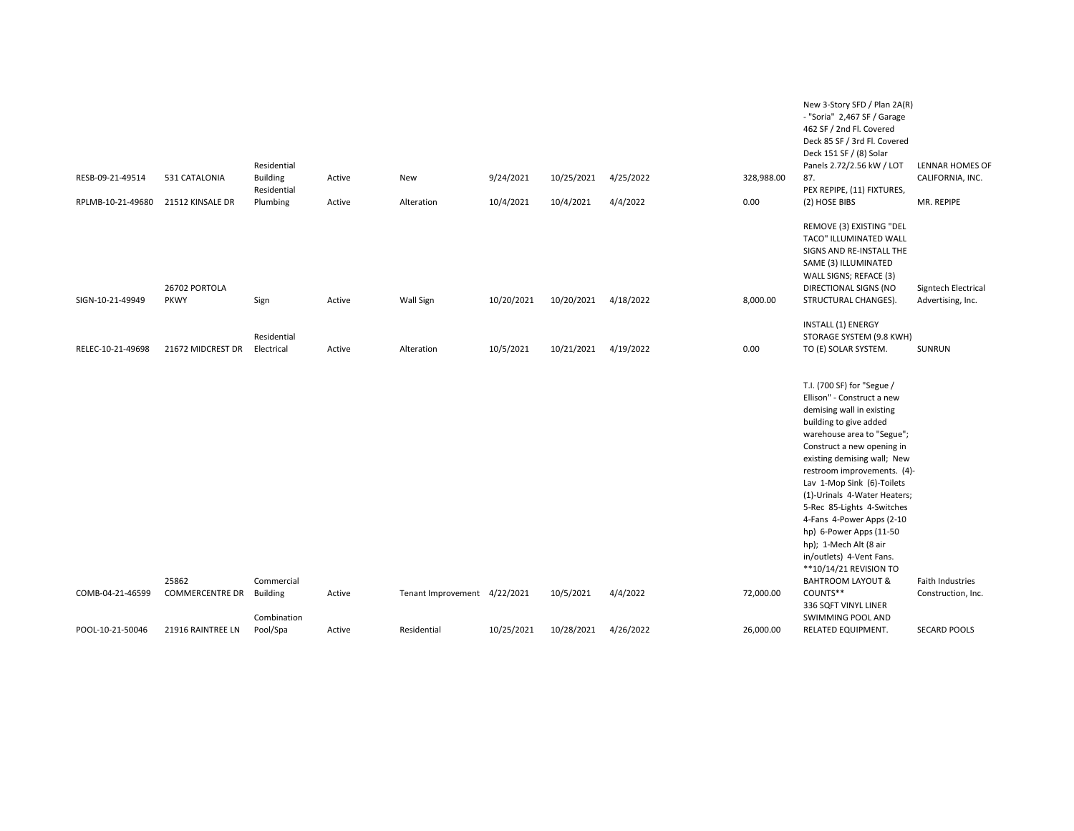| RESB-09-21-49514  |                        | Residential<br><b>Building</b> |        |                              | 9/24/2021  | 10/25/2021 | 4/25/2022 | 328,988.00 | New 3-Story SFD / Plan 2A(R)<br>- "Soria" 2,467 SF / Garage<br>462 SF / 2nd Fl. Covered<br>Deck 85 SF / 3rd Fl. Covered<br>Deck 151 SF / (8) Solar<br>Panels 2.72/2.56 kW / LOT<br>87.                                                                                                                                                                                                                                                                                                                        | LENNAR HOMES OF     |
|-------------------|------------------------|--------------------------------|--------|------------------------------|------------|------------|-----------|------------|---------------------------------------------------------------------------------------------------------------------------------------------------------------------------------------------------------------------------------------------------------------------------------------------------------------------------------------------------------------------------------------------------------------------------------------------------------------------------------------------------------------|---------------------|
|                   | 531 CATALONIA          | Residential                    | Active | <b>New</b>                   |            |            |           |            | PEX REPIPE, (11) FIXTURES,                                                                                                                                                                                                                                                                                                                                                                                                                                                                                    | CALIFORNIA, INC.    |
| RPLMB-10-21-49680 | 21512 KINSALE DR       | Plumbing                       | Active | Alteration                   | 10/4/2021  | 10/4/2021  | 4/4/2022  | 0.00       | (2) HOSE BIBS                                                                                                                                                                                                                                                                                                                                                                                                                                                                                                 | MR. REPIPE          |
|                   | 26702 PORTOLA          |                                |        |                              |            |            |           |            | REMOVE (3) EXISTING "DEL<br>TACO" ILLUMINATED WALL<br>SIGNS AND RE-INSTALL THE<br>SAME (3) ILLUMINATED<br>WALL SIGNS; REFACE (3)<br>DIRECTIONAL SIGNS (NO                                                                                                                                                                                                                                                                                                                                                     | Signtech Electrical |
| SIGN-10-21-49949  | <b>PKWY</b>            | Sign                           | Active | Wall Sign                    | 10/20/2021 | 10/20/2021 | 4/18/2022 | 8,000.00   | STRUCTURAL CHANGES).                                                                                                                                                                                                                                                                                                                                                                                                                                                                                          | Advertising, Inc.   |
| RELEC-10-21-49698 | 21672 MIDCREST DR      | Residential<br>Electrical      | Active | Alteration                   | 10/5/2021  | 10/21/2021 | 4/19/2022 | 0.00       | INSTALL (1) ENERGY<br>STORAGE SYSTEM (9.8 KWH)<br>TO (E) SOLAR SYSTEM.                                                                                                                                                                                                                                                                                                                                                                                                                                        | SUNRUN              |
|                   | 25862                  | Commercial                     |        |                              |            |            |           |            | T.I. (700 SF) for "Segue /<br>Ellison" - Construct a new<br>demising wall in existing<br>building to give added<br>warehouse area to "Segue";<br>Construct a new opening in<br>existing demising wall; New<br>restroom improvements. (4)-<br>Lav 1-Mop Sink (6)-Toilets<br>(1)-Urinals 4-Water Heaters;<br>5-Rec 85-Lights 4-Switches<br>4-Fans 4-Power Apps (2-10<br>hp) 6-Power Apps (11-50<br>hp); 1-Mech Alt (8 air<br>in/outlets) 4-Vent Fans.<br>**10/14/21 REVISION TO<br><b>BAHTROOM LAYOUT &amp;</b> | Faith Industries    |
| COMB-04-21-46599  | <b>COMMERCENTRE DR</b> | <b>Building</b><br>Combination | Active | Tenant Improvement 4/22/2021 |            | 10/5/2021  | 4/4/2022  | 72,000.00  | COUNTS**<br>336 SQFT VINYL LINER<br>SWIMMING POOL AND                                                                                                                                                                                                                                                                                                                                                                                                                                                         | Construction, Inc.  |
| POOL-10-21-50046  | 21916 RAINTREE LN      | Pool/Spa                       | Active | Residential                  | 10/25/2021 | 10/28/2021 | 4/26/2022 | 26,000.00  | RELATED EQUIPMENT.                                                                                                                                                                                                                                                                                                                                                                                                                                                                                            | <b>SECARD POOLS</b> |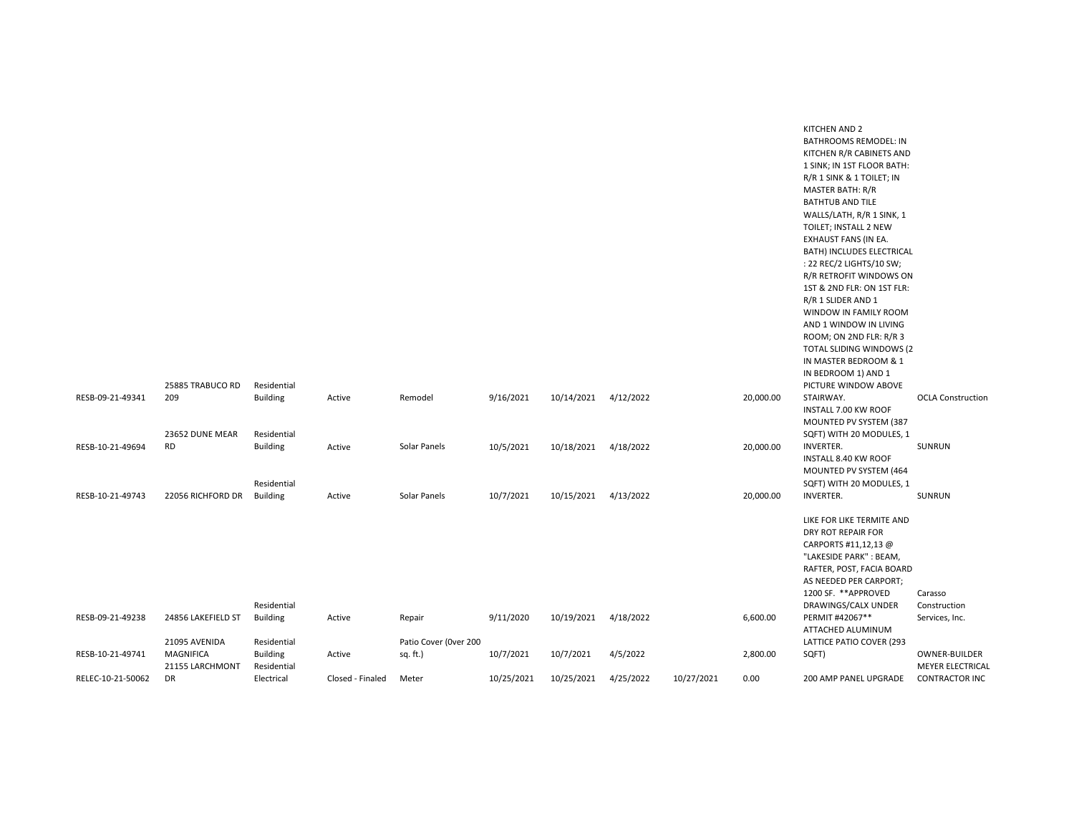|                   |                    |                 |                  |                       |            |            |           |            |           | <b>BATHTUB AND TILE</b>    |                          |
|-------------------|--------------------|-----------------|------------------|-----------------------|------------|------------|-----------|------------|-----------|----------------------------|--------------------------|
|                   |                    |                 |                  |                       |            |            |           |            |           | WALLS/LATH, R/R 1 SINK, 1  |                          |
|                   |                    |                 |                  |                       |            |            |           |            |           | TOILET; INSTALL 2 NEW      |                          |
|                   |                    |                 |                  |                       |            |            |           |            |           | EXHAUST FANS (IN EA.       |                          |
|                   |                    |                 |                  |                       |            |            |           |            |           | BATH) INCLUDES ELECTRICAL  |                          |
|                   |                    |                 |                  |                       |            |            |           |            |           | : 22 REC/2 LIGHTS/10 SW;   |                          |
|                   |                    |                 |                  |                       |            |            |           |            |           | R/R RETROFIT WINDOWS ON    |                          |
|                   |                    |                 |                  |                       |            |            |           |            |           | 1ST & 2ND FLR: ON 1ST FLR: |                          |
|                   |                    |                 |                  |                       |            |            |           |            |           | R/R 1 SLIDER AND 1         |                          |
|                   |                    |                 |                  |                       |            |            |           |            |           | WINDOW IN FAMILY ROOM      |                          |
|                   |                    |                 |                  |                       |            |            |           |            |           | AND 1 WINDOW IN LIVING     |                          |
|                   |                    |                 |                  |                       |            |            |           |            |           | ROOM; ON 2ND FLR: R/R 3    |                          |
|                   |                    |                 |                  |                       |            |            |           |            |           | TOTAL SLIDING WINDOWS (2   |                          |
|                   |                    |                 |                  |                       |            |            |           |            |           | IN MASTER BEDROOM & 1      |                          |
|                   |                    |                 |                  |                       |            |            |           |            |           | IN BEDROOM 1) AND 1        |                          |
|                   | 25885 TRABUCO RD   | Residential     |                  |                       |            |            |           |            |           | PICTURE WINDOW ABOVE       |                          |
| RESB-09-21-49341  | 209                | <b>Building</b> | Active           | Remodel               | 9/16/2021  | 10/14/2021 | 4/12/2022 |            | 20,000.00 | STAIRWAY.                  | <b>OCLA Construction</b> |
|                   |                    |                 |                  |                       |            |            |           |            |           | INSTALL 7.00 KW ROOF       |                          |
|                   |                    |                 |                  |                       |            |            |           |            |           | MOUNTED PV SYSTEM (387     |                          |
|                   | 23652 DUNE MEAR    | Residential     |                  |                       |            |            |           |            |           | SQFT) WITH 20 MODULES, 1   |                          |
| RESB-10-21-49694  | <b>RD</b>          | <b>Building</b> | Active           | Solar Panels          | 10/5/2021  | 10/18/2021 | 4/18/2022 |            | 20,000.00 | <b>INVERTER.</b>           | SUNRUN                   |
|                   |                    |                 |                  |                       |            |            |           |            |           | INSTALL 8.40 KW ROOF       |                          |
|                   |                    |                 |                  |                       |            |            |           |            |           | MOUNTED PV SYSTEM (464     |                          |
|                   |                    | Residential     |                  |                       |            |            |           |            |           | SQFT) WITH 20 MODULES, 1   |                          |
| RESB-10-21-49743  | 22056 RICHFORD DR  | <b>Building</b> | Active           | Solar Panels          | 10/7/2021  | 10/15/2021 | 4/13/2022 |            | 20,000.00 | <b>INVERTER.</b>           | SUNRUN                   |
|                   |                    |                 |                  |                       |            |            |           |            |           | LIKE FOR LIKE TERMITE AND  |                          |
|                   |                    |                 |                  |                       |            |            |           |            |           | DRY ROT REPAIR FOR         |                          |
|                   |                    |                 |                  |                       |            |            |           |            |           | CARPORTS #11,12,13 @       |                          |
|                   |                    |                 |                  |                       |            |            |           |            |           | "LAKESIDE PARK": BEAM,     |                          |
|                   |                    |                 |                  |                       |            |            |           |            |           | RAFTER, POST, FACIA BOARD  |                          |
|                   |                    |                 |                  |                       |            |            |           |            |           | AS NEEDED PER CARPORT;     |                          |
|                   |                    |                 |                  |                       |            |            |           |            |           | 1200 SF. ** APPROVED       | Carasso                  |
|                   |                    | Residential     |                  |                       |            |            |           |            |           | DRAWINGS/CALX UNDER        | Construction             |
| RESB-09-21-49238  | 24856 LAKEFIELD ST | <b>Building</b> | Active           | Repair                | 9/11/2020  | 10/19/2021 | 4/18/2022 |            | 6,600.00  | PERMIT #42067**            | Services, Inc.           |
|                   |                    |                 |                  |                       |            |            |           |            |           | ATTACHED ALUMINUM          |                          |
|                   | 21095 AVENIDA      | Residential     |                  | Patio Cover (Over 200 |            |            |           |            |           | LATTICE PATIO COVER (293   |                          |
| RESB-10-21-49741  | <b>MAGNIFICA</b>   | <b>Building</b> | Active           | sq.ft.)               | 10/7/2021  | 10/7/2021  | 4/5/2022  |            | 2,800.00  | SQFT)                      | <b>OWNER-BUILDER</b>     |
|                   | 21155 LARCHMONT    | Residential     |                  |                       |            |            |           |            |           |                            | <b>MEYER ELECTRICAL</b>  |
| RELEC-10-21-50062 | <b>DR</b>          | Electrical      | Closed - Finaled | Meter                 | 10/25/2021 | 10/25/2021 | 4/25/2022 | 10/27/2021 | 0.00      | 200 AMP PANEL UPGRADE      | <b>CONTRACTOR INC</b>    |
|                   |                    |                 |                  |                       |            |            |           |            |           |                            |                          |

KITCHEN AND 2 BATHROOMS REMODEL: IN KITCHEN R/R CABINETS AND 1 SINK; IN 1ST FLOOR BATH: R/R 1 SINK & 1 TOILET; IN MASTER BATH: R/R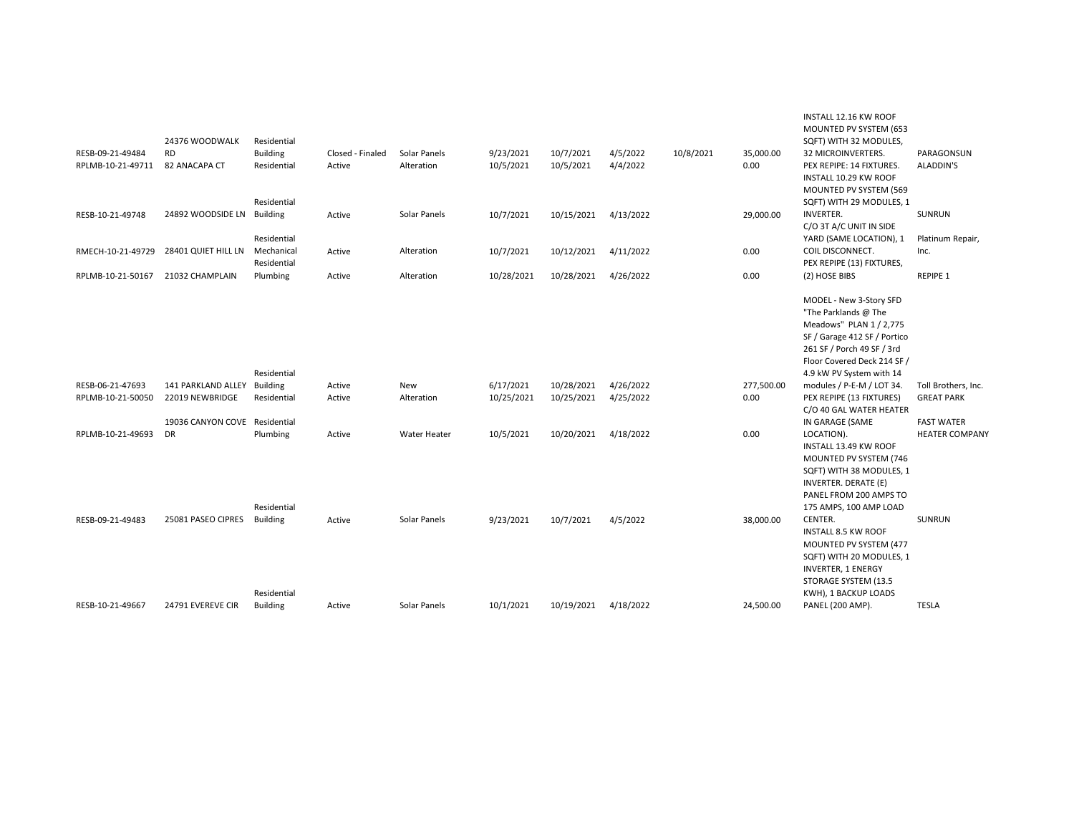|                   | 24376 WOODWALK                      | Residential                            |                  |              |            |            |           |           |            | INSTALL 12.16 KW ROOF<br>MOUNTED PV SYSTEM (653<br>SQFT) WITH 32 MODULES,                                                                                                                           |                                            |
|-------------------|-------------------------------------|----------------------------------------|------------------|--------------|------------|------------|-----------|-----------|------------|-----------------------------------------------------------------------------------------------------------------------------------------------------------------------------------------------------|--------------------------------------------|
| RESB-09-21-49484  | <b>RD</b>                           | <b>Building</b>                        | Closed - Finaled | Solar Panels | 9/23/2021  | 10/7/2021  | 4/5/2022  | 10/8/2021 | 35,000.00  | 32 MICROINVERTERS.                                                                                                                                                                                  | PARAGONSUN                                 |
| RPLMB-10-21-49711 | 82 ANACAPA CT                       | Residential<br>Residential             | Active           | Alteration   | 10/5/2021  | 10/5/2021  | 4/4/2022  |           | 0.00       | PEX REPIPE: 14 FIXTURES.<br>INSTALL 10.29 KW ROOF<br>MOUNTED PV SYSTEM (569<br>SQFT) WITH 29 MODULES, 1                                                                                             | ALADDIN'S                                  |
| RESB-10-21-49748  | 24892 WOODSIDE LN Building          | Residential                            | Active           | Solar Panels | 10/7/2021  | 10/15/2021 | 4/13/2022 |           | 29,000.00  | <b>INVERTER.</b><br>C/O 3T A/C UNIT IN SIDE<br>YARD (SAME LOCATION), 1                                                                                                                              | SUNRUN<br>Platinum Repair,                 |
| RMECH-10-21-49729 | 28401 QUIET HILL LN                 | Mechanical<br>Residential              | Active           | Alteration   | 10/7/2021  | 10/12/2021 | 4/11/2022 |           | 0.00       | COIL DISCONNECT.<br>PEX REPIPE (13) FIXTURES,                                                                                                                                                       | Inc.                                       |
| RPLMB-10-21-50167 | 21032 CHAMPLAIN                     | Plumbing                               | Active           | Alteration   | 10/28/2021 | 10/28/2021 | 4/26/2022 |           | 0.00       | (2) HOSE BIBS                                                                                                                                                                                       | <b>REPIPE 1</b>                            |
|                   |                                     | Residential                            |                  |              |            |            |           |           |            | MODEL - New 3-Story SFD<br>"The Parklands @ The<br>Meadows" PLAN 1 / 2,775<br>SF / Garage 412 SF / Portico<br>261 SF / Porch 49 SF / 3rd<br>Floor Covered Deck 214 SF /<br>4.9 kW PV System with 14 |                                            |
| RESB-06-21-47693  | 141 PARKLAND ALLEY Building         |                                        | Active           | New          | 6/17/2021  | 10/28/2021 | 4/26/2022 |           | 277,500.00 | modules / P-E-M / LOT 34.                                                                                                                                                                           | Toll Brothers, Inc.                        |
| RPLMB-10-21-50050 | 22019 NEWBRIDGE                     | Residential                            | Active           | Alteration   | 10/25/2021 | 10/25/2021 | 4/25/2022 |           | 0.00       | PEX REPIPE (13 FIXTURES)<br>C/O 40 GAL WATER HEATER                                                                                                                                                 | <b>GREAT PARK</b>                          |
| RPLMB-10-21-49693 | 19036 CANYON COVE Residential<br>DR | Plumbing                               | Active           | Water Heater | 10/5/2021  | 10/20/2021 | 4/18/2022 |           | 0.00       | IN GARAGE (SAME<br>LOCATION).<br>INSTALL 13.49 KW ROOF<br>MOUNTED PV SYSTEM (746<br>SQFT) WITH 38 MODULES, 1<br>INVERTER. DERATE (E)<br>PANEL FROM 200 AMPS TO                                      | <b>FAST WATER</b><br><b>HEATER COMPANY</b> |
| RESB-09-21-49483  | 25081 PASEO CIPRES                  | Residential<br>Building<br>Residential | Active           | Solar Panels | 9/23/2021  | 10/7/2021  | 4/5/2022  |           | 38,000.00  | 175 AMPS, 100 AMP LOAD<br>CENTER.<br>INSTALL 8.5 KW ROOF<br>MOUNTED PV SYSTEM (477<br>SQFT) WITH 20 MODULES, 1<br><b>INVERTER, 1 ENERGY</b><br>STORAGE SYSTEM (13.5<br>KWH), 1 BACKUP LOADS         | SUNRUN                                     |
| RESB-10-21-49667  | 24791 EVEREVE CIR                   | <b>Building</b>                        | Active           | Solar Panels | 10/1/2021  | 10/19/2021 | 4/18/2022 |           | 24,500.00  | PANEL (200 AMP).                                                                                                                                                                                    | <b>TESLA</b>                               |
|                   |                                     |                                        |                  |              |            |            |           |           |            |                                                                                                                                                                                                     |                                            |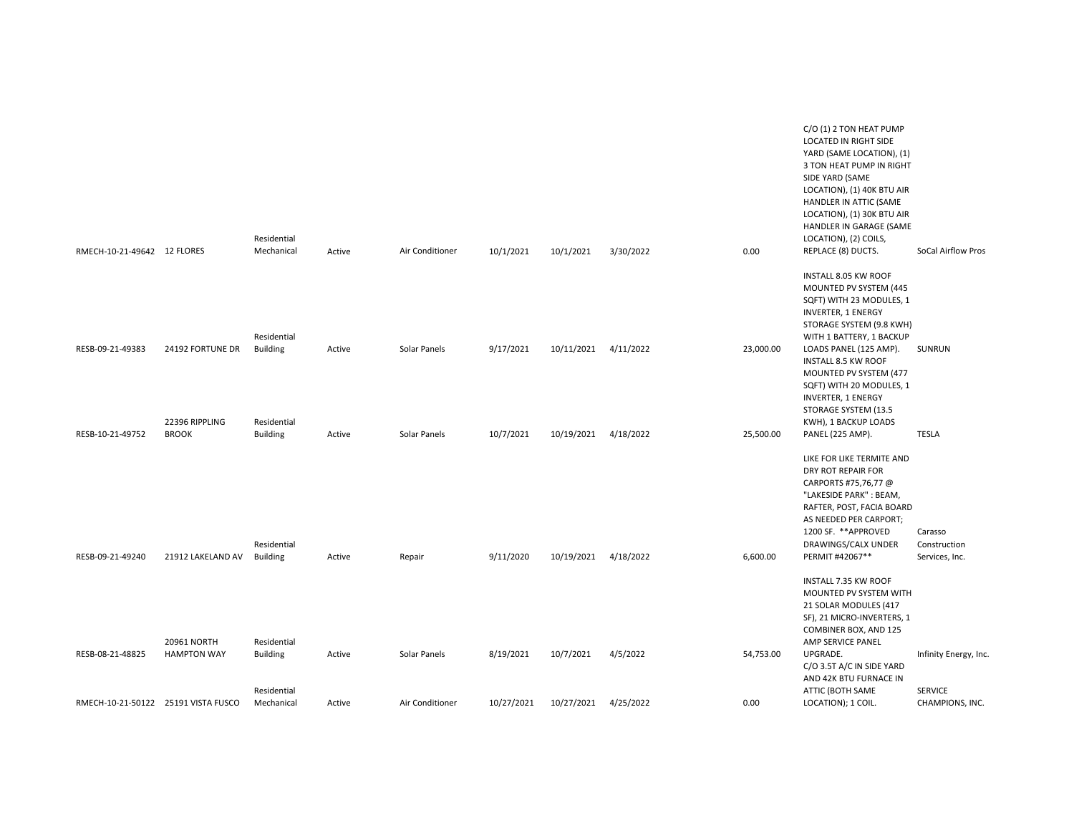|                                     |                                | Residential                    |        |                 |            |            |           |           | C/O (1) 2 TON HEAT PUMP<br>LOCATED IN RIGHT SIDE<br>YARD (SAME LOCATION), (1)<br>3 TON HEAT PUMP IN RIGHT<br>SIDE YARD (SAME<br>LOCATION), (1) 40K BTU AIR<br>HANDLER IN ATTIC (SAME<br>LOCATION), (1) 30K BTU AIR<br>HANDLER IN GARAGE (SAME<br>LOCATION), (2) COILS, |                                   |
|-------------------------------------|--------------------------------|--------------------------------|--------|-----------------|------------|------------|-----------|-----------|------------------------------------------------------------------------------------------------------------------------------------------------------------------------------------------------------------------------------------------------------------------------|-----------------------------------|
| RMECH-10-21-49642 12 FLORES         |                                | Mechanical                     | Active | Air Conditioner | 10/1/2021  | 10/1/2021  | 3/30/2022 | 0.00      | REPLACE (8) DUCTS.                                                                                                                                                                                                                                                     | SoCal Airflow Pros                |
|                                     |                                | Residential                    |        |                 |            |            |           |           | INSTALL 8.05 KW ROOF<br>MOUNTED PV SYSTEM (445<br>SQFT) WITH 23 MODULES, 1<br><b>INVERTER, 1 ENERGY</b><br>STORAGE SYSTEM (9.8 KWH)<br>WITH 1 BATTERY, 1 BACKUP                                                                                                        |                                   |
| RESB-09-21-49383                    | 24192 FORTUNE DR               | <b>Building</b>                | Active | Solar Panels    | 9/17/2021  | 10/11/2021 | 4/11/2022 | 23,000.00 | LOADS PANEL (125 AMP).                                                                                                                                                                                                                                                 | SUNRUN                            |
|                                     |                                |                                |        |                 |            |            |           |           | INSTALL 8.5 KW ROOF                                                                                                                                                                                                                                                    |                                   |
|                                     |                                |                                |        |                 |            |            |           |           | MOUNTED PV SYSTEM (477<br>SQFT) WITH 20 MODULES, 1                                                                                                                                                                                                                     |                                   |
|                                     |                                |                                |        |                 |            |            |           |           | <b>INVERTER, 1 ENERGY</b>                                                                                                                                                                                                                                              |                                   |
|                                     |                                |                                |        |                 |            |            |           |           | STORAGE SYSTEM (13.5                                                                                                                                                                                                                                                   |                                   |
| RESB-10-21-49752                    | 22396 RIPPLING<br><b>BROOK</b> | Residential<br><b>Building</b> | Active | Solar Panels    | 10/7/2021  | 10/19/2021 | 4/18/2022 | 25,500.00 | KWH), 1 BACKUP LOADS<br>PANEL (225 AMP).                                                                                                                                                                                                                               | <b>TESLA</b>                      |
|                                     |                                |                                |        |                 |            |            |           |           | LIKE FOR LIKE TERMITE AND<br>DRY ROT REPAIR FOR<br>CARPORTS #75,76,77 @<br>"LAKESIDE PARK": BEAM,<br>RAFTER, POST, FACIA BOARD<br>AS NEEDED PER CARPORT;                                                                                                               |                                   |
|                                     |                                | Residential                    |        |                 |            |            |           |           | 1200 SF. ** APPROVED<br>DRAWINGS/CALX UNDER                                                                                                                                                                                                                            | Carasso<br>Construction           |
| RESB-09-21-49240                    | 21912 LAKELAND AV              | <b>Building</b>                | Active | Repair          | 9/11/2020  | 10/19/2021 | 4/18/2022 | 6,600.00  | PERMIT #42067**                                                                                                                                                                                                                                                        | Services, Inc.                    |
|                                     | 20961 NORTH                    | Residential                    |        |                 |            |            |           |           | INSTALL 7.35 KW ROOF<br>MOUNTED PV SYSTEM WITH<br>21 SOLAR MODULES (417<br>SF), 21 MICRO-INVERTERS, 1<br>COMBINER BOX, AND 125<br>AMP SERVICE PANEL                                                                                                                    |                                   |
| RESB-08-21-48825                    | <b>HAMPTON WAY</b>             | <b>Building</b>                | Active | Solar Panels    | 8/19/2021  | 10/7/2021  | 4/5/2022  | 54,753.00 | UPGRADE.<br>C/O 3.5T A/C IN SIDE YARD<br>AND 42K BTU FURNACE IN                                                                                                                                                                                                        | Infinity Energy, Inc.             |
| RMECH-10-21-50122 25191 VISTA FUSCO |                                | Residential<br>Mechanical      | Active | Air Conditioner | 10/27/2021 | 10/27/2021 | 4/25/2022 | 0.00      | ATTIC (BOTH SAME<br>LOCATION); 1 COIL.                                                                                                                                                                                                                                 | <b>SERVICE</b><br>CHAMPIONS, INC. |
|                                     |                                |                                |        |                 |            |            |           |           |                                                                                                                                                                                                                                                                        |                                   |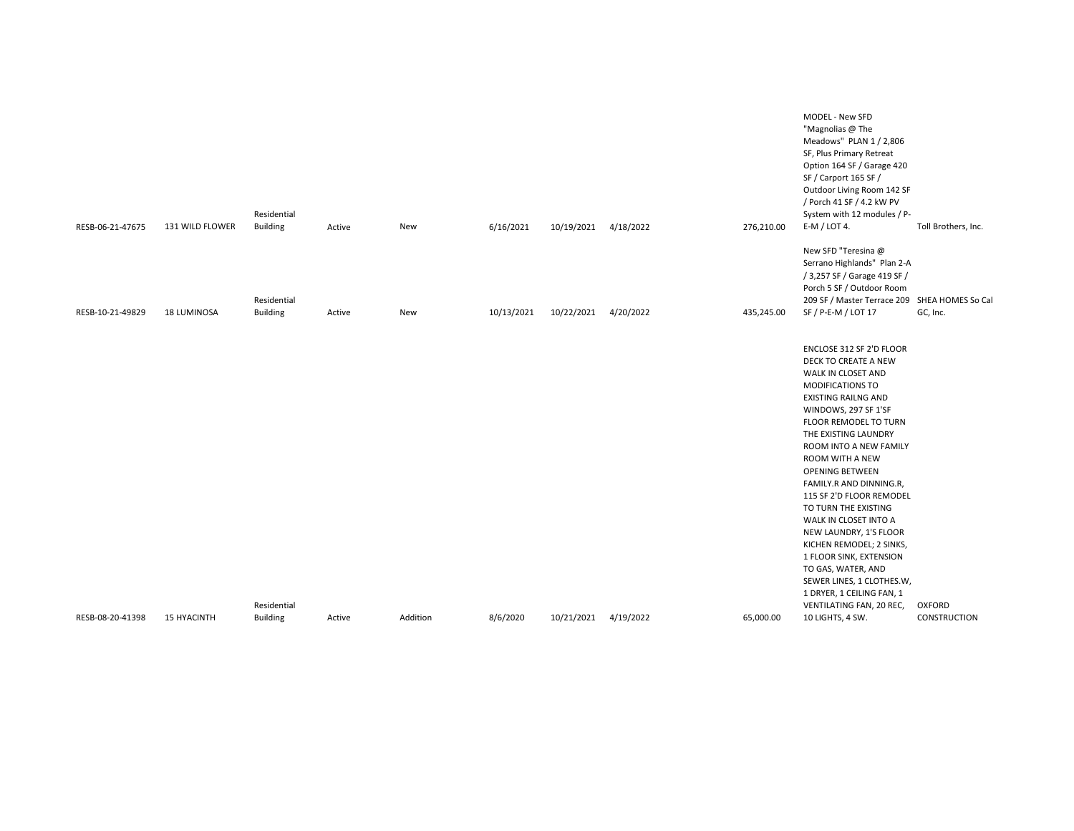| RESB-06-21-47675 | 131 WILD FLOWER    | Residential<br><b>Building</b> | Active | New      | 6/16/2021  | 10/19/2021           | 4/18/2022 | 276,210.00 | MODEL - New SFD<br>"Magnolias @ The<br>Meadows" PLAN 1 / 2,806<br>SF, Plus Primary Retreat<br>Option 164 SF / Garage 420<br>SF / Carport 165 SF /<br>Outdoor Living Room 142 SF<br>/ Porch 41 SF / 4.2 kW PV<br>System with 12 modules / P-<br>E-M / LOT 4.                                                                                                                                                                                                                                                                                                                   | Toll Brothers, Inc. |
|------------------|--------------------|--------------------------------|--------|----------|------------|----------------------|-----------|------------|-------------------------------------------------------------------------------------------------------------------------------------------------------------------------------------------------------------------------------------------------------------------------------------------------------------------------------------------------------------------------------------------------------------------------------------------------------------------------------------------------------------------------------------------------------------------------------|---------------------|
|                  |                    |                                |        |          |            |                      |           |            |                                                                                                                                                                                                                                                                                                                                                                                                                                                                                                                                                                               |                     |
|                  |                    | Residential                    |        |          |            |                      |           |            | New SFD "Teresina @<br>Serrano Highlands" Plan 2-A<br>/ 3,257 SF / Garage 419 SF /<br>Porch 5 SF / Outdoor Room<br>209 SF / Master Terrace 209 SHEA HOMES So Cal                                                                                                                                                                                                                                                                                                                                                                                                              |                     |
| RESB-10-21-49829 | 18 LUMINOSA        | <b>Building</b>                | Active | New      | 10/13/2021 | 10/22/2021           | 4/20/2022 | 435,245.00 | SF / P-E-M / LOT 17                                                                                                                                                                                                                                                                                                                                                                                                                                                                                                                                                           | GC, Inc.            |
|                  |                    | Residential                    |        |          |            |                      |           |            | ENCLOSE 312 SF 2'D FLOOR<br>DECK TO CREATE A NEW<br>WALK IN CLOSET AND<br>MODIFICATIONS TO<br><b>EXISTING RAILNG AND</b><br>WINDOWS, 297 SF 1'SF<br>FLOOR REMODEL TO TURN<br>THE EXISTING LAUNDRY<br>ROOM INTO A NEW FAMILY<br>ROOM WITH A NEW<br><b>OPENING BETWEEN</b><br>FAMILY.R AND DINNING.R,<br>115 SF 2'D FLOOR REMODEL<br>TO TURN THE EXISTING<br>WALK IN CLOSET INTO A<br>NEW LAUNDRY, 1'S FLOOR<br>KICHEN REMODEL; 2 SINKS,<br>1 FLOOR SINK, EXTENSION<br>TO GAS, WATER, AND<br>SEWER LINES, 1 CLOTHES.W,<br>1 DRYER, 1 CEILING FAN, 1<br>VENTILATING FAN, 20 REC, | OXFORD              |
| RESB-08-20-41398 | <b>15 HYACINTH</b> | <b>Building</b>                | Active | Addition | 8/6/2020   | 10/21/2021 4/19/2022 |           | 65,000.00  | 10 LIGHTS, 4 SW.                                                                                                                                                                                                                                                                                                                                                                                                                                                                                                                                                              | CONSTRUCTION        |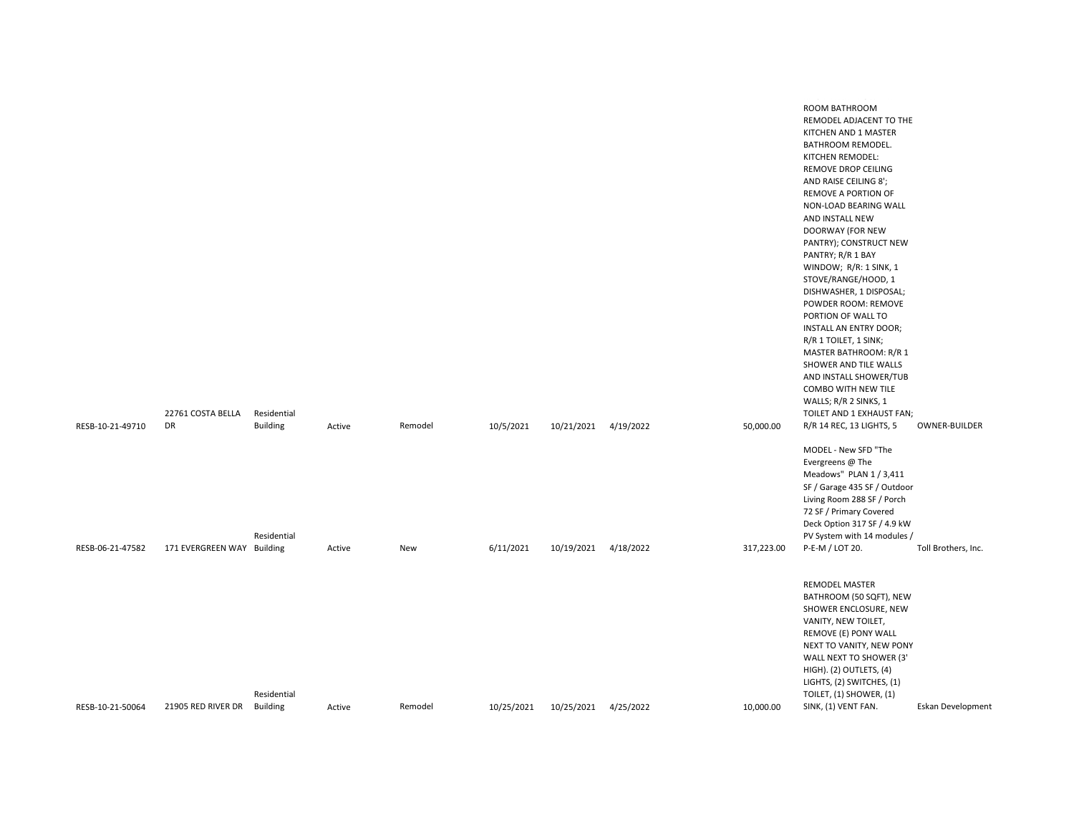|                  |                            |                 |        |         |            |                      |           |            | للمستعدد سالم المديد والمسالمة وللد                              |                     |
|------------------|----------------------------|-----------------|--------|---------|------------|----------------------|-----------|------------|------------------------------------------------------------------|---------------------|
|                  |                            |                 |        |         |            |                      |           |            | ROOM BATHROOM<br>REMODEL ADJACENT TO THE<br>KITCHEN AND 1 MASTER |                     |
|                  |                            |                 |        |         |            |                      |           |            | BATHROOM REMODEL.<br>KITCHEN REMODEL:                            |                     |
|                  |                            |                 |        |         |            |                      |           |            | REMOVE DROP CEILING                                              |                     |
|                  |                            |                 |        |         |            |                      |           |            | AND RAISE CEILING 8';<br>REMOVE A PORTION OF                     |                     |
|                  |                            |                 |        |         |            |                      |           |            | NON-LOAD BEARING WALL<br>AND INSTALL NEW                         |                     |
|                  |                            |                 |        |         |            |                      |           |            | DOORWAY (FOR NEW<br>PANTRY); CONSTRUCT NEW                       |                     |
|                  |                            |                 |        |         |            |                      |           |            | PANTRY; R/R 1 BAY                                                |                     |
|                  |                            |                 |        |         |            |                      |           |            | WINDOW; R/R: 1 SINK, 1<br>STOVE/RANGE/HOOD, 1                    |                     |
|                  |                            |                 |        |         |            |                      |           |            | DISHWASHER, 1 DISPOSAL;<br>POWDER ROOM: REMOVE                   |                     |
|                  |                            |                 |        |         |            |                      |           |            | PORTION OF WALL TO<br>INSTALL AN ENTRY DOOR;                     |                     |
|                  |                            |                 |        |         |            |                      |           |            | R/R 1 TOILET, 1 SINK;                                            |                     |
|                  |                            |                 |        |         |            |                      |           |            | MASTER BATHROOM: R/R 1<br>SHOWER AND TILE WALLS                  |                     |
|                  |                            |                 |        |         |            |                      |           |            | AND INSTALL SHOWER/TUB<br>COMBO WITH NEW TILE                    |                     |
|                  | 22761 COSTA BELLA          | Residential     |        |         |            |                      |           |            | WALLS; R/R 2 SINKS, 1<br>TOILET AND 1 EXHAUST FAN;               |                     |
| RESB-10-21-49710 | DR                         | <b>Building</b> | Active | Remodel | 10/5/2021  | 10/21/2021           | 4/19/2022 | 50,000.00  | R/R 14 REC, 13 LIGHTS, 5                                         | OWNER-BUILDER       |
|                  |                            |                 |        |         |            |                      |           |            | MODEL - New SFD "The                                             |                     |
|                  |                            |                 |        |         |            |                      |           |            | Evergreens @ The<br>Meadows" PLAN 1 / 3,411                      |                     |
|                  |                            |                 |        |         |            |                      |           |            | SF / Garage 435 SF / Outdoor<br>Living Room 288 SF / Porch       |                     |
|                  |                            |                 |        |         |            |                      |           |            | 72 SF / Primary Covered<br>Deck Option 317 SF / 4.9 kW           |                     |
|                  |                            | Residential     |        |         |            |                      |           |            | PV System with 14 modules /                                      |                     |
| RESB-06-21-47582 | 171 EVERGREEN WAY Building |                 | Active | New     | 6/11/2021  | 10/19/2021 4/18/2022 |           | 317,223.00 | P-E-M / LOT 20.                                                  | Toll Brothers, Inc. |
|                  |                            |                 |        |         |            |                      |           |            | <b>REMODEL MASTER</b>                                            |                     |
|                  |                            |                 |        |         |            |                      |           |            | BATHROOM (50 SQFT), NEW<br>SHOWER ENCLOSURE, NEW                 |                     |
|                  |                            |                 |        |         |            |                      |           |            | VANITY, NEW TOILET,<br>REMOVE (E) PONY WALL                      |                     |
|                  |                            |                 |        |         |            |                      |           |            | NEXT TO VANITY, NEW PONY<br>WALL NEXT TO SHOWER (3'              |                     |
|                  |                            |                 |        |         |            |                      |           |            | HIGH). (2) OUTLETS, (4)                                          |                     |
|                  |                            | Residential     |        |         |            |                      |           |            | LIGHTS, (2) SWITCHES, (1)<br>TOILET, (1) SHOWER, (1)             |                     |
| RESB-10-21-50064 | 21905 RED RIVER DR         | <b>Building</b> | Active | Remodel | 10/25/2021 | 10/25/2021           | 4/25/2022 | 10,000.00  | SINK, (1) VENT FAN.                                              | Eskan Developmen    |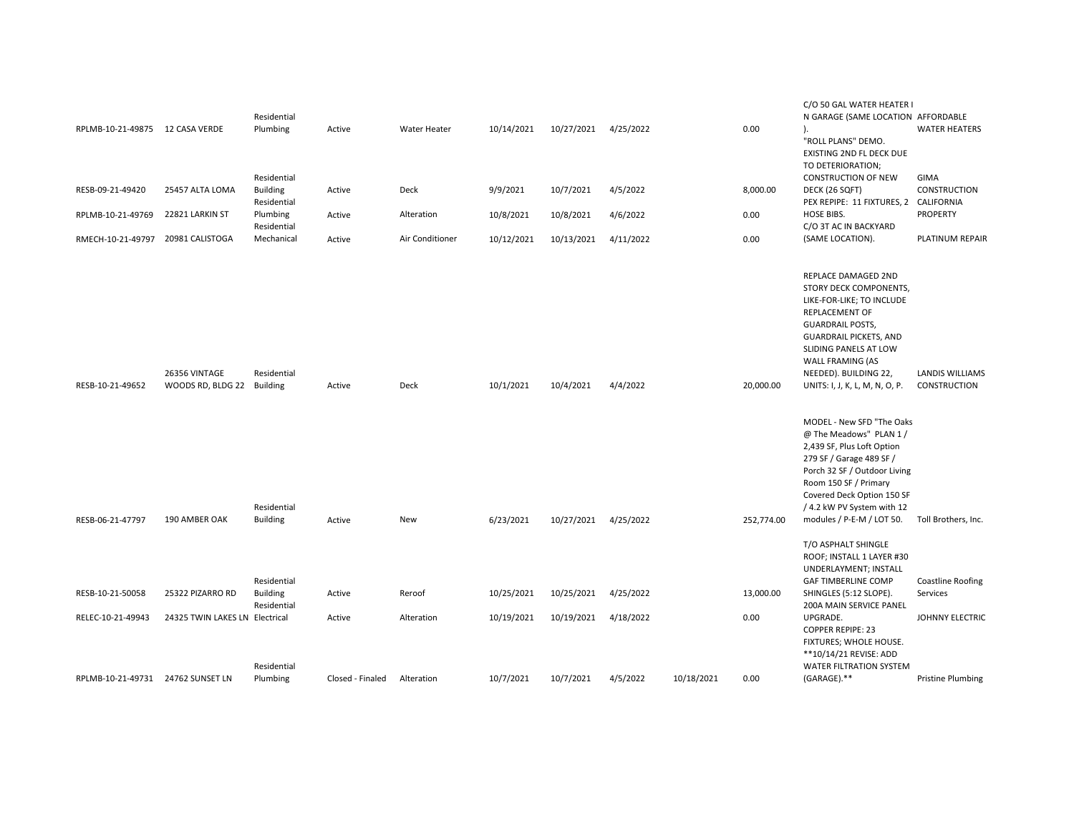| RPLMB-10-21-49875 12 CASA VERDE   |                                             | Residential<br>Plumbing                       | Active           | Water Heater    | 10/14/2021 | 10/27/2021 | 4/25/2022 |            | 0.00       | C/O 50 GAL WATER HEATER I<br>N GARAGE (SAME LOCATION AFFORDABLE<br>).<br>"ROLL PLANS" DEMO.<br>EXISTING 2ND FL DECK DUE<br>TO DETERIORATION;                                                                                                                                                                                                                                       | <b>WATER HEATERS</b>                   |
|-----------------------------------|---------------------------------------------|-----------------------------------------------|------------------|-----------------|------------|------------|-----------|------------|------------|------------------------------------------------------------------------------------------------------------------------------------------------------------------------------------------------------------------------------------------------------------------------------------------------------------------------------------------------------------------------------------|----------------------------------------|
| RESB-09-21-49420                  | 25457 ALTA LOMA                             | Residential<br><b>Building</b>                | Active           | Deck            | 9/9/2021   | 10/7/2021  | 4/5/2022  |            | 8,000.00   | <b>CONSTRUCTION OF NEW</b><br>DECK (26 SQFT)                                                                                                                                                                                                                                                                                                                                       | GIMA<br>CONSTRUCTION                   |
| RPLMB-10-21-49769                 | 22821 LARKIN ST                             | Residential<br>Plumbing                       | Active           | Alteration      | 10/8/2021  | 10/8/2021  | 4/6/2022  |            | 0.00       | PEX REPIPE: 11 FIXTURES, 2 CALIFORNIA<br><b>HOSE BIBS.</b>                                                                                                                                                                                                                                                                                                                         | <b>PROPERTY</b>                        |
| RMECH-10-21-49797                 | 20981 CALISTOGA                             | Residential<br>Mechanical                     | Active           | Air Conditioner | 10/12/2021 | 10/13/2021 | 4/11/2022 |            | 0.00       | C/O 3T AC IN BACKYARD<br>(SAME LOCATION).                                                                                                                                                                                                                                                                                                                                          | PLATINUM REPAIR                        |
| RESB-10-21-49652                  | 26356 VINTAGE<br>WOODS RD, BLDG 22 Building | Residential                                   | Active           | Deck            | 10/1/2021  | 10/4/2021  | 4/4/2022  |            | 20,000.00  | REPLACE DAMAGED 2ND<br>STORY DECK COMPONENTS,<br>LIKE-FOR-LIKE; TO INCLUDE<br>REPLACEMENT OF<br><b>GUARDRAIL POSTS,</b><br><b>GUARDRAIL PICKETS, AND</b><br>SLIDING PANELS AT LOW<br>WALL FRAMING (AS<br>NEEDED). BUILDING 22,<br>UNITS: I, J, K, L, M, N, O, P.<br>MODEL - New SFD "The Oaks<br>@ The Meadows" PLAN 1 /<br>2,439 SF, Plus Loft Option<br>279 SF / Garage 489 SF / | <b>LANDIS WILLIAMS</b><br>CONSTRUCTION |
| RESB-06-21-47797                  | 190 AMBER OAK                               | Residential<br><b>Building</b>                | Active           | New             | 6/23/2021  | 10/27/2021 | 4/25/2022 |            | 252,774.00 | Porch 32 SF / Outdoor Living<br>Room 150 SF / Primary<br>Covered Deck Option 150 SF<br>/ 4.2 kW PV System with 12<br>modules / P-E-M / LOT 50.<br>T/O ASPHALT SHINGLE                                                                                                                                                                                                              | Toll Brothers, Inc.                    |
|                                   |                                             |                                               |                  |                 |            |            |           |            |            | ROOF; INSTALL 1 LAYER #30<br>UNDERLAYMENT; INSTALL                                                                                                                                                                                                                                                                                                                                 |                                        |
| RESB-10-21-50058                  | 25322 PIZARRO RD                            | Residential<br><b>Building</b><br>Residential | Active           | Reroof          | 10/25/2021 | 10/25/2021 | 4/25/2022 |            | 13,000.00  | <b>GAF TIMBERLINE COMP</b><br>SHINGLES (5:12 SLOPE).<br>200A MAIN SERVICE PANEL                                                                                                                                                                                                                                                                                                    | <b>Coastline Roofing</b><br>Services   |
| RELEC-10-21-49943                 | 24325 TWIN LAKES LN Electrical              |                                               | Active           | Alteration      | 10/19/2021 | 10/19/2021 | 4/18/2022 |            | 0.00       | UPGRADE.<br><b>COPPER REPIPE: 23</b><br>FIXTURES; WHOLE HOUSE.<br>**10/14/21 REVISE: ADD                                                                                                                                                                                                                                                                                           | JOHNNY ELECTRIC                        |
| RPLMB-10-21-49731 24762 SUNSET LN |                                             | Residential<br>Plumbing                       | Closed - Finaled | Alteration      | 10/7/2021  | 10/7/2021  | 4/5/2022  | 10/18/2021 | 0.00       | WATER FILTRATION SYSTEM<br>(GARAGE).**                                                                                                                                                                                                                                                                                                                                             | <b>Pristine Plumbing</b>               |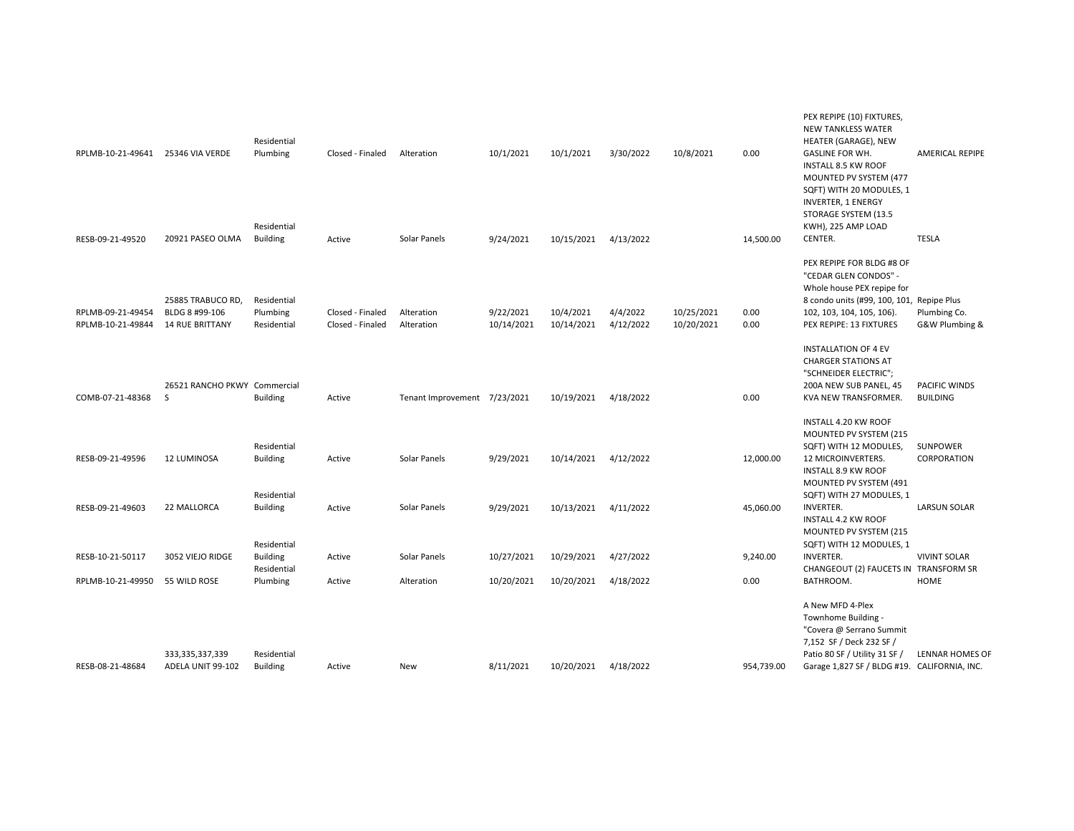| RPLMB-10-21-49641                      | 25346 VIA VERDE                                               | Residential<br>Plumbing                       | Closed - Finaled                     | Alteration                   | 10/1/2021               | 10/1/2021               | 3/30/2022             | 10/8/2021                | 0.00         | PEX REPIPE (10) FIXTURES,<br><b>NEW TANKLESS WATER</b><br>HEATER (GARAGE), NEW<br><b>GASLINE FOR WH.</b><br><b>INSTALL 8.5 KW ROOF</b><br>MOUNTED PV SYSTEM (477<br>SQFT) WITH 20 MODULES, 1 | <b>AMERICAL REPIPE</b>           |
|----------------------------------------|---------------------------------------------------------------|-----------------------------------------------|--------------------------------------|------------------------------|-------------------------|-------------------------|-----------------------|--------------------------|--------------|----------------------------------------------------------------------------------------------------------------------------------------------------------------------------------------------|----------------------------------|
| RESB-09-21-49520                       | 20921 PASEO OLMA                                              | Residential<br><b>Building</b>                | Active                               | Solar Panels                 | 9/24/2021               | 10/15/2021              | 4/13/2022             |                          | 14,500.00    | <b>INVERTER, 1 ENERGY</b><br>STORAGE SYSTEM (13.5<br>KWH), 225 AMP LOAD<br>CENTER.                                                                                                           | <b>TESLA</b>                     |
| RPLMB-09-21-49454<br>RPLMB-10-21-49844 | 25885 TRABUCO RD,<br>BLDG 8 #99-106<br><b>14 RUE BRITTANY</b> | Residential<br>Plumbing<br>Residential        | Closed - Finaled<br>Closed - Finaled | Alteration<br>Alteration     | 9/22/2021<br>10/14/2021 | 10/4/2021<br>10/14/2021 | 4/4/2022<br>4/12/2022 | 10/25/2021<br>10/20/2021 | 0.00<br>0.00 | PEX REPIPE FOR BLDG #8 OF<br>"CEDAR GLEN CONDOS" -<br>Whole house PEX repipe for<br>8 condo units (#99, 100, 101, Repipe Plus<br>102, 103, 104, 105, 106).<br>PEX REPIPE: 13 FIXTURES        | Plumbing Co.<br>G&W Plumbing &   |
| COMB-07-21-48368                       | 26521 RANCHO PKWY Commercial<br>S                             | <b>Building</b>                               | Active                               | Tenant Improvement 7/23/2021 |                         | 10/19/2021              | 4/18/2022             |                          | 0.00         | <b>INSTALLATION OF 4 EV</b><br><b>CHARGER STATIONS AT</b><br>"SCHNEIDER ELECTRIC";<br>200A NEW SUB PANEL, 45<br>KVA NEW TRANSFORMER.                                                         | PACIFIC WINDS<br><b>BUILDING</b> |
|                                        |                                                               |                                               |                                      |                              |                         |                         |                       |                          |              | INSTALL 4.20 KW ROOF<br>MOUNTED PV SYSTEM (215                                                                                                                                               |                                  |
| RESB-09-21-49596                       | 12 LUMINOSA                                                   | Residential<br><b>Building</b>                | Active                               | Solar Panels                 | 9/29/2021               | 10/14/2021              | 4/12/2022             |                          | 12,000.00    | SQFT) WITH 12 MODULES,<br>12 MICROINVERTERS.<br><b>INSTALL 8.9 KW ROOF</b><br>MOUNTED PV SYSTEM (491                                                                                         | <b>SUNPOWER</b><br>CORPORATION   |
| RESB-09-21-49603                       | 22 MALLORCA                                                   | Residential<br><b>Building</b>                | Active                               | Solar Panels                 | 9/29/2021               | 10/13/2021              | 4/11/2022             |                          | 45,060.00    | SQFT) WITH 27 MODULES, 1<br><b>INVERTER.</b><br>INSTALL 4.2 KW ROOF<br>MOUNTED PV SYSTEM (215                                                                                                | <b>LARSUN SOLAR</b>              |
| RESB-10-21-50117                       | 3052 VIEJO RIDGE                                              | Residential<br><b>Building</b><br>Residential | Active                               | Solar Panels                 | 10/27/2021              | 10/29/2021              | 4/27/2022             |                          | 9,240.00     | SQFT) WITH 12 MODULES, 1<br><b>INVERTER.</b><br>CHANGEOUT (2) FAUCETS IN TRANSFORM SR                                                                                                        | <b>VIVINT SOLAR</b>              |
| RPLMB-10-21-49950                      | 55 WILD ROSE                                                  | Plumbing                                      | Active                               | Alteration                   | 10/20/2021              | 10/20/2021              | 4/18/2022             |                          | 0.00         | BATHROOM.                                                                                                                                                                                    | <b>HOME</b>                      |
| RESB-08-21-48684                       | 333,335,337,339<br>ADELA UNIT 99-102                          | Residential<br><b>Building</b>                | Active                               | New                          | 8/11/2021               | 10/20/2021              | 4/18/2022             |                          | 954,739.00   | A New MFD 4-Plex<br>Townhome Building -<br>"Covera @ Serrano Summit<br>7,152 SF / Deck 232 SF /<br>Patio 80 SF / Utility 31 SF /<br>Garage 1,827 SF / BLDG #19. CALIFORNIA, INC.             | LENNAR HOMES OF                  |
|                                        |                                                               |                                               |                                      |                              |                         |                         |                       |                          |              |                                                                                                                                                                                              |                                  |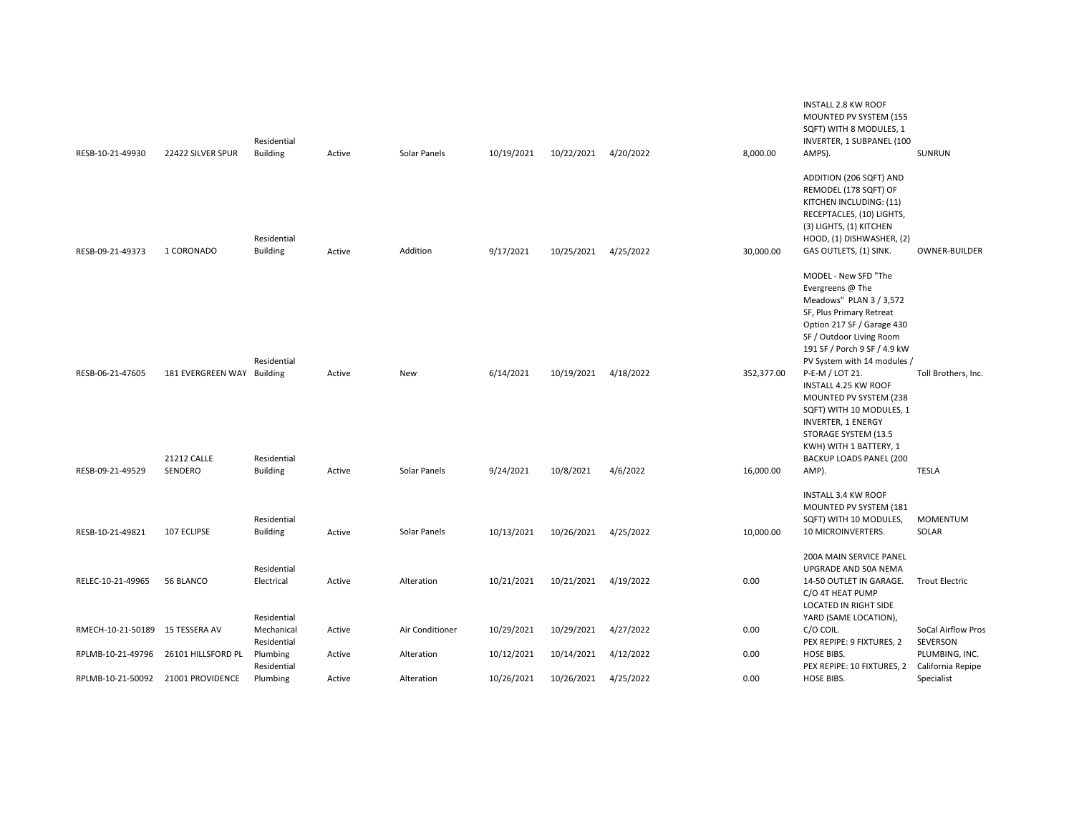| RESB-10-21-49930                   | 22422 SILVER SPUR             | Residential<br><b>Building</b>           | Active | Solar Panels    | 10/19/2021 | 10/22/2021 | 4/20/2022 | 8,000.00   | <b>INSTALL 2.8 KW ROOF</b><br>MOUNTED PV SYSTEM (155<br>SQFT) WITH 8 MODULES, 1<br>INVERTER, 1 SUBPANEL (100<br>AMPS).                                                                                                   | <b>SUNRUN</b>                       |
|------------------------------------|-------------------------------|------------------------------------------|--------|-----------------|------------|------------|-----------|------------|--------------------------------------------------------------------------------------------------------------------------------------------------------------------------------------------------------------------------|-------------------------------------|
|                                    |                               | Residential                              |        |                 |            |            |           |            | ADDITION (206 SQFT) AND<br>REMODEL (178 SQFT) OF<br>KITCHEN INCLUDING: (11)<br>RECEPTACLES, (10) LIGHTS,<br>(3) LIGHTS, (1) KITCHEN<br>HOOD, (1) DISHWASHER, (2)                                                         |                                     |
| RESB-09-21-49373                   | 1 CORONADO                    | <b>Building</b>                          | Active | Addition        | 9/17/2021  | 10/25/2021 | 4/25/2022 | 30,000.00  | GAS OUTLETS, (1) SINK.                                                                                                                                                                                                   | <b>OWNER-BUILDER</b>                |
|                                    |                               | Residential                              |        |                 |            |            |           |            | MODEL - New SFD "The<br>Evergreens @ The<br>Meadows" PLAN 3 / 3,572<br>SF, Plus Primary Retreat<br>Option 217 SF / Garage 430<br>SF / Outdoor Living Room<br>191 SF / Porch 9 SF / 4.9 kW<br>PV System with 14 modules / |                                     |
| RESB-06-21-47605                   | 181 EVERGREEN WAY Building    |                                          | Active | New             | 6/14/2021  | 10/19/2021 | 4/18/2022 | 352,377.00 | P-E-M / LOT 21.<br><b>INSTALL 4.25 KW ROOF</b><br>MOUNTED PV SYSTEM (238<br>SQFT) WITH 10 MODULES, 1<br><b>INVERTER, 1 ENERGY</b><br>STORAGE SYSTEM (13.5<br>KWH) WITH 1 BATTERY, 1                                      | Toll Brothers, Inc.                 |
| RESB-09-21-49529                   | <b>21212 CALLE</b><br>SENDERO | Residential<br><b>Building</b>           | Active | Solar Panels    | 9/24/2021  | 10/8/2021  | 4/6/2022  | 16,000.00  | BACKUP LOADS PANEL (200<br>AMP).                                                                                                                                                                                         | <b>TESLA</b>                        |
| RESB-10-21-49821                   | 107 ECLIPSE                   | Residential<br><b>Building</b>           | Active | Solar Panels    | 10/13/2021 | 10/26/2021 | 4/25/2022 | 10,000.00  | <b>INSTALL 3.4 KW ROOF</b><br>MOUNTED PV SYSTEM (181<br>SQFT) WITH 10 MODULES,<br>10 MICROINVERTERS.                                                                                                                     | <b>MOMENTUM</b><br>SOLAR            |
|                                    |                               |                                          |        |                 |            |            |           |            | 200A MAIN SERVICE PANEL                                                                                                                                                                                                  |                                     |
| RELEC-10-21-49965                  | 56 BLANCO                     | Residential<br>Electrical<br>Residential | Active | Alteration      | 10/21/2021 | 10/21/2021 | 4/19/2022 | 0.00       | UPGRADE AND 50A NEMA<br>14-50 OUTLET IN GARAGE.<br>C/O 4T HEAT PUMP<br>LOCATED IN RIGHT SIDE<br>YARD (SAME LOCATION),                                                                                                    | <b>Trout Electric</b>               |
| RMECH-10-21-50189                  | 15 TESSERA AV                 | Mechanical<br>Residential                | Active | Air Conditioner | 10/29/2021 | 10/29/2021 | 4/27/2022 | 0.00       | C/O COIL.<br>PEX REPIPE: 9 FIXTURES, 2                                                                                                                                                                                   | SoCal Airflow Pros<br>SEVERSON      |
| RPLMB-10-21-49796                  | 26101 HILLSFORD PL            | Plumbing<br>Residential                  | Active | Alteration      | 10/12/2021 | 10/14/2021 | 4/12/2022 | 0.00       | HOSE BIBS.<br>PEX REPIPE: 10 FIXTURES, 2                                                                                                                                                                                 | PLUMBING, INC.<br>California Repipe |
| RPLMB-10-21-50092 21001 PROVIDENCE |                               | Plumbing                                 | Active | Alteration      | 10/26/2021 | 10/26/2021 | 4/25/2022 | 0.00       | HOSE BIBS.                                                                                                                                                                                                               | Specialist                          |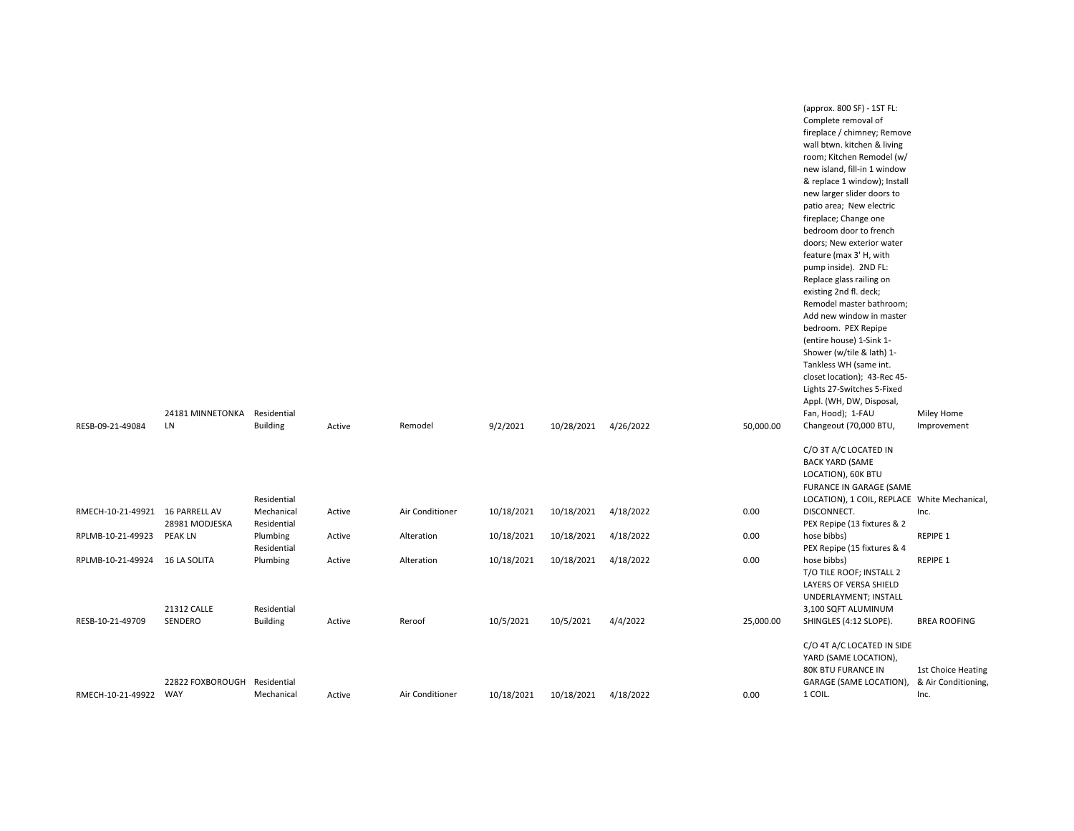|                                 |                              |                 |        |                 |            |                      |           |           | mandalan da ada arasan masar                 |                     |
|---------------------------------|------------------------------|-----------------|--------|-----------------|------------|----------------------|-----------|-----------|----------------------------------------------|---------------------|
|                                 |                              |                 |        |                 |            |                      |           |           | (approx. 800 SF) - 1ST FL:                   |                     |
|                                 |                              |                 |        |                 |            |                      |           |           | Complete removal of                          |                     |
|                                 |                              |                 |        |                 |            |                      |           |           | fireplace / chimney; Remove                  |                     |
|                                 |                              |                 |        |                 |            |                      |           |           | wall btwn. kitchen & living                  |                     |
|                                 |                              |                 |        |                 |            |                      |           |           | room; Kitchen Remodel (w/                    |                     |
|                                 |                              |                 |        |                 |            |                      |           |           | new island, fill-in 1 window                 |                     |
|                                 |                              |                 |        |                 |            |                      |           |           | & replace 1 window); Install                 |                     |
|                                 |                              |                 |        |                 |            |                      |           |           | new larger slider doors to                   |                     |
|                                 |                              |                 |        |                 |            |                      |           |           | patio area; New electric                     |                     |
|                                 |                              |                 |        |                 |            |                      |           |           | fireplace; Change one                        |                     |
|                                 |                              |                 |        |                 |            |                      |           |           | bedroom door to french                       |                     |
|                                 |                              |                 |        |                 |            |                      |           |           | doors; New exterior water                    |                     |
|                                 |                              |                 |        |                 |            |                      |           |           | feature (max 3'H, with                       |                     |
|                                 |                              |                 |        |                 |            |                      |           |           | pump inside). 2ND FL:                        |                     |
|                                 |                              |                 |        |                 |            |                      |           |           | Replace glass railing on                     |                     |
|                                 |                              |                 |        |                 |            |                      |           |           | existing 2nd fl. deck;                       |                     |
|                                 |                              |                 |        |                 |            |                      |           |           | Remodel master bathroom;                     |                     |
|                                 |                              |                 |        |                 |            |                      |           |           | Add new window in master                     |                     |
|                                 |                              |                 |        |                 |            |                      |           |           | bedroom. PEX Repipe                          |                     |
|                                 |                              |                 |        |                 |            |                      |           |           | (entire house) 1-Sink 1-                     |                     |
|                                 |                              |                 |        |                 |            |                      |           |           | Shower (w/tile & lath) 1-                    |                     |
|                                 |                              |                 |        |                 |            |                      |           |           | Tankless WH (same int.                       |                     |
|                                 |                              |                 |        |                 |            |                      |           |           |                                              |                     |
|                                 |                              |                 |        |                 |            |                      |           |           | closet location); 43-Rec 45-                 |                     |
|                                 |                              |                 |        |                 |            |                      |           |           | Lights 27-Switches 5-Fixed                   |                     |
|                                 |                              |                 |        |                 |            |                      |           |           | Appl. (WH, DW, Disposal,                     |                     |
|                                 | 24181 MINNETONKA Residential |                 |        |                 |            |                      |           |           | Fan, Hood); 1-FAU                            | Miley Home          |
| RESB-09-21-49084                | LN                           | <b>Building</b> | Active | Remodel         | 9/2/2021   | 10/28/2021           | 4/26/2022 | 50,000.00 | Changeout (70,000 BTU,                       | Improvement         |
|                                 |                              |                 |        |                 |            |                      |           |           |                                              |                     |
|                                 |                              |                 |        |                 |            |                      |           |           | C/O 3T A/C LOCATED IN                        |                     |
|                                 |                              |                 |        |                 |            |                      |           |           | <b>BACK YARD (SAME</b>                       |                     |
|                                 |                              |                 |        |                 |            |                      |           |           | LOCATION), 60K BTU                           |                     |
|                                 |                              |                 |        |                 |            |                      |           |           | FURANCE IN GARAGE (SAME                      |                     |
|                                 |                              | Residential     |        |                 |            |                      |           |           | LOCATION), 1 COIL, REPLACE White Mechanical, |                     |
| RMECH-10-21-49921 16 PARRELL AV |                              | Mechanical      | Active | Air Conditioner | 10/18/2021 | 10/18/2021           | 4/18/2022 | 0.00      | DISCONNECT.                                  | Inc.                |
|                                 | 28981 MODJESKA               | Residential     |        |                 |            |                      |           |           | PEX Repipe (13 fixtures & 2                  |                     |
| RPLMB-10-21-49923               | <b>PEAK LN</b>               | Plumbing        | Active | Alteration      | 10/18/2021 | 10/18/2021           | 4/18/2022 | 0.00      | hose bibbs)                                  | REPIPE 1            |
|                                 |                              | Residential     |        |                 |            |                      |           |           | PEX Repipe (15 fixtures & 4                  |                     |
| RPLMB-10-21-49924 16 LA SOLITA  |                              | Plumbing        | Active | Alteration      | 10/18/2021 | 10/18/2021           | 4/18/2022 | 0.00      | hose bibbs)                                  | <b>REPIPE 1</b>     |
|                                 |                              |                 |        |                 |            |                      |           |           | T/O TILE ROOF; INSTALL 2                     |                     |
|                                 |                              |                 |        |                 |            |                      |           |           | LAYERS OF VERSA SHIELD                       |                     |
|                                 |                              |                 |        |                 |            |                      |           |           | UNDERLAYMENT; INSTALL                        |                     |
|                                 | 21312 CALLE                  | Residential     |        |                 |            |                      |           |           | 3,100 SQFT ALUMINUM                          |                     |
| RESB-10-21-49709                | SENDERO                      | <b>Building</b> | Active | Reroof          | 10/5/2021  | 10/5/2021            | 4/4/2022  | 25,000.00 | SHINGLES (4:12 SLOPE).                       | <b>BREA ROOFING</b> |
|                                 |                              |                 |        |                 |            |                      |           |           |                                              |                     |
|                                 |                              |                 |        |                 |            |                      |           |           | C/O 4T A/C LOCATED IN SIDE                   |                     |
|                                 |                              |                 |        |                 |            |                      |           |           | YARD (SAME LOCATION),                        |                     |
|                                 |                              |                 |        |                 |            |                      |           |           |                                              |                     |
|                                 |                              |                 |        |                 |            |                      |           |           | 80K BTU FURANCE IN                           | 1st Choice Heating  |
|                                 | 22822 FOXBOROUGH Residential |                 |        |                 |            |                      |           |           | GARAGE (SAME LOCATION),                      | & Air Conditioning, |
| RMECH-10-21-49922               | WAY                          | Mechanical      | Active | Air Conditioner | 10/18/2021 | 10/18/2021 4/18/2022 |           | 0.00      | 1 COIL.                                      | Inc.                |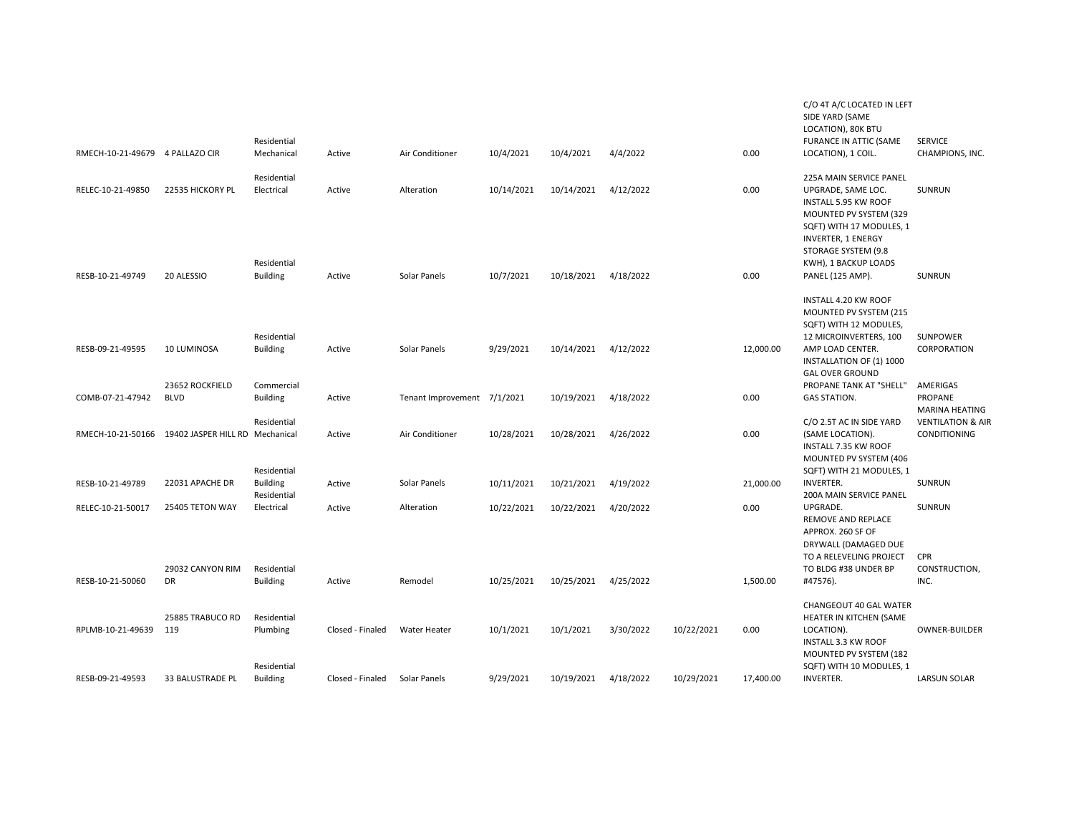|                                 |                                 |                           |                  |                             |            |            |           |            |           | C/O 4T A/C LOCATED IN LEFT<br>SIDE YARD (SAME<br>LOCATION), 80K BTU                                                                                    |                                              |
|---------------------------------|---------------------------------|---------------------------|------------------|-----------------------------|------------|------------|-----------|------------|-----------|--------------------------------------------------------------------------------------------------------------------------------------------------------|----------------------------------------------|
|                                 |                                 | Residential               |                  |                             |            |            |           |            |           | FURANCE IN ATTIC (SAME                                                                                                                                 | <b>SERVICE</b>                               |
| RMECH-10-21-49679 4 PALLAZO CIR |                                 | Mechanical                | Active           | Air Conditioner             | 10/4/2021  | 10/4/2021  | 4/4/2022  |            | 0.00      | LOCATION), 1 COIL.                                                                                                                                     | CHAMPIONS, INC.                              |
| RELEC-10-21-49850               | 22535 HICKORY PL                | Residential<br>Electrical | Active           | Alteration                  | 10/14/2021 | 10/14/2021 | 4/12/2022 |            | 0.00      | 225A MAIN SERVICE PANEL<br>UPGRADE, SAME LOC.                                                                                                          | <b>SUNRUN</b>                                |
|                                 |                                 | Residential               |                  |                             |            |            |           |            |           | INSTALL 5.95 KW ROOF<br>MOUNTED PV SYSTEM (329<br>SQFT) WITH 17 MODULES, 1<br><b>INVERTER, 1 ENERGY</b><br>STORAGE SYSTEM (9.8<br>KWH), 1 BACKUP LOADS |                                              |
| RESB-10-21-49749                | 20 ALESSIO                      | <b>Building</b>           | Active           | Solar Panels                | 10/7/2021  | 10/18/2021 | 4/18/2022 |            | 0.00      | PANEL (125 AMP).                                                                                                                                       | <b>SUNRUN</b>                                |
|                                 |                                 | Residential               |                  |                             |            |            |           |            |           | INSTALL 4.20 KW ROOF<br>MOUNTED PV SYSTEM (215<br>SQFT) WITH 12 MODULES,<br>12 MICROINVERTERS, 100                                                     | SUNPOWER                                     |
| RESB-09-21-49595                | 10 LUMINOSA                     | <b>Building</b>           | Active           | Solar Panels                | 9/29/2021  | 10/14/2021 | 4/12/2022 |            | 12,000.00 | AMP LOAD CENTER.<br>INSTALLATION OF (1) 1000<br><b>GAL OVER GROUND</b>                                                                                 | CORPORATION                                  |
|                                 | 23652 ROCKFIELD                 | Commercial                |                  |                             |            |            |           |            |           | PROPANE TANK AT "SHELL"                                                                                                                                | AMERIGAS                                     |
| COMB-07-21-47942                | <b>BLVD</b>                     | <b>Building</b>           | Active           | Tenant Improvement 7/1/2021 |            | 10/19/2021 | 4/18/2022 |            | 0.00      | <b>GAS STATION.</b>                                                                                                                                    | PROPANE                                      |
|                                 |                                 |                           |                  |                             |            |            |           |            |           |                                                                                                                                                        | <b>MARINA HEATING</b>                        |
| RMECH-10-21-50166               | 19402 JASPER HILL RD Mechanical | Residential               | Active           | Air Conditioner             | 10/28/2021 | 10/28/2021 | 4/26/2022 |            | 0.00      | C/O 2.5T AC IN SIDE YARD<br>(SAME LOCATION).                                                                                                           | <b>VENTILATION &amp; AIR</b><br>CONDITIONING |
|                                 |                                 | Residential               |                  |                             |            |            |           |            |           | INSTALL 7.35 KW ROOF<br>MOUNTED PV SYSTEM (406<br>SQFT) WITH 21 MODULES, 1                                                                             |                                              |
| RESB-10-21-49789                | 22031 APACHE DR                 | <b>Building</b>           | Active           | Solar Panels                | 10/11/2021 | 10/21/2021 | 4/19/2022 |            | 21,000.00 | <b>INVERTER.</b>                                                                                                                                       | <b>SUNRUN</b>                                |
|                                 |                                 | Residential               |                  |                             |            |            |           |            |           | <b>200A MAIN SERVICE PANEL</b>                                                                                                                         |                                              |
| RELEC-10-21-50017               | 25405 TETON WAY                 | Electrical                | Active           | Alteration                  | 10/22/2021 | 10/22/2021 | 4/20/2022 |            | 0.00      | UPGRADE.                                                                                                                                               | <b>SUNRUN</b>                                |
|                                 |                                 |                           |                  |                             |            |            |           |            |           | REMOVE AND REPLACE<br>APPROX. 260 SF OF                                                                                                                |                                              |
|                                 |                                 |                           |                  |                             |            |            |           |            |           | DRYWALL (DAMAGED DUE                                                                                                                                   |                                              |
|                                 |                                 |                           |                  |                             |            |            |           |            |           | TO A RELEVELING PROJECT                                                                                                                                | <b>CPR</b>                                   |
|                                 | 29032 CANYON RIM                | Residential               |                  |                             |            |            |           |            |           | TO BLDG #38 UNDER BP                                                                                                                                   | CONSTRUCTION,                                |
| RESB-10-21-50060                | DR                              | <b>Building</b>           | Active           | Remodel                     | 10/25/2021 | 10/25/2021 | 4/25/2022 |            | 1,500.00  | #47576).                                                                                                                                               | INC.                                         |
|                                 |                                 |                           |                  |                             |            |            |           |            |           |                                                                                                                                                        |                                              |
|                                 |                                 |                           |                  |                             |            |            |           |            |           | CHANGEOUT 40 GAL WATER                                                                                                                                 |                                              |
| RPLMB-10-21-49639               | 25885 TRABUCO RD<br>119         | Residential<br>Plumbing   | Closed - Finaled | Water Heater                | 10/1/2021  | 10/1/2021  | 3/30/2022 | 10/22/2021 | 0.00      | HEATER IN KITCHEN (SAME<br>LOCATION).                                                                                                                  | OWNER-BUILDER                                |
|                                 |                                 |                           |                  |                             |            |            |           |            |           | <b>INSTALL 3.3 KW ROOF</b>                                                                                                                             |                                              |
|                                 |                                 |                           |                  |                             |            |            |           |            |           | MOUNTED PV SYSTEM (182                                                                                                                                 |                                              |
|                                 |                                 | Residential               |                  |                             |            |            |           |            |           | SQFT) WITH 10 MODULES, 1                                                                                                                               |                                              |
| RESB-09-21-49593                | 33 BALUSTRADE PL                | <b>Building</b>           | Closed - Finaled | Solar Panels                | 9/29/2021  | 10/19/2021 | 4/18/2022 | 10/29/2021 | 17,400.00 | <b>INVERTER.</b>                                                                                                                                       | <b>LARSUN SOLAR</b>                          |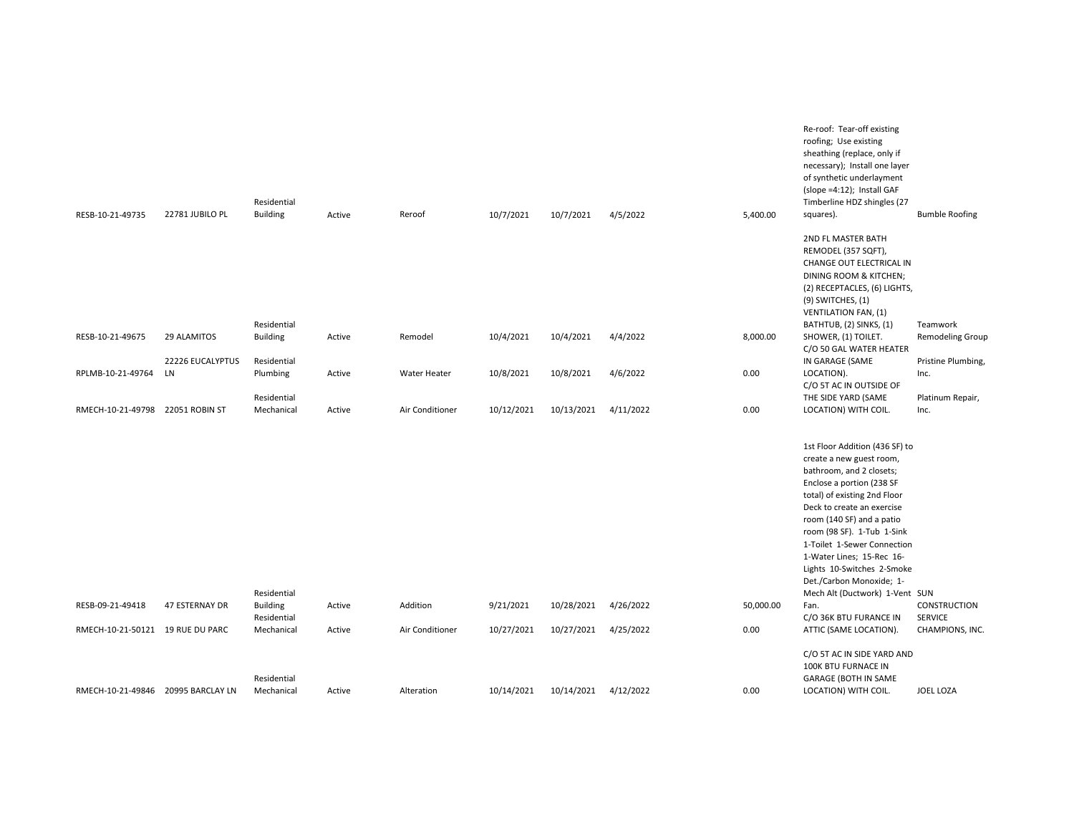|                                    |                  | Residential                    |        |                 |            |                      |           |           | Re-roof: Tear-off existing<br>roofing; Use existing<br>sheathing (replace, only if<br>necessary); Install one layer<br>of synthetic underlayment<br>(slope =4:12); Install GAF<br>Timberline HDZ shingles (27                                                                                                                                                                                        |                                   |
|------------------------------------|------------------|--------------------------------|--------|-----------------|------------|----------------------|-----------|-----------|------------------------------------------------------------------------------------------------------------------------------------------------------------------------------------------------------------------------------------------------------------------------------------------------------------------------------------------------------------------------------------------------------|-----------------------------------|
| RESB-10-21-49735                   | 22781 JUBILO PL  | <b>Building</b>                | Active | Reroof          | 10/7/2021  | 10/7/2021            | 4/5/2022  | 5,400.00  | squares).                                                                                                                                                                                                                                                                                                                                                                                            | <b>Bumble Roofing</b>             |
|                                    |                  |                                |        |                 |            |                      |           |           | 2ND FL MASTER BATH<br>REMODEL (357 SQFT),<br>CHANGE OUT ELECTRICAL IN<br>DINING ROOM & KITCHEN;<br>(2) RECEPTACLES, (6) LIGHTS,<br>$(9)$ SWITCHES, $(1)$<br><b>VENTILATION FAN, (1)</b>                                                                                                                                                                                                              |                                   |
| RESB-10-21-49675                   | 29 ALAMITOS      | Residential<br><b>Building</b> | Active | Remodel         | 10/4/2021  | 10/4/2021            | 4/4/2022  | 8,000.00  | BATHTUB, (2) SINKS, (1)<br>SHOWER, (1) TOILET.                                                                                                                                                                                                                                                                                                                                                       | Teamwork<br>Remodeling Group      |
|                                    | 22226 EUCALYPTUS | Residential                    |        |                 |            |                      |           |           | C/O 50 GAL WATER HEATER<br>IN GARAGE (SAME                                                                                                                                                                                                                                                                                                                                                           | Pristine Plumbing,                |
| RPLMB-10-21-49764                  | LN               | Plumbing                       | Active | Water Heater    | 10/8/2021  | 10/8/2021            | 4/6/2022  | 0.00      | LOCATION).                                                                                                                                                                                                                                                                                                                                                                                           | Inc.                              |
|                                    |                  | Residential                    |        |                 |            |                      |           |           | C/O 5T AC IN OUTSIDE OF<br>THE SIDE YARD (SAME                                                                                                                                                                                                                                                                                                                                                       | Platinum Repair,                  |
| RMECH-10-21-49798 22051 ROBIN ST   |                  | Mechanical                     | Active | Air Conditioner | 10/12/2021 | 10/13/2021           | 4/11/2022 | 0.00      | LOCATION) WITH COIL.                                                                                                                                                                                                                                                                                                                                                                                 | Inc.                              |
|                                    |                  | Residential                    |        |                 |            |                      |           |           | 1st Floor Addition (436 SF) to<br>create a new guest room,<br>bathroom, and 2 closets;<br>Enclose a portion (238 SF<br>total) of existing 2nd Floor<br>Deck to create an exercise<br>room (140 SF) and a patio<br>room (98 SF). 1-Tub 1-Sink<br>1-Toilet 1-Sewer Connection<br>1-Water Lines; 15-Rec 16-<br>Lights 10-Switches 2-Smoke<br>Det./Carbon Monoxide; 1-<br>Mech Alt (Ductwork) 1-Vent SUN |                                   |
| RESB-09-21-49418                   | 47 ESTERNAY DR   | <b>Building</b>                | Active | Addition        | 9/21/2021  | 10/28/2021           | 4/26/2022 | 50,000.00 | Fan.                                                                                                                                                                                                                                                                                                                                                                                                 | <b>CONSTRUCTION</b>               |
| RMECH-10-21-50121 19 RUE DU PARC   |                  | Residential<br>Mechanical      | Active | Air Conditioner | 10/27/2021 | 10/27/2021           | 4/25/2022 | 0.00      | C/O 36K BTU FURANCE IN<br>ATTIC (SAME LOCATION).                                                                                                                                                                                                                                                                                                                                                     | <b>SERVICE</b><br>CHAMPIONS, INC. |
| RMECH-10-21-49846 20995 BARCLAY LN |                  | Residential<br>Mechanical      | Active | Alteration      | 10/14/2021 | 10/14/2021 4/12/2022 |           | 0.00      | C/O 5T AC IN SIDE YARD AND<br>100K BTU FURNACE IN<br><b>GARAGE (BOTH IN SAME</b><br>LOCATION) WITH COIL.                                                                                                                                                                                                                                                                                             | JOEL LOZA                         |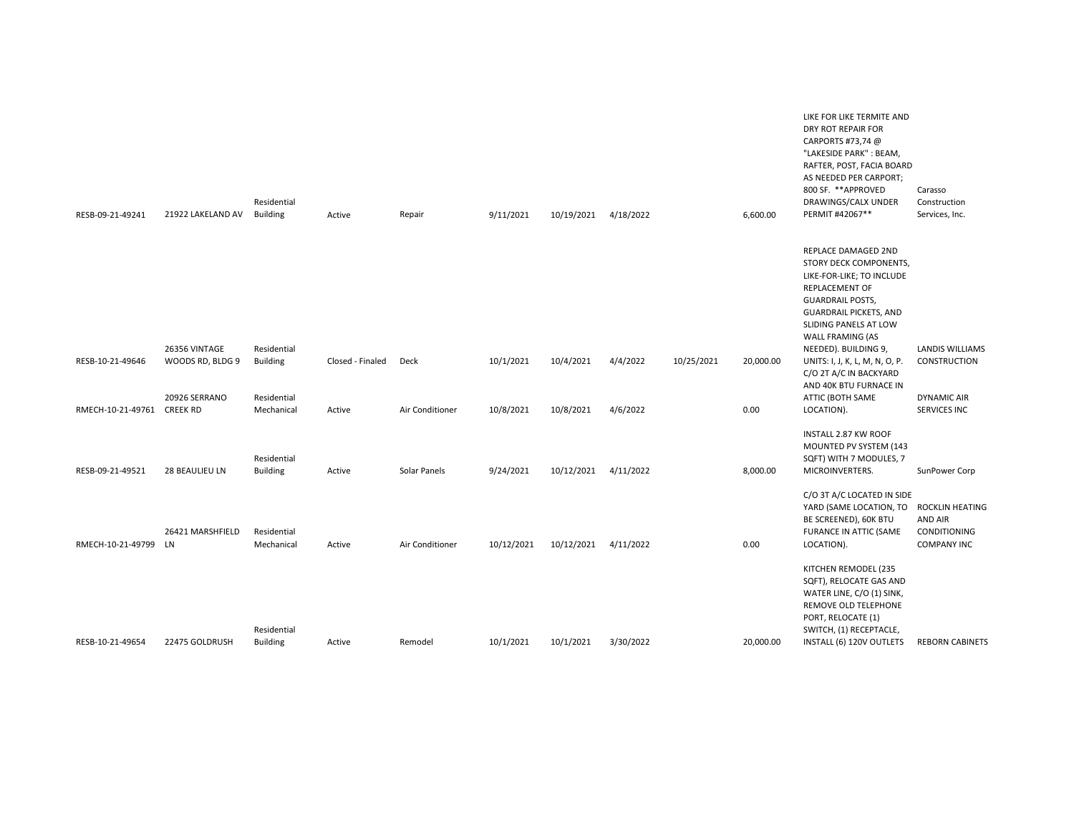| RESB-09-21-49241  | 21922 LAKELAND AV                | Residential<br><b>Building</b> | Active           | Repair          | 9/11/2021  | 10/19/2021 | 4/18/2022 |            | 6,600.00  | LIKE FOR LIKE TERMITE AND<br>DRY ROT REPAIR FOR<br>CARPORTS #73,74 @<br>"LAKESIDE PARK": BEAM,<br>RAFTER, POST, FACIA BOARD<br>AS NEEDED PER CARPORT;<br>800 SF. ** APPROVED<br>DRAWINGS/CALX UNDER<br>PERMIT #42067**               | Carasso<br>Construction<br>Services, Inc.            |
|-------------------|----------------------------------|--------------------------------|------------------|-----------------|------------|------------|-----------|------------|-----------|--------------------------------------------------------------------------------------------------------------------------------------------------------------------------------------------------------------------------------------|------------------------------------------------------|
|                   | 26356 VINTAGE                    | Residential                    |                  |                 |            |            |           |            |           | REPLACE DAMAGED 2ND<br>STORY DECK COMPONENTS,<br>LIKE-FOR-LIKE; TO INCLUDE<br><b>REPLACEMENT OF</b><br><b>GUARDRAIL POSTS,</b><br><b>GUARDRAIL PICKETS, AND</b><br>SLIDING PANELS AT LOW<br>WALL FRAMING (AS<br>NEEDED). BUILDING 9, | <b>LANDIS WILLIAMS</b>                               |
| RESB-10-21-49646  | WOODS RD, BLDG 9                 | <b>Building</b>                | Closed - Finaled | Deck            | 10/1/2021  | 10/4/2021  | 4/4/2022  | 10/25/2021 | 20,000.00 | UNITS: I, J, K, L, M, N, O, P.<br>C/O 2T A/C IN BACKYARD<br>AND 40K BTU FURNACE IN                                                                                                                                                   | <b>CONSTRUCTION</b>                                  |
| RMECH-10-21-49761 | 20926 SERRANO<br><b>CREEK RD</b> | Residential<br>Mechanical      | Active           | Air Conditioner | 10/8/2021  | 10/8/2021  | 4/6/2022  |            | 0.00      | ATTIC (BOTH SAME<br>LOCATION).                                                                                                                                                                                                       | <b>DYNAMIC AIR</b><br><b>SERVICES INC</b>            |
| RESB-09-21-49521  | 28 BEAULIEU LN                   | Residential<br><b>Building</b> | Active           | Solar Panels    | 9/24/2021  | 10/12/2021 | 4/11/2022 |            | 8,000.00  | INSTALL 2.87 KW ROOF<br>MOUNTED PV SYSTEM (143<br>SQFT) WITH 7 MODULES, 7<br>MICROINVERTERS.                                                                                                                                         | SunPower Corp                                        |
| RMECH-10-21-49799 | 26421 MARSHFIELD<br>LN           | Residential<br>Mechanical      | Active           | Air Conditioner | 10/12/2021 | 10/12/2021 | 4/11/2022 |            | 0.00      | C/O 3T A/C LOCATED IN SIDE<br>YARD (SAME LOCATION, TO ROCKLIN HEATING<br>BE SCREENED), 60K BTU<br>FURANCE IN ATTIC (SAME<br>LOCATION).                                                                                               | <b>AND AIR</b><br>CONDITIONING<br><b>COMPANY INC</b> |
|                   |                                  | Residential                    |                  |                 |            |            |           |            |           | KITCHEN REMODEL (235<br>SQFT), RELOCATE GAS AND<br>WATER LINE, C/O (1) SINK,<br>REMOVE OLD TELEPHONE<br>PORT, RELOCATE (1)<br>SWITCH, (1) RECEPTACLE,                                                                                |                                                      |
| RESB-10-21-49654  | 22475 GOLDRUSH                   | <b>Building</b>                | Active           | Remodel         | 10/1/2021  | 10/1/2021  | 3/30/2022 |            | 20,000.00 | INSTALL (6) 120V OUTLETS                                                                                                                                                                                                             | <b>REBORN CABINETS</b>                               |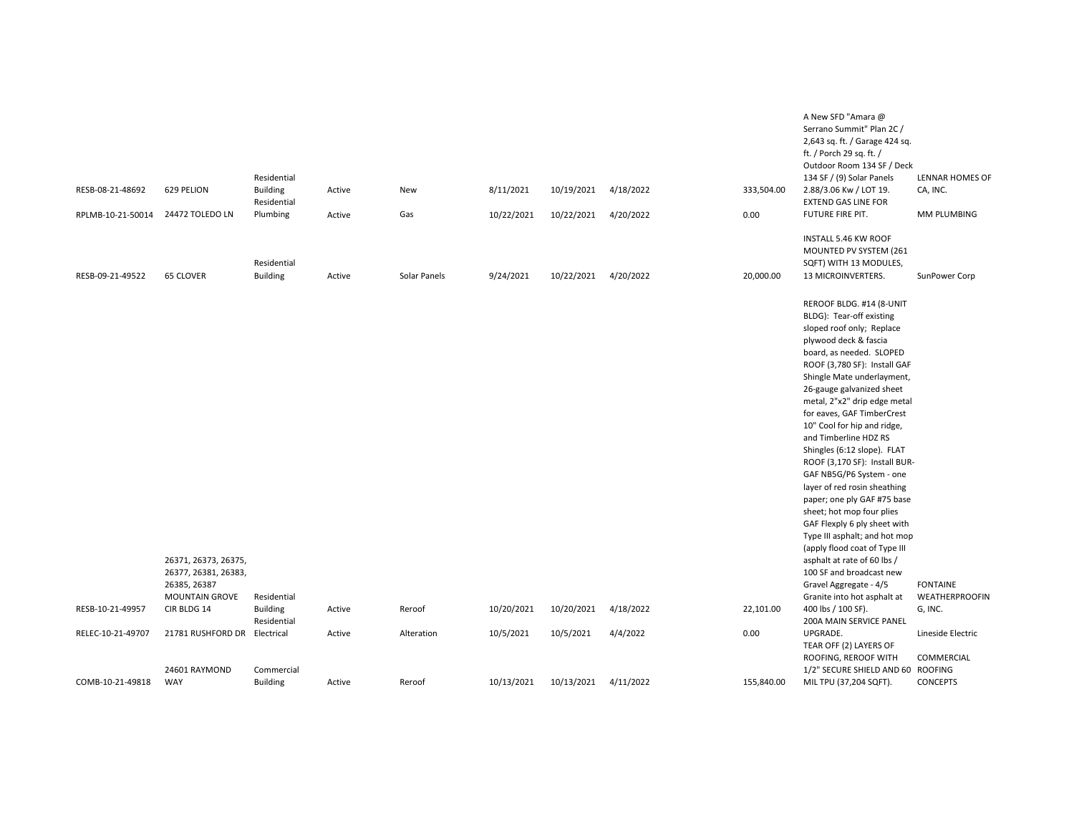|                   |                              |                 |        |              |            |            |           |            | A New SFD "Amara @                |                       |
|-------------------|------------------------------|-----------------|--------|--------------|------------|------------|-----------|------------|-----------------------------------|-----------------------|
|                   |                              |                 |        |              |            |            |           |            | Serrano Summit" Plan 2C /         |                       |
|                   |                              |                 |        |              |            |            |           |            | 2,643 sq. ft. / Garage 424 sq.    |                       |
|                   |                              |                 |        |              |            |            |           |            | ft. / Porch 29 sq. ft. /          |                       |
|                   |                              |                 |        |              |            |            |           |            | Outdoor Room 134 SF / Deck        |                       |
|                   |                              | Residential     |        |              |            |            |           |            | 134 SF / (9) Solar Panels         | LENNAR HOMES OF       |
| RESB-08-21-48692  | 629 PELION                   | <b>Building</b> | Active | New          | 8/11/2021  | 10/19/2021 | 4/18/2022 | 333,504.00 | 2.88/3.06 Kw / LOT 19.            | CA, INC.              |
|                   |                              | Residential     |        |              |            |            |           |            | <b>EXTEND GAS LINE FOR</b>        |                       |
| RPLMB-10-21-50014 | 24472 TOLEDO LN              | Plumbing        | Active | Gas          | 10/22/2021 | 10/22/2021 | 4/20/2022 | 0.00       | FUTURE FIRE PIT.                  | MM PLUMBING           |
|                   |                              |                 |        |              |            |            |           |            |                                   |                       |
|                   |                              |                 |        |              |            |            |           |            | INSTALL 5.46 KW ROOF              |                       |
|                   |                              |                 |        |              |            |            |           |            | MOUNTED PV SYSTEM (261            |                       |
|                   |                              | Residential     |        |              |            |            |           |            | SQFT) WITH 13 MODULES,            |                       |
| RESB-09-21-49522  | <b>65 CLOVER</b>             | <b>Building</b> | Active | Solar Panels | 9/24/2021  | 10/22/2021 | 4/20/2022 | 20,000.00  | 13 MICROINVERTERS.                | SunPower Corp         |
|                   |                              |                 |        |              |            |            |           |            |                                   |                       |
|                   |                              |                 |        |              |            |            |           |            | REROOF BLDG. #14 (8-UNIT          |                       |
|                   |                              |                 |        |              |            |            |           |            | BLDG): Tear-off existing          |                       |
|                   |                              |                 |        |              |            |            |           |            | sloped roof only; Replace         |                       |
|                   |                              |                 |        |              |            |            |           |            | plywood deck & fascia             |                       |
|                   |                              |                 |        |              |            |            |           |            | board, as needed. SLOPED          |                       |
|                   |                              |                 |        |              |            |            |           |            | ROOF (3,780 SF): Install GAF      |                       |
|                   |                              |                 |        |              |            |            |           |            | Shingle Mate underlayment,        |                       |
|                   |                              |                 |        |              |            |            |           |            | 26-gauge galvanized sheet         |                       |
|                   |                              |                 |        |              |            |            |           |            | metal, 2"x2" drip edge metal      |                       |
|                   |                              |                 |        |              |            |            |           |            | for eaves, GAF TimberCrest        |                       |
|                   |                              |                 |        |              |            |            |           |            | 10" Cool for hip and ridge,       |                       |
|                   |                              |                 |        |              |            |            |           |            | and Timberline HDZ RS             |                       |
|                   |                              |                 |        |              |            |            |           |            | Shingles (6:12 slope). FLAT       |                       |
|                   |                              |                 |        |              |            |            |           |            | ROOF (3,170 SF): Install BUR-     |                       |
|                   |                              |                 |        |              |            |            |           |            | GAF NB5G/P6 System - one          |                       |
|                   |                              |                 |        |              |            |            |           |            | layer of red rosin sheathing      |                       |
|                   |                              |                 |        |              |            |            |           |            | paper; one ply GAF #75 base       |                       |
|                   |                              |                 |        |              |            |            |           |            | sheet; hot mop four plies         |                       |
|                   |                              |                 |        |              |            |            |           |            | GAF Flexply 6 ply sheet with      |                       |
|                   |                              |                 |        |              |            |            |           |            | Type III asphalt; and hot mop     |                       |
|                   |                              |                 |        |              |            |            |           |            | (apply flood coat of Type III     |                       |
|                   | 26371, 26373, 26375,         |                 |        |              |            |            |           |            | asphalt at rate of 60 lbs /       |                       |
|                   | 26377, 26381, 26383,         |                 |        |              |            |            |           |            | 100 SF and broadcast new          |                       |
|                   | 26385, 26387                 |                 |        |              |            |            |           |            | Gravel Aggregate - 4/5            | <b>FONTAINE</b>       |
|                   | <b>MOUNTAIN GROVE</b>        | Residential     |        |              |            |            |           |            | Granite into hot asphalt at       | <b>WEATHERPROOFIN</b> |
| RESB-10-21-49957  | CIR BLDG 14                  | <b>Building</b> | Active | Reroof       | 10/20/2021 | 10/20/2021 | 4/18/2022 | 22,101.00  | 400 lbs / 100 SF).                | G, INC.               |
|                   |                              | Residential     |        |              |            |            |           |            | 200A MAIN SERVICE PANEL           |                       |
| RELEC-10-21-49707 | 21781 RUSHFORD DR Electrical |                 | Active | Alteration   | 10/5/2021  | 10/5/2021  | 4/4/2022  | 0.00       | UPGRADE.                          | Lineside Electric     |
|                   |                              |                 |        |              |            |            |           |            | TEAR OFF (2) LAYERS OF            |                       |
|                   |                              |                 |        |              |            |            |           |            | ROOFING, REROOF WITH              | COMMERCIAL            |
|                   | 24601 RAYMOND                | Commercial      |        |              |            |            |           |            | 1/2" SECURE SHIELD AND 60 ROOFING |                       |
| COMB-10-21-49818  | WAY                          |                 |        |              | 10/13/2021 |            | 4/11/2022 | 155,840.00 |                                   | <b>CONCEPTS</b>       |
|                   |                              | <b>Building</b> | Active | Reroof       |            | 10/13/2021 |           |            | MIL TPU (37,204 SQFT).            |                       |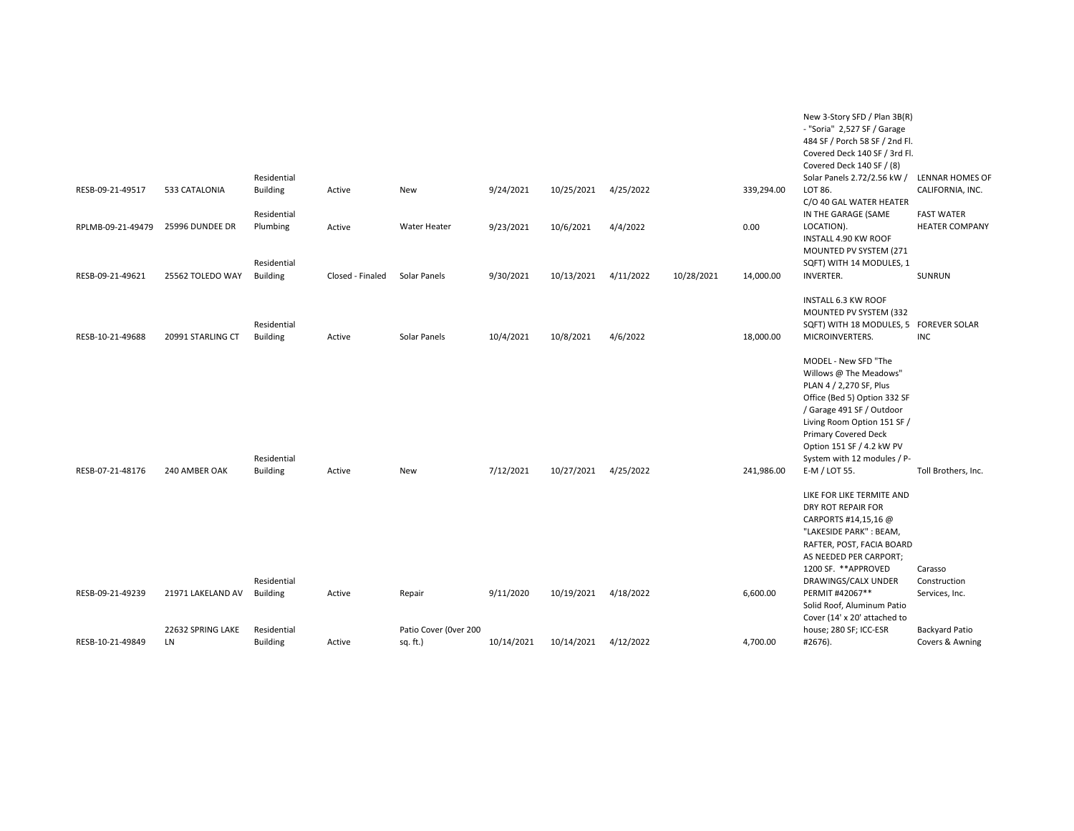|                   |                         |                                |                  |                                   |            |            |           |            |            | New 3-Story SFD / Plan 3B(R)<br>- "Soria" 2,527 SF / Garage<br>484 SF / Porch 58 SF / 2nd Fl.<br>Covered Deck 140 SF / 3rd Fl.<br>Covered Deck 140 SF / (8)                                                                                                                       |                                            |
|-------------------|-------------------------|--------------------------------|------------------|-----------------------------------|------------|------------|-----------|------------|------------|-----------------------------------------------------------------------------------------------------------------------------------------------------------------------------------------------------------------------------------------------------------------------------------|--------------------------------------------|
| RESB-09-21-49517  | 533 CATALONIA           | Residential<br><b>Building</b> | Active           | New                               | 9/24/2021  | 10/25/2021 | 4/25/2022 |            | 339,294.00 | Solar Panels 2.72/2.56 kW /<br>LOT 86.<br>C/O 40 GAL WATER HEATER                                                                                                                                                                                                                 | LENNAR HOMES OF<br>CALIFORNIA, INC.        |
| RPLMB-09-21-49479 | 25996 DUNDEE DR         | Residential<br>Plumbing        | Active           | Water Heater                      | 9/23/2021  | 10/6/2021  | 4/4/2022  |            | 0.00       | IN THE GARAGE (SAME<br>LOCATION).<br>INSTALL 4.90 KW ROOF<br>MOUNTED PV SYSTEM (271                                                                                                                                                                                               | <b>FAST WATER</b><br><b>HEATER COMPANY</b> |
| RESB-09-21-49621  | 25562 TOLEDO WAY        | Residential<br><b>Building</b> | Closed - Finaled | Solar Panels                      | 9/30/2021  | 10/13/2021 | 4/11/2022 | 10/28/2021 | 14,000.00  | SQFT) WITH 14 MODULES, 1<br><b>INVERTER.</b>                                                                                                                                                                                                                                      | SUNRUN                                     |
| RESB-10-21-49688  | 20991 STARLING CT       | Residential<br><b>Building</b> | Active           | Solar Panels                      | 10/4/2021  | 10/8/2021  | 4/6/2022  |            | 18,000.00  | INSTALL 6.3 KW ROOF<br>MOUNTED PV SYSTEM (332<br>SQFT) WITH 18 MODULES, 5 FOREVER SOLAR<br>MICROINVERTERS.                                                                                                                                                                        | <b>INC</b>                                 |
| RESB-07-21-48176  | 240 AMBER OAK           | Residential<br><b>Building</b> | Active           | New                               | 7/12/2021  | 10/27/2021 | 4/25/2022 |            | 241,986.00 | MODEL - New SFD "The<br>Willows @ The Meadows"<br>PLAN 4 / 2,270 SF, Plus<br>Office (Bed 5) Option 332 SF<br>/ Garage 491 SF / Outdoor<br>Living Room Option 151 SF /<br><b>Primary Covered Deck</b><br>Option 151 SF / 4.2 kW PV<br>System with 12 modules / P-<br>E-M / LOT 55. | Toll Brothers, Inc.                        |
|                   |                         |                                |                  |                                   |            |            |           |            |            | LIKE FOR LIKE TERMITE AND<br>DRY ROT REPAIR FOR<br>CARPORTS #14,15,16 @<br>"LAKESIDE PARK": BEAM,<br>RAFTER, POST, FACIA BOARD<br>AS NEEDED PER CARPORT;<br>1200 SF. **APPROVED                                                                                                   | Carasso                                    |
| RESB-09-21-49239  | 21971 LAKELAND AV       | Residential<br><b>Building</b> | Active           | Repair                            | 9/11/2020  | 10/19/2021 | 4/18/2022 |            | 6,600.00   | DRAWINGS/CALX UNDER<br>PERMIT #42067**<br>Solid Roof, Aluminum Patio<br>Cover (14' x 20' attached to                                                                                                                                                                              | Construction<br>Services, Inc.             |
| RESB-10-21-49849  | 22632 SPRING LAKE<br>LN | Residential<br><b>Building</b> | Active           | Patio Cover (Over 200<br>sq. ft.) | 10/14/2021 | 10/14/2021 | 4/12/2022 |            | 4,700.00   | house; 280 SF; ICC-ESR<br>#2676).                                                                                                                                                                                                                                                 | <b>Backyard Patio</b><br>Covers & Awning   |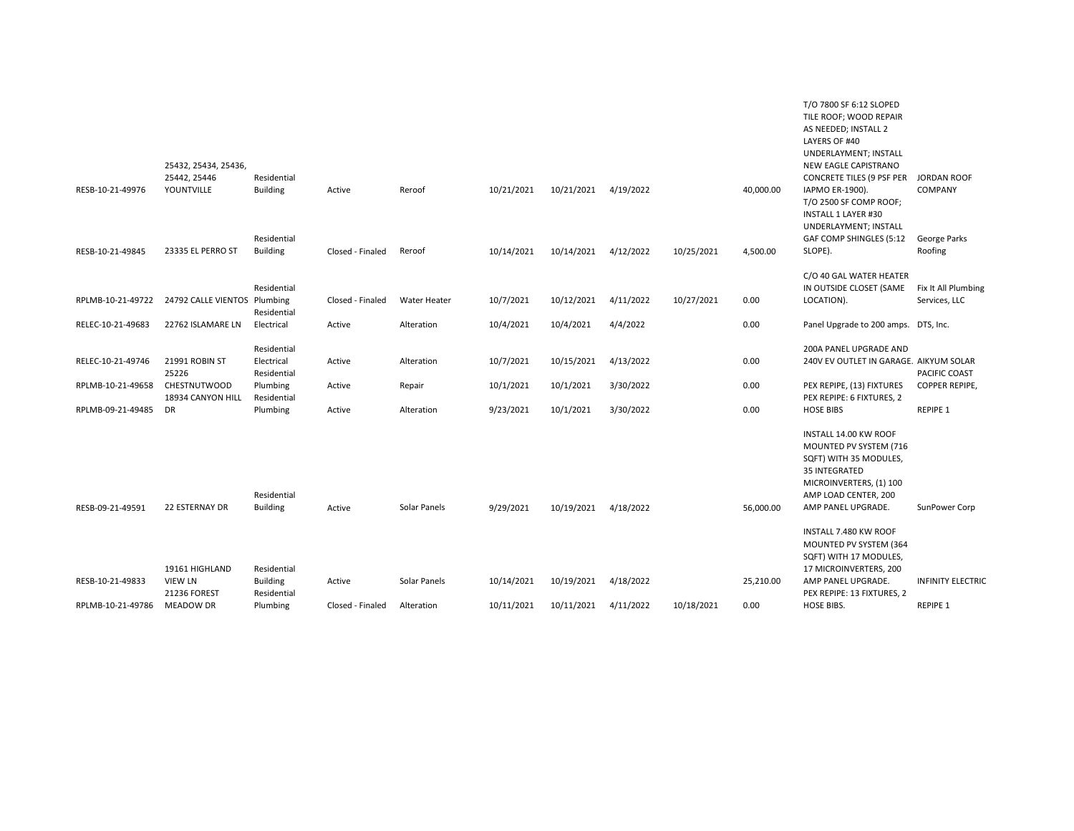| 25442, 25446<br>Residential<br><b>CONCRETE TILES (9 PSF PER</b><br>YOUNTVILLE<br><b>Building</b><br>10/21/2021<br>10/21/2021<br>4/19/2022<br>40,000.00<br>IAPMO ER-1900).<br>RESB-10-21-49976<br>Active<br>Reroof<br>T/O 2500 SF COMP ROOF;<br>INSTALL 1 LAYER #30<br>UNDERLAYMENT; INSTALL<br>Residential<br>GAF COMP SHINGLES (5:12<br>RESB-10-21-49845<br>23335 EL PERRO ST<br><b>Building</b><br>Closed - Finaled<br>Reroof<br>10/14/2021<br>10/14/2021<br>4/12/2022<br>10/25/2021<br>4,500.00<br>SLOPE).<br>C/O 40 GAL WATER HEATER<br>Residential<br>IN OUTSIDE CLOSET (SAME | COMPANY<br>George Parks<br>Roofing   |
|------------------------------------------------------------------------------------------------------------------------------------------------------------------------------------------------------------------------------------------------------------------------------------------------------------------------------------------------------------------------------------------------------------------------------------------------------------------------------------------------------------------------------------------------------------------------------------|--------------------------------------|
|                                                                                                                                                                                                                                                                                                                                                                                                                                                                                                                                                                                    |                                      |
|                                                                                                                                                                                                                                                                                                                                                                                                                                                                                                                                                                                    |                                      |
| 24792 CALLE VIENTOS Plumbing<br>10/7/2021<br>10/12/2021<br>4/11/2022<br>10/27/2021<br>0.00<br>LOCATION).<br>RPLMB-10-21-49722<br>Closed - Finaled<br>Water Heater                                                                                                                                                                                                                                                                                                                                                                                                                  | Fix It All Plumbing<br>Services, LLC |
| Residential                                                                                                                                                                                                                                                                                                                                                                                                                                                                                                                                                                        |                                      |
| 10/4/2021<br>4/4/2022<br>0.00<br>RELEC-10-21-49683<br>22762 ISLAMARE LN<br>Electrical<br>Active<br>10/4/2021<br>Panel Upgrade to 200 amps. DTS, Inc.<br>Alteration                                                                                                                                                                                                                                                                                                                                                                                                                 |                                      |
| Residential<br>200A PANEL UPGRADE AND                                                                                                                                                                                                                                                                                                                                                                                                                                                                                                                                              |                                      |
| RELEC-10-21-49746<br>21991 ROBIN ST<br>Electrical<br>Active<br>10/7/2021<br>10/15/2021<br>4/13/2022<br>0.00<br>240V EV OUTLET IN GARAGE. AIKYUM SOLAR<br>Alteration<br>25226<br>Residential                                                                                                                                                                                                                                                                                                                                                                                        | PACIFIC COAST                        |
| <b>CHESTNUTWOOD</b><br>10/1/2021<br>10/1/2021<br>0.00<br>RPLMB-10-21-49658<br>Plumbing<br>Active<br>3/30/2022<br>PEX REPIPE, (13) FIXTURES<br>Repair<br>18934 CANYON HILL<br>Residential<br>PEX REPIPE: 6 FIXTURES, 2                                                                                                                                                                                                                                                                                                                                                              | COPPER REPIPE,                       |
| 9/23/2021<br>10/1/2021<br>3/30/2022<br>0.00<br><b>HOSE BIBS</b><br>RPLMB-09-21-49485<br><b>DR</b><br>Plumbing<br>Active<br>Alteration                                                                                                                                                                                                                                                                                                                                                                                                                                              | REPIPE 1                             |
| INSTALL 14.00 KW ROOF<br>MOUNTED PV SYSTEM (716<br>SQFT) WITH 35 MODULES,<br>35 INTEGRATED<br>MICROINVERTERS, (1) 100<br>Residential<br>AMP LOAD CENTER, 200<br>9/29/2021<br>RESB-09-21-49591<br><b>22 ESTERNAY DR</b><br><b>Building</b><br>Solar Panels<br>10/19/2021<br>4/18/2022<br>56,000.00<br>AMP PANEL UPGRADE.<br>Active                                                                                                                                                                                                                                                  | SunPower Corp                        |
| INSTALL 7.480 KW ROOF<br>MOUNTED PV SYSTEM (364<br>SQFT) WITH 17 MODULES,                                                                                                                                                                                                                                                                                                                                                                                                                                                                                                          |                                      |
| 19161 HIGHLAND<br>17 MICROINVERTERS, 200<br>Residential<br>10/14/2021<br>10/19/2021<br>4/18/2022<br>RESB-10-21-49833<br><b>VIEW LN</b><br><b>Building</b><br>Solar Panels<br>25,210.00<br>AMP PANEL UPGRADE.<br>Active<br><b>21236 FOREST</b>                                                                                                                                                                                                                                                                                                                                      | <b>INFINITY ELECTRIC</b>             |
| Residential<br>PEX REPIPE: 13 FIXTURES, 2<br>10/11/2021<br>10/11/2021<br>4/11/2022<br>10/18/2021<br>0.00<br>HOSE BIBS.<br>RPLMB-10-21-49786<br><b>MEADOW DR</b><br>Plumbing<br>Closed - Finaled<br>Alteration                                                                                                                                                                                                                                                                                                                                                                      | REPIPE 1                             |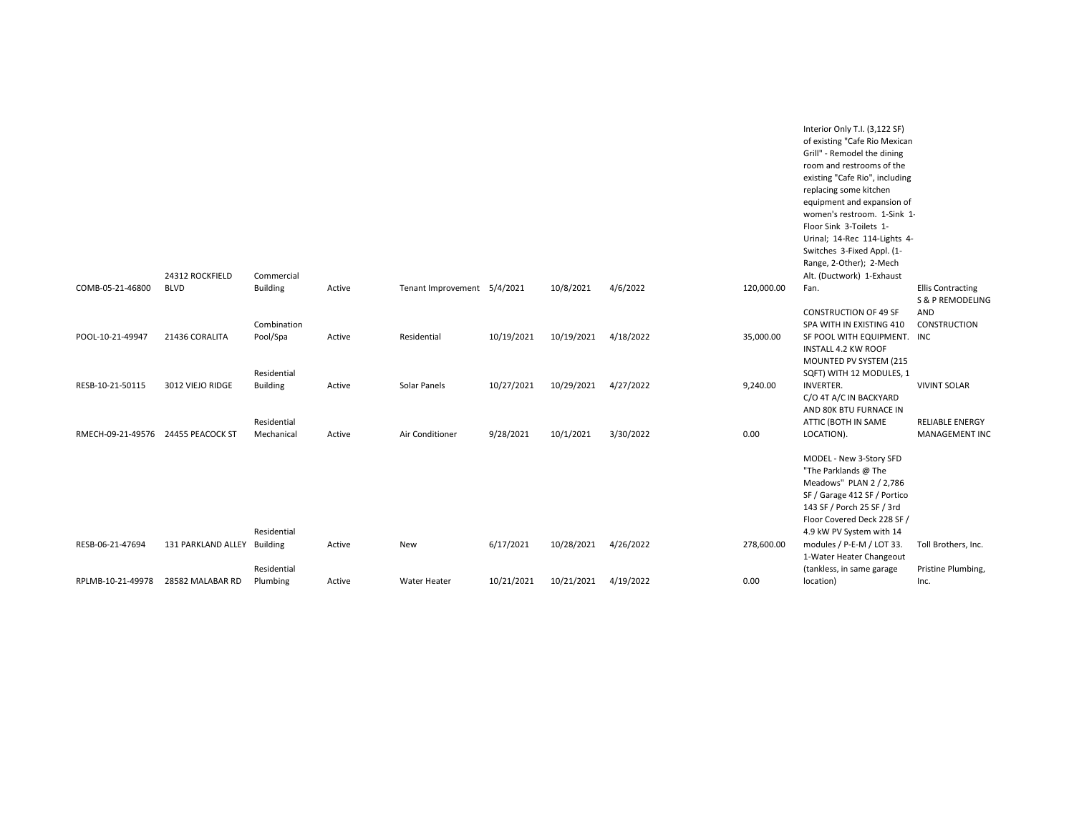|                                    |                             |                 |        |                             |            |            |           |            | Interior Only T.I. (3,122 SF)<br>of existing "Cafe Rio Mexican<br>Grill" - Remodel the dining |                                              |
|------------------------------------|-----------------------------|-----------------|--------|-----------------------------|------------|------------|-----------|------------|-----------------------------------------------------------------------------------------------|----------------------------------------------|
|                                    |                             |                 |        |                             |            |            |           |            | room and restrooms of the                                                                     |                                              |
|                                    |                             |                 |        |                             |            |            |           |            | existing "Cafe Rio", including<br>replacing some kitchen                                      |                                              |
|                                    |                             |                 |        |                             |            |            |           |            | equipment and expansion of                                                                    |                                              |
|                                    |                             |                 |        |                             |            |            |           |            | women's restroom. 1-Sink 1-                                                                   |                                              |
|                                    |                             |                 |        |                             |            |            |           |            | Floor Sink 3-Toilets 1-                                                                       |                                              |
|                                    |                             |                 |        |                             |            |            |           |            | Urinal; 14-Rec 114-Lights 4-                                                                  |                                              |
|                                    |                             |                 |        |                             |            |            |           |            | Switches 3-Fixed Appl. (1-                                                                    |                                              |
|                                    |                             |                 |        |                             |            |            |           |            | Range, 2-Other); 2-Mech                                                                       |                                              |
|                                    | 24312 ROCKFIELD             | Commercial      |        |                             |            |            |           |            | Alt. (Ductwork) 1-Exhaust                                                                     |                                              |
| COMB-05-21-46800                   | <b>BLVD</b>                 | <b>Building</b> | Active | Tenant Improvement 5/4/2021 |            | 10/8/2021  | 4/6/2022  | 120,000.00 | Fan.                                                                                          | <b>Ellis Contracting</b><br>S & P REMODELING |
|                                    |                             |                 |        |                             |            |            |           |            | <b>CONSTRUCTION OF 49 SF</b>                                                                  | AND                                          |
|                                    |                             | Combination     |        |                             |            |            |           |            | SPA WITH IN EXISTING 410                                                                      | CONSTRUCTION                                 |
| POOL-10-21-49947                   | 21436 CORALITA              | Pool/Spa        | Active | Residential                 | 10/19/2021 | 10/19/2021 | 4/18/2022 | 35,000.00  | SF POOL WITH EQUIPMENT. INC                                                                   |                                              |
|                                    |                             |                 |        |                             |            |            |           |            | <b>INSTALL 4.2 KW ROOF</b>                                                                    |                                              |
|                                    |                             |                 |        |                             |            |            |           |            | MOUNTED PV SYSTEM (215                                                                        |                                              |
|                                    |                             | Residential     |        |                             |            |            |           |            | SQFT) WITH 12 MODULES, 1                                                                      |                                              |
| RESB-10-21-50115                   | 3012 VIEJO RIDGE            | <b>Building</b> | Active | Solar Panels                | 10/27/2021 | 10/29/2021 | 4/27/2022 | 9,240.00   | <b>INVERTER.</b>                                                                              | <b>VIVINT SOLAR</b>                          |
|                                    |                             |                 |        |                             |            |            |           |            | C/O 4T A/C IN BACKYARD                                                                        |                                              |
|                                    |                             |                 |        |                             |            |            |           |            | AND 80K BTU FURNACE IN                                                                        |                                              |
|                                    |                             | Residential     |        |                             |            |            |           |            | ATTIC (BOTH IN SAME                                                                           | <b>RELIABLE ENERGY</b>                       |
| RMECH-09-21-49576 24455 PEACOCK ST |                             | Mechanical      | Active | Air Conditioner             | 9/28/2021  | 10/1/2021  | 3/30/2022 | 0.00       | LOCATION).                                                                                    | MANAGEMENT INC                               |
|                                    |                             |                 |        |                             |            |            |           |            | MODEL - New 3-Story SFD                                                                       |                                              |
|                                    |                             |                 |        |                             |            |            |           |            | "The Parklands @ The                                                                          |                                              |
|                                    |                             |                 |        |                             |            |            |           |            | Meadows" PLAN 2 / 2,786                                                                       |                                              |
|                                    |                             |                 |        |                             |            |            |           |            | SF / Garage 412 SF / Portico                                                                  |                                              |
|                                    |                             |                 |        |                             |            |            |           |            | 143 SF / Porch 25 SF / 3rd                                                                    |                                              |
|                                    |                             |                 |        |                             |            |            |           |            | Floor Covered Deck 228 SF /                                                                   |                                              |
|                                    |                             | Residential     |        |                             |            |            |           |            | 4.9 kW PV System with 14                                                                      |                                              |
| RESB-06-21-47694                   | 131 PARKLAND ALLEY Building |                 | Active | New                         | 6/17/2021  | 10/28/2021 | 4/26/2022 | 278,600.00 | modules / P-E-M / LOT 33.                                                                     | Toll Brothers, Inc.                          |
|                                    |                             |                 |        |                             |            |            |           |            | 1-Water Heater Changeout                                                                      |                                              |
|                                    |                             | Residential     |        |                             |            |            |           |            | (tankless, in same garage                                                                     | Pristine Plumbing,                           |
| RPLMB-10-21-49978                  | 28582 MALABAR RD            | Plumbing        | Active | <b>Water Heater</b>         | 10/21/2021 | 10/21/2021 | 4/19/2022 | 0.00       | location)                                                                                     | Inc.                                         |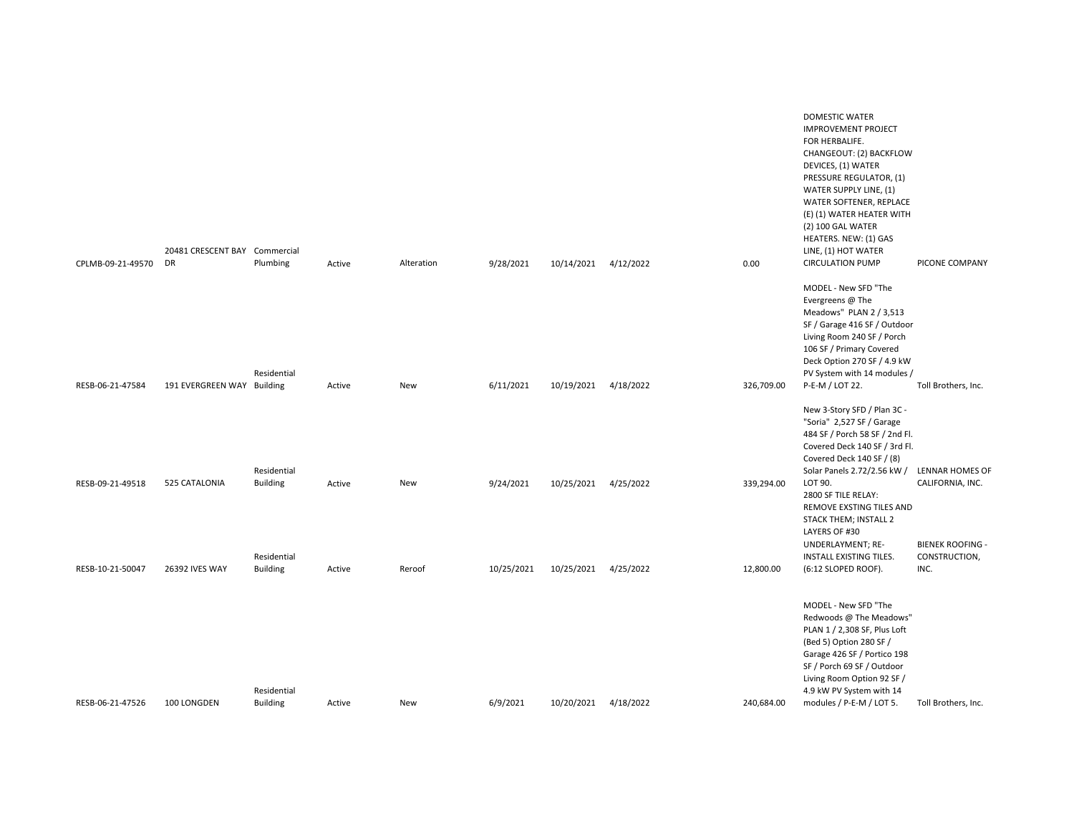| CPLMB-09-21-49570 | 20481 CRESCENT BAY Commercial<br><b>DR</b> | Plumbing                       | Active | Alteration | 9/28/2021  | 10/14/2021           | 4/12/2022 | 0.00       | DOMESTIC WATER<br><b>IMPROVEMENT PROJECT</b><br>FOR HERBALIFE.<br>CHANGEOUT: (2) BACKFLOW<br>DEVICES, (1) WATER<br>PRESSURE REGULATOR, (1)<br>WATER SUPPLY LINE, (1)<br>WATER SOFTENER, REPLACE<br>(E) (1) WATER HEATER WITH<br>(2) 100 GAL WATER<br>HEATERS. NEW: (1) GAS<br>LINE, (1) HOT WATER<br><b>CIRCULATION PUMP</b> | PICONE COMPANY                                               |
|-------------------|--------------------------------------------|--------------------------------|--------|------------|------------|----------------------|-----------|------------|------------------------------------------------------------------------------------------------------------------------------------------------------------------------------------------------------------------------------------------------------------------------------------------------------------------------------|--------------------------------------------------------------|
|                   |                                            | Residential                    |        |            |            |                      |           |            | MODEL - New SFD "The<br>Evergreens @ The<br>Meadows" PLAN 2 / 3,513<br>SF / Garage 416 SF / Outdoor<br>Living Room 240 SF / Porch<br>106 SF / Primary Covered<br>Deck Option 270 SF / 4.9 kW<br>PV System with 14 modules /                                                                                                  |                                                              |
| RESB-06-21-47584  | 191 EVERGREEN WAY Building                 |                                | Active | New        | 6/11/2021  | 10/19/2021           | 4/18/2022 | 326,709.00 | P-E-M / LOT 22.<br>New 3-Story SFD / Plan 3C -<br>"Soria" 2,527 SF / Garage<br>484 SF / Porch 58 SF / 2nd Fl.<br>Covered Deck 140 SF / 3rd Fl.<br>Covered Deck 140 SF / (8)                                                                                                                                                  | Toll Brothers, Inc.                                          |
| RESB-09-21-49518  | 525 CATALONIA                              | Residential<br><b>Building</b> | Active | New        | 9/24/2021  | 10/25/2021 4/25/2022 |           | 339,294.00 | Solar Panels 2.72/2.56 kW /<br>LOT 90.<br>2800 SF TILE RELAY:<br>REMOVE EXSTING TILES AND<br>STACK THEM; INSTALL 2<br>LAYERS OF #30<br>UNDERLAYMENT; RE-                                                                                                                                                                     | LENNAR HOMES OF<br>CALIFORNIA, INC.<br><b>BIENEK ROOFING</b> |
| RESB-10-21-50047  | 26392 IVES WAY                             | Residential<br><b>Building</b> | Active | Reroof     | 10/25/2021 | 10/25/2021           | 4/25/2022 | 12,800.00  | INSTALL EXISTING TILES.<br>(6:12 SLOPED ROOF).                                                                                                                                                                                                                                                                               | CONSTRUCTION,<br>INC.                                        |
| RESB-06-21-47526  | 100 LONGDEN                                | Residential<br><b>Building</b> | Active | New        | 6/9/2021   | 10/20/2021           | 4/18/2022 | 240,684.00 | MODEL - New SFD "The<br>Redwoods @ The Meadows"<br>PLAN 1 / 2,308 SF, Plus Loft<br>(Bed 5) Option 280 SF /<br>Garage 426 SF / Portico 198<br>SF / Porch 69 SF / Outdoor<br>Living Room Option 92 SF /<br>4.9 kW PV System with 14<br>modules / P-E-M / LOT 5.                                                                | Toll Brothers, Inc.                                          |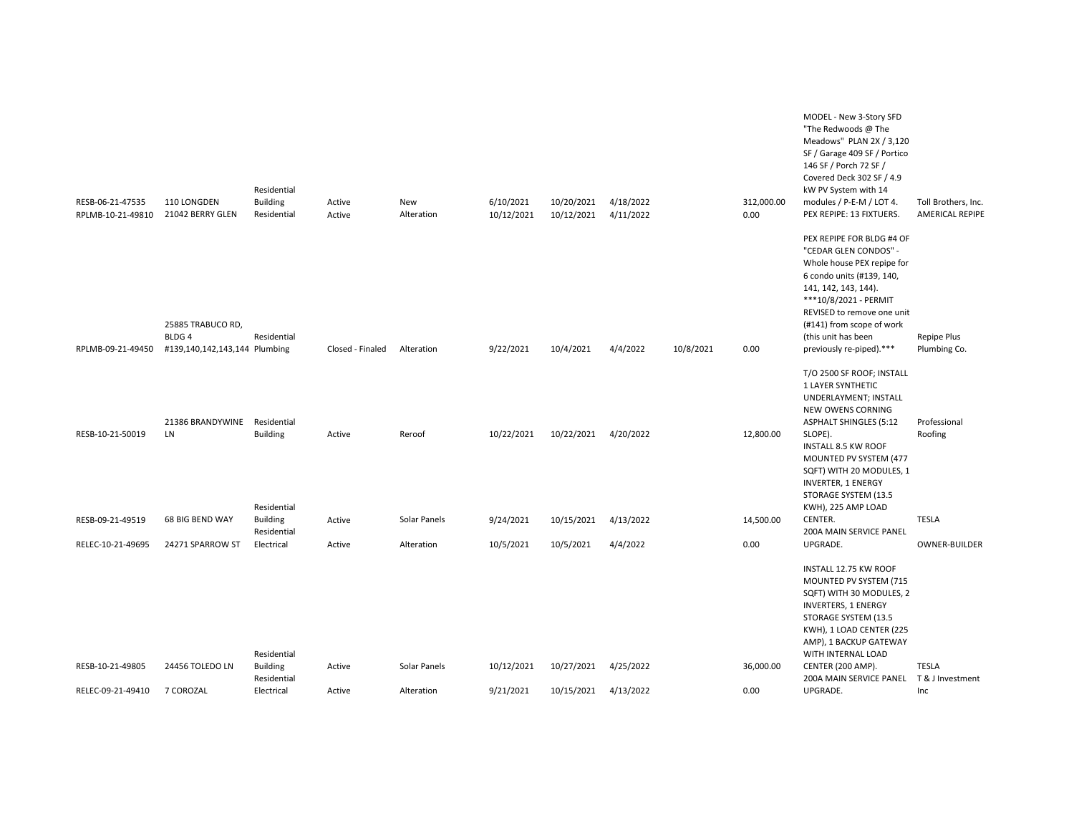| RESB-06-21-47535<br>RPLMB-10-21-49810 | 110 LONGDEN<br>21042 BERRY GLEN                                         | Residential<br><b>Building</b><br>Residential | Active<br>Active | New<br>Alteration | 6/10/2021<br>10/12/2021 | 10/20/2021<br>10/12/2021 | 4/18/2022<br>4/11/2022 |           | 312,000.00<br>0.00 | MODEL - New 3-Story SFD<br>"The Redwoods @ The<br>Meadows" PLAN 2X / 3,120<br>SF / Garage 409 SF / Portico<br>146 SF / Porch 72 SF /<br>Covered Deck 302 SF / 4.9<br>kW PV System with 14<br>modules / P-E-M / LOT 4.<br>PEX REPIPE: 13 FIXTUERS.                            | Toll Brothers, Inc.<br><b>AMERICAL REPIPE</b> |
|---------------------------------------|-------------------------------------------------------------------------|-----------------------------------------------|------------------|-------------------|-------------------------|--------------------------|------------------------|-----------|--------------------|------------------------------------------------------------------------------------------------------------------------------------------------------------------------------------------------------------------------------------------------------------------------------|-----------------------------------------------|
| RPLMB-09-21-49450                     | 25885 TRABUCO RD,<br>BLDG <sub>4</sub><br>#139,140,142,143,144 Plumbing | Residential                                   | Closed - Finaled | Alteration        | 9/22/2021               | 10/4/2021                | 4/4/2022               | 10/8/2021 | 0.00               | PEX REPIPE FOR BLDG #4 OF<br>"CEDAR GLEN CONDOS" -<br>Whole house PEX repipe for<br>6 condo units (#139, 140,<br>141, 142, 143, 144).<br>***10/8/2021 - PERMIT<br>REVISED to remove one unit<br>(#141) from scope of work<br>(this unit has been<br>previously re-piped).*** | Repipe Plus<br>Plumbing Co.                   |
|                                       | 21386 BRANDYWINE                                                        | Residential                                   |                  |                   |                         |                          |                        |           |                    | T/O 2500 SF ROOF; INSTALL<br>1 LAYER SYNTHETIC<br>UNDERLAYMENT; INSTALL<br>NEW OWENS CORNING<br><b>ASPHALT SHINGLES (5:12</b>                                                                                                                                                | Professional                                  |
| RESB-10-21-50019                      | LN                                                                      | <b>Building</b><br>Residential                | Active           | Reroof            | 10/22/2021              | 10/22/2021               | 4/20/2022              |           | 12,800.00          | SLOPE).<br>INSTALL 8.5 KW ROOF<br>MOUNTED PV SYSTEM (477<br>SQFT) WITH 20 MODULES, 1<br><b>INVERTER, 1 ENERGY</b><br>STORAGE SYSTEM (13.5<br>KWH), 225 AMP LOAD                                                                                                              | Roofing                                       |
| RESB-09-21-49519                      | 68 BIG BEND WAY                                                         | <b>Building</b><br>Residential                | Active           | Solar Panels      | 9/24/2021               | 10/15/2021               | 4/13/2022              |           | 14,500.00          | CENTER.<br>200A MAIN SERVICE PANEL                                                                                                                                                                                                                                           | <b>TESLA</b>                                  |
| RELEC-10-21-49695                     | 24271 SPARROW ST                                                        | Electrical                                    | Active           | Alteration        | 10/5/2021               | 10/5/2021                | 4/4/2022               |           | 0.00               | UPGRADE.                                                                                                                                                                                                                                                                     | <b>OWNER-BUILDER</b>                          |
|                                       |                                                                         | Residential                                   |                  |                   |                         |                          |                        |           |                    | INSTALL 12.75 KW ROOF<br>MOUNTED PV SYSTEM (715<br>SQFT) WITH 30 MODULES, 2<br><b>INVERTERS, 1 ENERGY</b><br>STORAGE SYSTEM (13.5<br>KWH), 1 LOAD CENTER (225<br>AMP), 1 BACKUP GATEWAY<br>WITH INTERNAL LOAD                                                                |                                               |
| RESB-10-21-49805                      | 24456 TOLEDO LN                                                         | <b>Building</b><br>Residential                | Active           | Solar Panels      | 10/12/2021              | 10/27/2021               | 4/25/2022              |           | 36,000.00          | CENTER (200 AMP).<br>200A MAIN SERVICE PANEL T & J Investment                                                                                                                                                                                                                | <b>TESLA</b>                                  |
| RELEC-09-21-49410                     | 7 COROZAL                                                               | Electrical                                    | Active           | Alteration        | 9/21/2021               | 10/15/2021               | 4/13/2022              |           | 0.00               | UPGRADE.                                                                                                                                                                                                                                                                     | Inc                                           |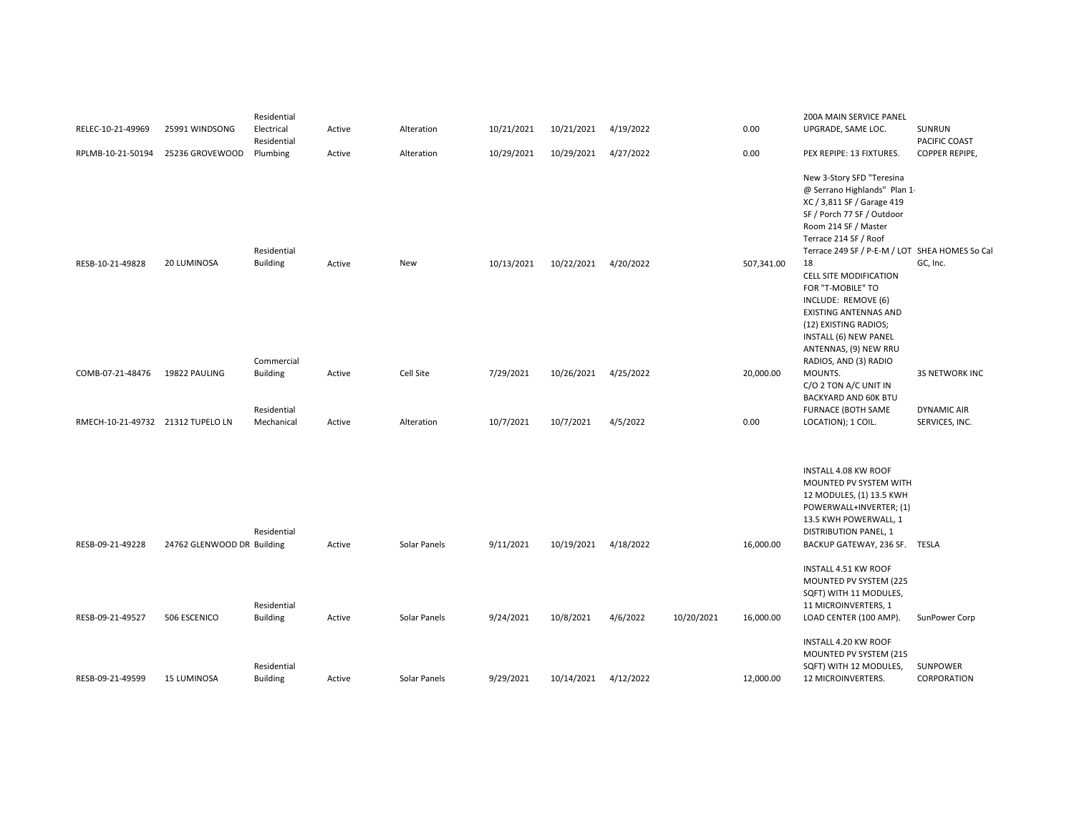|                                   |                            | Residential                   |        |              |            |            |           |            |            | 200A MAIN SERVICE PANEL                                                                                                                                                                                                  |                               |
|-----------------------------------|----------------------------|-------------------------------|--------|--------------|------------|------------|-----------|------------|------------|--------------------------------------------------------------------------------------------------------------------------------------------------------------------------------------------------------------------------|-------------------------------|
| RELEC-10-21-49969                 | 25991 WINDSONG             | Electrical<br>Residential     | Active | Alteration   | 10/21/2021 | 10/21/2021 | 4/19/2022 |            | 0.00       | UPGRADE, SAME LOC.                                                                                                                                                                                                       | SUNRUN<br>PACIFIC COAST       |
| RPLMB-10-21-50194                 | 25236 GROVEWOOD            | Plumbing                      | Active | Alteration   | 10/29/2021 | 10/29/2021 | 4/27/2022 |            | 0.00       | PEX REPIPE: 13 FIXTURES.                                                                                                                                                                                                 | COPPER REPIPE,                |
|                                   |                            | Residential                   |        |              |            |            |           |            |            | New 3-Story SFD "Teresina<br>@ Serrano Highlands" Plan 1-<br>XC / 3,811 SF / Garage 419<br>SF / Porch 77 SF / Outdoor<br>Room 214 SF / Master<br>Terrace 214 SF / Roof<br>Terrace 249 SF / P-E-M / LOT SHEA HOMES So Cal |                               |
| RESB-10-21-49828                  | 20 LUMINOSA                | <b>Building</b><br>Commercial | Active | New          | 10/13/2021 | 10/22/2021 | 4/20/2022 |            | 507,341.00 | 18<br><b>CELL SITE MODIFICATION</b><br>FOR "T-MOBILE" TO<br>INCLUDE: REMOVE (6)<br>EXISTING ANTENNAS AND<br>(12) EXISTING RADIOS;<br>INSTALL (6) NEW PANEL<br>ANTENNAS, (9) NEW RRU<br>RADIOS, AND (3) RADIO             | GC, Inc.                      |
| COMB-07-21-48476                  | 19822 PAULING              | <b>Building</b>               | Active | Cell Site    | 7/29/2021  | 10/26/2021 | 4/25/2022 |            | 20,000.00  | MOUNTS.                                                                                                                                                                                                                  | <b>3S NETWORK INC</b>         |
| RMECH-10-21-49732 21312 TUPELO LN |                            | Residential<br>Mechanical     | Active | Alteration   | 10/7/2021  | 10/7/2021  | 4/5/2022  |            | 0.00       | C/O 2 TON A/C UNIT IN<br><b>BACKYARD AND 60K BTU</b><br>FURNACE (BOTH SAME<br>LOCATION); 1 COIL.                                                                                                                         | DYNAMIC AIR<br>SERVICES, INC. |
| RESB-09-21-49228                  |                            | Residential                   |        | Solar Panels |            |            |           |            |            | INSTALL 4.08 KW ROOF<br>MOUNTED PV SYSTEM WITH<br>12 MODULES, (1) 13.5 KWH<br>POWERWALL+INVERTER; (1)<br>13.5 KWH POWERWALL, 1<br><b>DISTRIBUTION PANEL, 1</b>                                                           |                               |
|                                   | 24762 GLENWOOD DR Building | Residential                   | Active |              | 9/11/2021  | 10/19/2021 | 4/18/2022 |            | 16,000.00  | BACKUP GATEWAY, 236 SF. TESLA<br>INSTALL 4.51 KW ROOF<br>MOUNTED PV SYSTEM (225<br>SQFT) WITH 11 MODULES,<br>11 MICROINVERTERS, 1                                                                                        |                               |
| RESB-09-21-49527                  | 506 ESCENICO               | <b>Building</b>               | Active | Solar Panels | 9/24/2021  | 10/8/2021  | 4/6/2022  | 10/20/2021 | 16,000.00  | LOAD CENTER (100 AMP).                                                                                                                                                                                                   | SunPower Corp                 |
|                                   |                            | Residential                   |        |              |            |            |           |            |            | INSTALL 4.20 KW ROOF<br>MOUNTED PV SYSTEM (215<br>SQFT) WITH 12 MODULES,                                                                                                                                                 | SUNPOWER                      |
| RESB-09-21-49599                  | 15 LUMINOSA                | <b>Building</b>               | Active | Solar Panels | 9/29/2021  | 10/14/2021 | 4/12/2022 |            | 12,000.00  | 12 MICROINVERTERS.                                                                                                                                                                                                       | CORPORATION                   |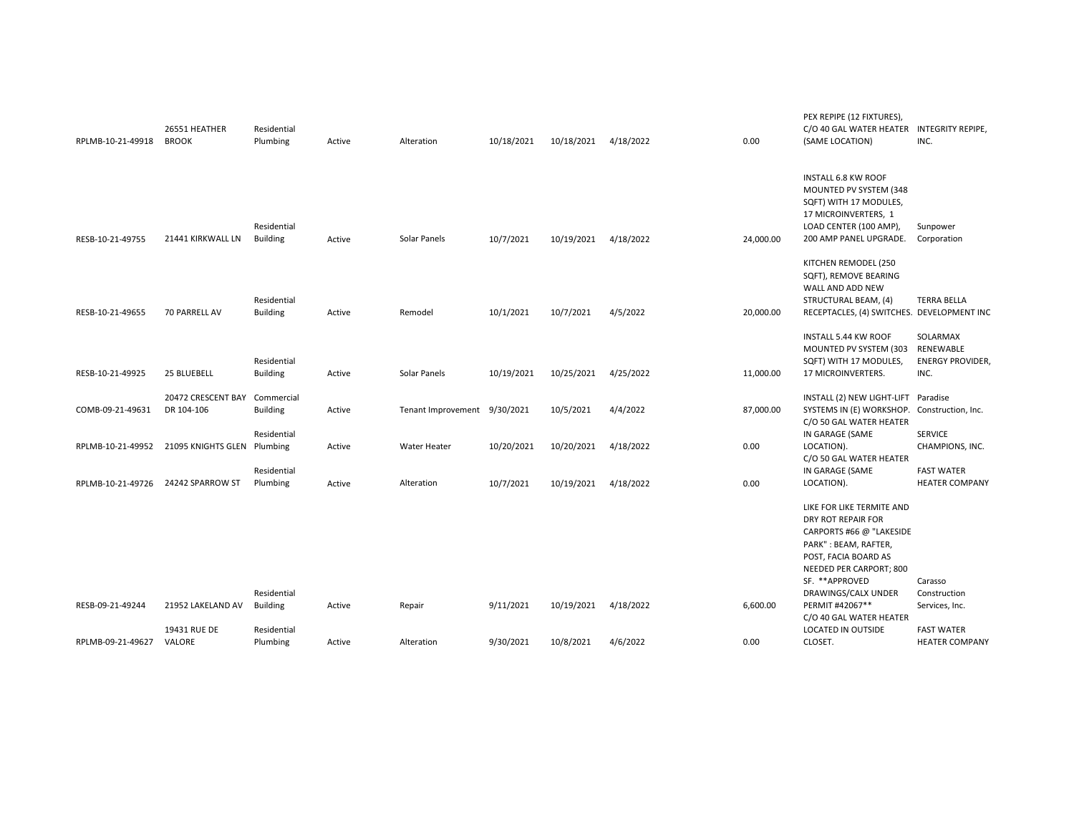| RPLMB-10-21-49918 | 26551 HEATHER<br><b>BROOK</b>    | Residential<br>Plumbing        | Active | Alteration                   | 10/18/2021 | 10/18/2021 | 4/18/2022 | 0.00      | PEX REPIPE (12 FIXTURES),<br>C/O 40 GAL WATER HEATER<br>(SAME LOCATION)                                                                                    | <b>INTEGRITY REPIPE,</b><br>INC.                         |
|-------------------|----------------------------------|--------------------------------|--------|------------------------------|------------|------------|-----------|-----------|------------------------------------------------------------------------------------------------------------------------------------------------------------|----------------------------------------------------------|
| RESB-10-21-49755  | 21441 KIRKWALL LN                | Residential<br><b>Building</b> | Active | Solar Panels                 | 10/7/2021  | 10/19/2021 | 4/18/2022 | 24,000.00 | <b>INSTALL 6.8 KW ROOF</b><br>MOUNTED PV SYSTEM (348<br>SQFT) WITH 17 MODULES,<br>17 MICROINVERTERS, 1<br>LOAD CENTER (100 AMP),<br>200 AMP PANEL UPGRADE. | Sunpower<br>Corporation                                  |
| RESB-10-21-49655  | 70 PARRELL AV                    | Residential<br><b>Building</b> | Active | Remodel                      | 10/1/2021  | 10/7/2021  | 4/5/2022  | 20,000.00 | KITCHEN REMODEL (250<br>SQFT), REMOVE BEARING<br>WALL AND ADD NEW<br>STRUCTURAL BEAM, (4)<br>RECEPTACLES, (4) SWITCHES. DEVELOPMENT INC                    | <b>TERRA BELLA</b>                                       |
| RESB-10-21-49925  | 25 BLUEBELL                      | Residential<br><b>Building</b> | Active | Solar Panels                 | 10/19/2021 | 10/25/2021 | 4/25/2022 | 11,000.00 | <b>INSTALL 5.44 KW ROOF</b><br>MOUNTED PV SYSTEM (303<br>SQFT) WITH 17 MODULES,<br>17 MICROINVERTERS.                                                      | SOLARMAX<br>RENEWABLE<br><b>ENERGY PROVIDER,</b><br>INC. |
| COMB-09-21-49631  | 20472 CRESCENT BAY<br>DR 104-106 | Commercial<br><b>Building</b>  | Active | Tenant Improvement 9/30/2021 |            | 10/5/2021  | 4/4/2022  | 87,000.00 | INSTALL (2) NEW LIGHT-LIFT<br>SYSTEMS IN (E) WORKSHOP.<br>C/O 50 GAL WATER HEATER                                                                          | Paradise<br>Construction, Inc.                           |
| RPLMB-10-21-49952 | 21095 KNIGHTS GLEN Plumbing      | Residential                    | Active | Water Heater                 | 10/20/2021 | 10/20/2021 | 4/18/2022 | 0.00      | IN GARAGE (SAME<br>LOCATION).<br>C/O 50 GAL WATER HEATER                                                                                                   | <b>SERVICE</b><br>CHAMPIONS, INC.                        |
| RPLMB-10-21-49726 | 24242 SPARROW ST                 | Residential<br>Plumbing        | Active | Alteration                   | 10/7/2021  | 10/19/2021 | 4/18/2022 | 0.00      | IN GARAGE (SAME<br>LOCATION).                                                                                                                              | <b>FAST WATER</b><br><b>HEATER COMPANY</b>               |
|                   |                                  |                                |        |                              |            |            |           |           | LIKE FOR LIKE TERMITE AND<br>DRY ROT REPAIR FOR<br>CARPORTS #66 @ "LAKESIDE<br>PARK": BEAM, RAFTER,<br>POST, FACIA BOARD AS<br>NEEDED PER CARPORT; 800     |                                                          |
| RESB-09-21-49244  | 21952 LAKELAND AV                | Residential<br><b>Building</b> | Active | Repair                       | 9/11/2021  | 10/19/2021 | 4/18/2022 | 6,600.00  | SF. **APPROVED<br>DRAWINGS/CALX UNDER<br>PERMIT #42067**                                                                                                   | Carasso<br>Construction<br>Services, Inc.                |
| RPLMB-09-21-49627 | 19431 RUE DE<br>VALORE           | Residential<br>Plumbing        | Active | Alteration                   | 9/30/2021  | 10/8/2021  | 4/6/2022  | 0.00      | C/O 40 GAL WATER HEATER<br>LOCATED IN OUTSIDE<br>CLOSET.                                                                                                   | <b>FAST WATER</b><br><b>HEATER COMPANY</b>               |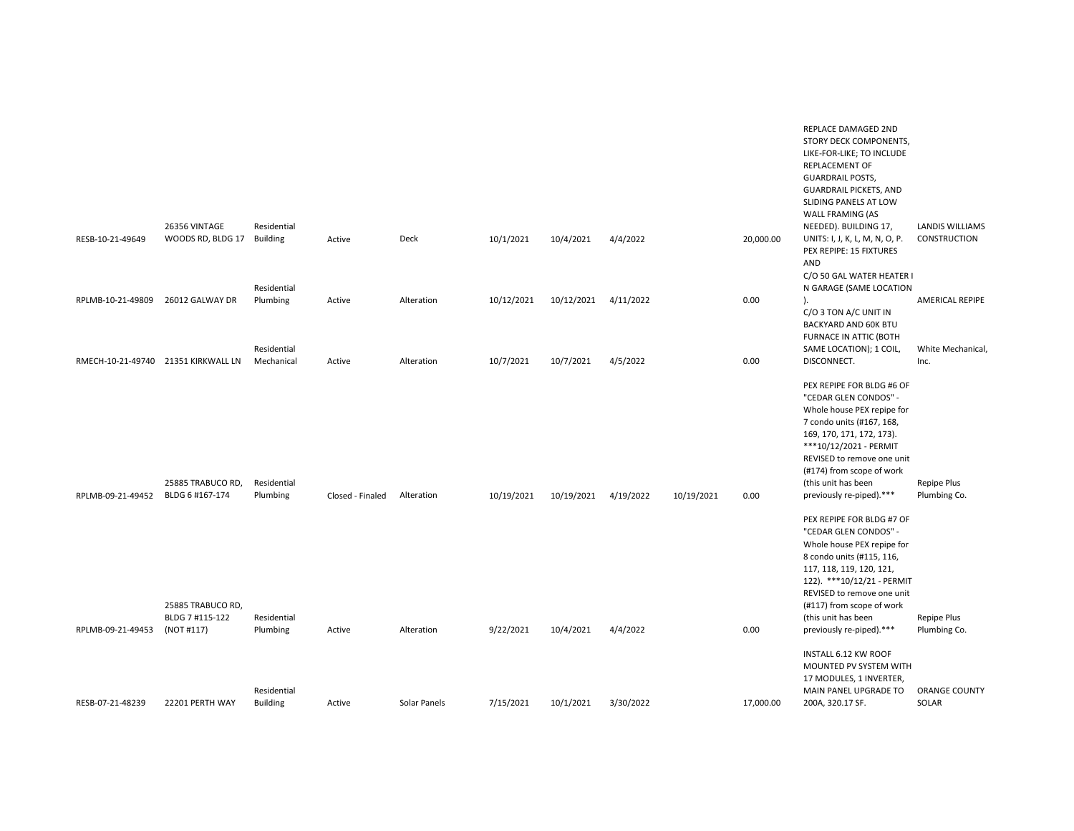|                                     | 26356 VINTAGE                                      | Residential                    |                  |              |            |            |           |            |           | REPLACE DAMAGED 2ND<br>STORY DECK COMPONENTS,<br>LIKE-FOR-LIKE; TO INCLUDE<br>REPLACEMENT OF<br><b>GUARDRAIL POSTS,</b><br><b>GUARDRAIL PICKETS, AND</b><br>SLIDING PANELS AT LOW<br>WALL FRAMING (AS<br>NEEDED). BUILDING 17,                                                        | <b>LANDIS WILLIAMS</b>                      |
|-------------------------------------|----------------------------------------------------|--------------------------------|------------------|--------------|------------|------------|-----------|------------|-----------|---------------------------------------------------------------------------------------------------------------------------------------------------------------------------------------------------------------------------------------------------------------------------------------|---------------------------------------------|
| RESB-10-21-49649                    | WOODS RD, BLDG 17                                  | <b>Building</b><br>Residential | Active           | Deck         | 10/1/2021  | 10/4/2021  | 4/4/2022  |            | 20,000.00 | UNITS: I, J, K, L, M, N, O, P.<br>PEX REPIPE: 15 FIXTURES<br>AND<br>C/O 50 GAL WATER HEATER I<br>N GARAGE (SAME LOCATION                                                                                                                                                              | CONSTRUCTION                                |
| RPLMB-10-21-49809                   | 26012 GALWAY DR                                    | Plumbing<br>Residential        | Active           | Alteration   | 10/12/2021 | 10/12/2021 | 4/11/2022 |            | 0.00      | C/O 3 TON A/C UNIT IN<br>BACKYARD AND 60K BTU<br>FURNACE IN ATTIC (BOTH<br>SAME LOCATION); 1 COIL,                                                                                                                                                                                    | <b>AMERICAL REPIPE</b><br>White Mechanical, |
| RMECH-10-21-49740 21351 KIRKWALL LN |                                                    | Mechanical                     | Active           | Alteration   | 10/7/2021  | 10/7/2021  | 4/5/2022  |            | 0.00      | DISCONNECT.                                                                                                                                                                                                                                                                           | Inc.                                        |
| RPLMB-09-21-49452                   | 25885 TRABUCO RD,<br>BLDG 6 #167-174               | Residential<br>Plumbing        | Closed - Finaled | Alteration   | 10/19/2021 | 10/19/2021 | 4/19/2022 | 10/19/2021 | 0.00      | PEX REPIPE FOR BLDG #6 OF<br>"CEDAR GLEN CONDOS" -<br>Whole house PEX repipe for<br>7 condo units (#167, 168,<br>169, 170, 171, 172, 173).<br>***10/12/2021 - PERMIT<br>REVISED to remove one unit<br>(#174) from scope of work<br>(this unit has been<br>previously re-piped).***    | Repipe Plus<br>Plumbing Co.                 |
| RPLMB-09-21-49453                   | 25885 TRABUCO RD,<br>BLDG 7 #115-122<br>(NOT #117) | Residential<br>Plumbing        | Active           | Alteration   | 9/22/2021  | 10/4/2021  | 4/4/2022  |            | 0.00      | PEX REPIPE FOR BLDG #7 OF<br>"CEDAR GLEN CONDOS" -<br>Whole house PEX repipe for<br>8 condo units (#115, 116,<br>117, 118, 119, 120, 121,<br>122). ***10/12/21 - PERMIT<br>REVISED to remove one unit<br>(#117) from scope of work<br>(this unit has been<br>previously re-piped).*** | Repipe Plus<br>Plumbing Co.                 |
|                                     |                                                    |                                |                  |              |            |            |           |            |           |                                                                                                                                                                                                                                                                                       |                                             |
| RESB-07-21-48239                    | 22201 PERTH WAY                                    | Residential<br><b>Building</b> | Active           | Solar Panels | 7/15/2021  | 10/1/2021  | 3/30/2022 |            | 17,000.00 | INSTALL 6.12 KW ROOF<br>MOUNTED PV SYSTEM WITH<br>17 MODULES, 1 INVERTER,<br>MAIN PANEL UPGRADE TO<br>200A, 320.17 SF.                                                                                                                                                                | <b>ORANGE COUNTY</b><br>SOLAR               |
|                                     |                                                    |                                |                  |              |            |            |           |            |           |                                                                                                                                                                                                                                                                                       |                                             |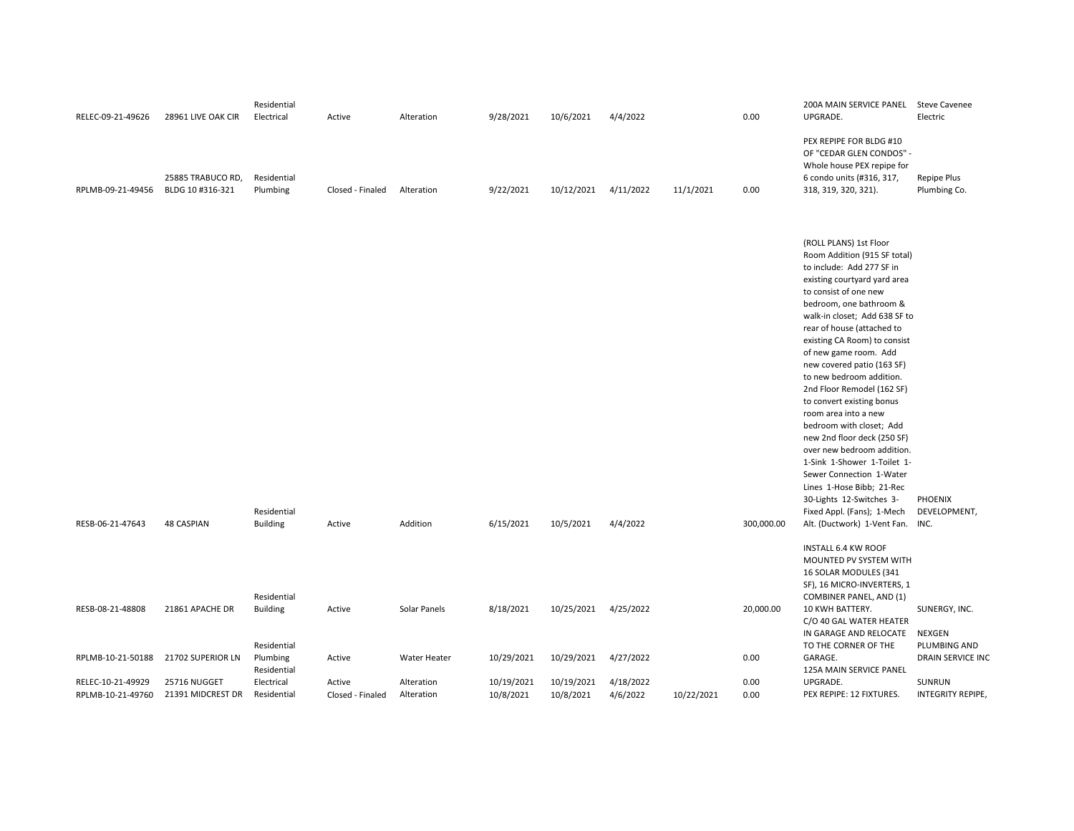| RELEC-09-21-49626                      | 28961 LIVE OAK CIR                    | Residential<br>Electrical                     | Active                     | Alteration               | 9/28/2021               | 10/6/2021               | 4/4/2022              |            | 0.00         | 200A MAIN SERVICE PANEL Steve Cavenee<br>UPGRADE.                                                                                                                                                                                                                                                                                                                                                                                                                                                                                                                                                                                                                                                                           | Electric                                       |
|----------------------------------------|---------------------------------------|-----------------------------------------------|----------------------------|--------------------------|-------------------------|-------------------------|-----------------------|------------|--------------|-----------------------------------------------------------------------------------------------------------------------------------------------------------------------------------------------------------------------------------------------------------------------------------------------------------------------------------------------------------------------------------------------------------------------------------------------------------------------------------------------------------------------------------------------------------------------------------------------------------------------------------------------------------------------------------------------------------------------------|------------------------------------------------|
| RPLMB-09-21-49456                      | 25885 TRABUCO RD,<br>BLDG 10 #316-321 | Residential<br>Plumbing                       | Closed - Finaled           | Alteration               | 9/22/2021               | 10/12/2021              | 4/11/2022             | 11/1/2021  | 0.00         | PEX REPIPE FOR BLDG #10<br>OF "CEDAR GLEN CONDOS" -<br>Whole house PEX repipe for<br>6 condo units (#316, 317,<br>318, 319, 320, 321).                                                                                                                                                                                                                                                                                                                                                                                                                                                                                                                                                                                      | Repipe Plus<br>Plumbing Co.                    |
| RESB-06-21-47643                       | <b>48 CASPIAN</b>                     | Residential<br><b>Building</b>                | Active                     | Addition                 | 6/15/2021               | 10/5/2021               | 4/4/2022              |            | 300,000.00   | (ROLL PLANS) 1st Floor<br>Room Addition (915 SF total)<br>to include: Add 277 SF in<br>existing courtyard yard area<br>to consist of one new<br>bedroom, one bathroom &<br>walk-in closet; Add 638 SF to<br>rear of house (attached to<br>existing CA Room) to consist<br>of new game room. Add<br>new covered patio (163 SF)<br>to new bedroom addition.<br>2nd Floor Remodel (162 SF)<br>to convert existing bonus<br>room area into a new<br>bedroom with closet; Add<br>new 2nd floor deck (250 SF)<br>over new bedroom addition.<br>1-Sink 1-Shower 1-Toilet 1-<br>Sewer Connection 1-Water<br>Lines 1-Hose Bibb; 21-Rec<br>30-Lights 12-Switches 3-<br>Fixed Appl. (Fans); 1-Mech<br>Alt. (Ductwork) 1-Vent Fan. INC. | PHOENIX<br>DEVELOPMENT,                        |
|                                        |                                       |                                               |                            |                          |                         |                         |                       |            |              | <b>INSTALL 6.4 KW ROOF</b><br>MOUNTED PV SYSTEM WITH<br>16 SOLAR MODULES (341<br>SF), 16 MICRO-INVERTERS, 1                                                                                                                                                                                                                                                                                                                                                                                                                                                                                                                                                                                                                 |                                                |
| RESB-08-21-48808                       | 21861 APACHE DR                       | Residential<br><b>Building</b><br>Residential | Active                     | Solar Panels             | 8/18/2021               | 10/25/2021              | 4/25/2022             |            | 20,000.00    | COMBINER PANEL, AND (1)<br>10 KWH BATTERY.<br>C/O 40 GAL WATER HEATER<br>IN GARAGE AND RELOCATE<br>TO THE CORNER OF THE                                                                                                                                                                                                                                                                                                                                                                                                                                                                                                                                                                                                     | SUNERGY, INC.<br><b>NEXGEN</b><br>PLUMBING AND |
| RPLMB-10-21-50188                      | 21702 SUPERIOR LN                     | Plumbing<br>Residential                       | Active                     | Water Heater             | 10/29/2021              | 10/29/2021              | 4/27/2022             |            | 0.00         | GARAGE.<br>125A MAIN SERVICE PANEL                                                                                                                                                                                                                                                                                                                                                                                                                                                                                                                                                                                                                                                                                          | DRAIN SERVICE INC                              |
| RELEC-10-21-49929<br>RPLMB-10-21-49760 | 25716 NUGGET<br>21391 MIDCREST DR     | Electrical<br>Residential                     | Active<br>Closed - Finaled | Alteration<br>Alteration | 10/19/2021<br>10/8/2021 | 10/19/2021<br>10/8/2021 | 4/18/2022<br>4/6/2022 | 10/22/2021 | 0.00<br>0.00 | UPGRADE.<br>PEX REPIPE: 12 FIXTURES.                                                                                                                                                                                                                                                                                                                                                                                                                                                                                                                                                                                                                                                                                        | SUNRUN<br>INTEGRITY REPIPE,                    |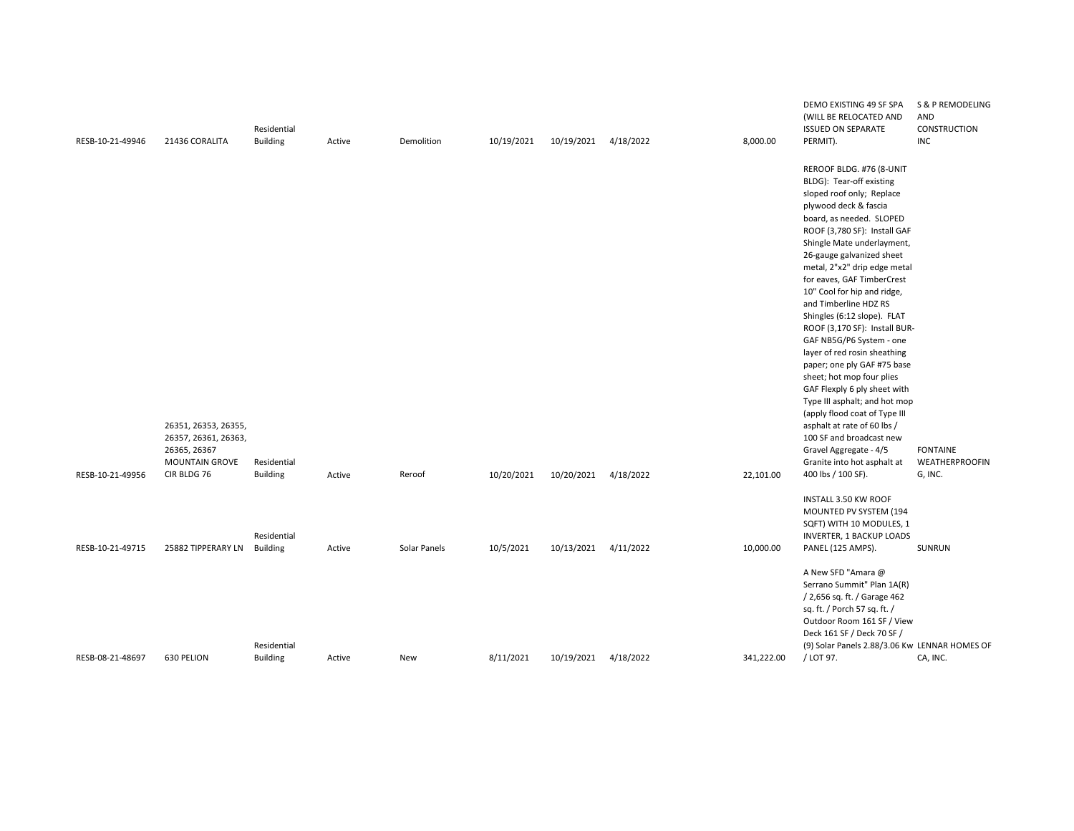| RESB-10-21-49946 | 21436 CORALITA                       | Residential<br><b>Building</b> | Active | Demolition   | 10/19/2021 | 10/19/2021           | 4/18/2022 | 8,000.00   | DEMO EXISTING 49 SF SPA<br>(WILL BE RELOCATED AND<br><b>ISSUED ON SEPARATE</b><br>PERMIT). | S & P REMODELING<br>AND<br>CONSTRUCTION<br><b>INC</b> |
|------------------|--------------------------------------|--------------------------------|--------|--------------|------------|----------------------|-----------|------------|--------------------------------------------------------------------------------------------|-------------------------------------------------------|
|                  |                                      |                                |        |              |            |                      |           |            | REROOF BLDG. #76 (8-UNIT                                                                   |                                                       |
|                  |                                      |                                |        |              |            |                      |           |            | BLDG): Tear-off existing                                                                   |                                                       |
|                  |                                      |                                |        |              |            |                      |           |            | sloped roof only; Replace                                                                  |                                                       |
|                  |                                      |                                |        |              |            |                      |           |            | plywood deck & fascia                                                                      |                                                       |
|                  |                                      |                                |        |              |            |                      |           |            | board, as needed. SLOPED                                                                   |                                                       |
|                  |                                      |                                |        |              |            |                      |           |            | ROOF (3,780 SF): Install GAF                                                               |                                                       |
|                  |                                      |                                |        |              |            |                      |           |            | Shingle Mate underlayment,                                                                 |                                                       |
|                  |                                      |                                |        |              |            |                      |           |            | 26-gauge galvanized sheet                                                                  |                                                       |
|                  |                                      |                                |        |              |            |                      |           |            | metal, 2"x2" drip edge metal                                                               |                                                       |
|                  |                                      |                                |        |              |            |                      |           |            | for eaves, GAF TimberCrest                                                                 |                                                       |
|                  |                                      |                                |        |              |            |                      |           |            | 10" Cool for hip and ridge,<br>and Timberline HDZ RS                                       |                                                       |
|                  |                                      |                                |        |              |            |                      |           |            | Shingles (6:12 slope). FLAT                                                                |                                                       |
|                  |                                      |                                |        |              |            |                      |           |            | ROOF (3,170 SF): Install BUR-                                                              |                                                       |
|                  |                                      |                                |        |              |            |                      |           |            | GAF NB5G/P6 System - one                                                                   |                                                       |
|                  |                                      |                                |        |              |            |                      |           |            | layer of red rosin sheathing                                                               |                                                       |
|                  |                                      |                                |        |              |            |                      |           |            | paper; one ply GAF #75 base                                                                |                                                       |
|                  |                                      |                                |        |              |            |                      |           |            | sheet; hot mop four plies                                                                  |                                                       |
|                  |                                      |                                |        |              |            |                      |           |            | GAF Flexply 6 ply sheet with                                                               |                                                       |
|                  |                                      |                                |        |              |            |                      |           |            | Type III asphalt; and hot mop                                                              |                                                       |
|                  |                                      |                                |        |              |            |                      |           |            | (apply flood coat of Type III                                                              |                                                       |
|                  | 26351, 26353, 26355,                 |                                |        |              |            |                      |           |            | asphalt at rate of 60 lbs /                                                                |                                                       |
|                  | 26357, 26361, 26363,                 |                                |        |              |            |                      |           |            | 100 SF and broadcast new                                                                   |                                                       |
|                  | 26365, 26367                         |                                |        |              |            |                      |           |            | Gravel Aggregate - 4/5                                                                     | <b>FONTAINE</b>                                       |
|                  | <b>MOUNTAIN GROVE</b><br>CIR BLDG 76 | Residential                    |        |              |            |                      |           |            | Granite into hot asphalt at                                                                | WEATHERPROOFIN                                        |
| RESB-10-21-49956 |                                      | <b>Building</b>                | Active | Reroof       | 10/20/2021 | 10/20/2021           | 4/18/2022 | 22,101.00  | 400 lbs / 100 SF).                                                                         | G, INC.                                               |
|                  |                                      |                                |        |              |            |                      |           |            | INSTALL 3.50 KW ROOF                                                                       |                                                       |
|                  |                                      |                                |        |              |            |                      |           |            | MOUNTED PV SYSTEM (194                                                                     |                                                       |
|                  |                                      |                                |        |              |            |                      |           |            | SQFT) WITH 10 MODULES, 1                                                                   |                                                       |
|                  |                                      | Residential                    |        |              |            |                      |           |            | <b>INVERTER, 1 BACKUP LOADS</b>                                                            |                                                       |
| RESB-10-21-49715 | 25882 TIPPERARY LN                   | <b>Building</b>                | Active | Solar Panels | 10/5/2021  | 10/13/2021           | 4/11/2022 | 10,000.00  | PANEL (125 AMPS).                                                                          | SUNRUN                                                |
|                  |                                      |                                |        |              |            |                      |           |            | A New SFD "Amara @                                                                         |                                                       |
|                  |                                      |                                |        |              |            |                      |           |            | Serrano Summit" Plan 1A(R)                                                                 |                                                       |
|                  |                                      |                                |        |              |            |                      |           |            | / 2,656 sq. ft. / Garage 462                                                               |                                                       |
|                  |                                      |                                |        |              |            |                      |           |            | sq. ft. / Porch 57 sq. ft. /                                                               |                                                       |
|                  |                                      |                                |        |              |            |                      |           |            | Outdoor Room 161 SF / View                                                                 |                                                       |
|                  |                                      |                                |        |              |            |                      |           |            | Deck 161 SF / Deck 70 SF /                                                                 |                                                       |
|                  |                                      | Residential                    |        |              |            |                      |           |            | (9) Solar Panels 2.88/3.06 Kw LENNAR HOMES OF                                              |                                                       |
| RESB-08-21-48697 | 630 PELION                           | <b>Building</b>                | Active | New          | 8/11/2021  | 10/19/2021 4/18/2022 |           | 341,222.00 | / LOT 97.                                                                                  | CA, INC.                                              |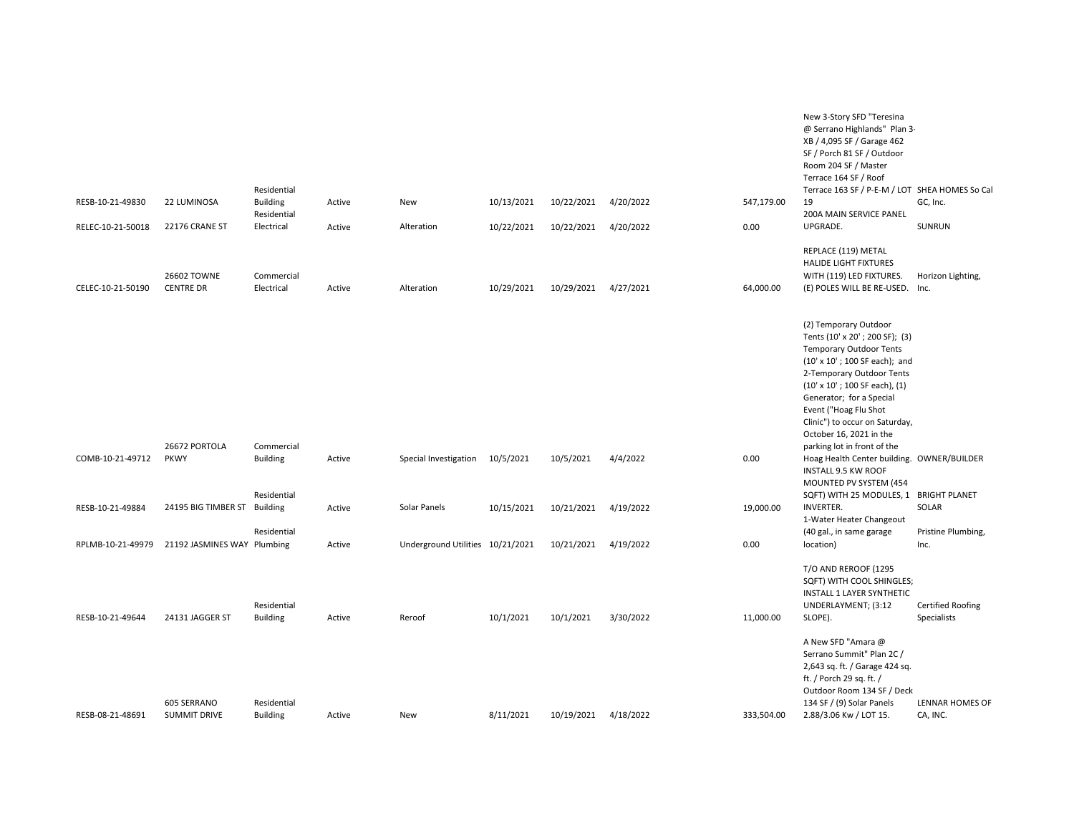| RESB-10-21-49830  | 22 LUMINOSA                                   | Residential<br><b>Building</b> | Active | New                              | 10/13/2021 | 10/22/2021 | 4/20/2022 | 547,179.00 | New 3-Story SFD "Teresina<br>@ Serrano Highlands" Plan 3-<br>XB / 4,095 SF / Garage 462<br>SF / Porch 81 SF / Outdoor<br>Room 204 SF / Master<br>Terrace 164 SF / Roof<br>Terrace 163 SF / P-E-M / LOT SHEA HOMES So Cal<br>19                                                                                                                      | GC, Inc.                                |
|-------------------|-----------------------------------------------|--------------------------------|--------|----------------------------------|------------|------------|-----------|------------|-----------------------------------------------------------------------------------------------------------------------------------------------------------------------------------------------------------------------------------------------------------------------------------------------------------------------------------------------------|-----------------------------------------|
|                   |                                               | Residential                    |        |                                  |            |            |           |            | 200A MAIN SERVICE PANEL                                                                                                                                                                                                                                                                                                                             |                                         |
| RELEC-10-21-50018 | 22176 CRANE ST                                | Electrical                     | Active | Alteration                       | 10/22/2021 | 10/22/2021 | 4/20/2022 | 0.00       | UPGRADE.                                                                                                                                                                                                                                                                                                                                            | SUNRUN                                  |
| CELEC-10-21-50190 | 26602 TOWNE<br><b>CENTRE DR</b>               | Commercial<br>Electrical       | Active | Alteration                       | 10/29/2021 | 10/29/2021 | 4/27/2021 | 64,000.00  | REPLACE (119) METAL<br>HALIDE LIGHT FIXTURES<br>WITH (119) LED FIXTURES.<br>(E) POLES WILL BE RE-USED. Inc.                                                                                                                                                                                                                                         | Horizon Lighting,                       |
|                   | 26672 PORTOLA                                 | Commercial                     |        |                                  |            |            |           |            | (2) Temporary Outdoor<br>Tents (10' x 20'; 200 SF); (3)<br><b>Temporary Outdoor Tents</b><br>(10' x 10'; 100 SF each); and<br>2-Temporary Outdoor Tents<br>$(10' \times 10'$ ; 100 SF each), $(1)$<br>Generator; for a Special<br>Event ("Hoag Flu Shot<br>Clinic") to occur on Saturday,<br>October 16, 2021 in the<br>parking lot in front of the |                                         |
| COMB-10-21-49712  | <b>PKWY</b>                                   | <b>Building</b><br>Residential | Active | Special Investigation            | 10/5/2021  | 10/5/2021  | 4/4/2022  | 0.00       | Hoag Health Center building. OWNER/BUILDER<br><b>INSTALL 9.5 KW ROOF</b><br>MOUNTED PV SYSTEM (454<br>SQFT) WITH 25 MODULES, 1 BRIGHT PLANET                                                                                                                                                                                                        |                                         |
| RESB-10-21-49884  | 24195 BIG TIMBER ST Building                  |                                | Active | Solar Panels                     | 10/15/2021 | 10/21/2021 | 4/19/2022 | 19,000.00  | <b>INVERTER.</b><br>1-Water Heater Changeout                                                                                                                                                                                                                                                                                                        | SOLAR                                   |
|                   | RPLMB-10-21-49979 21192 JASMINES WAY Plumbing | Residential                    | Active | Underground Utilities 10/21/2021 |            | 10/21/2021 | 4/19/2022 | 0.00       | (40 gal., in same garage<br>location)                                                                                                                                                                                                                                                                                                               | Pristine Plumbing,<br>Inc.              |
| RESB-10-21-49644  | 24131 JAGGER ST                               | Residential<br><b>Building</b> | Active | Reroof                           | 10/1/2021  | 10/1/2021  | 3/30/2022 | 11,000.00  | T/O AND REROOF (1295<br>SQFT) WITH COOL SHINGLES;<br>INSTALL 1 LAYER SYNTHETIC<br>UNDERLAYMENT; (3:12<br>SLOPE).                                                                                                                                                                                                                                    | <b>Certified Roofing</b><br>Specialists |
| RESB-08-21-48691  | 605 SERRANO<br><b>SUMMIT DRIVE</b>            | Residential<br><b>Building</b> | Active | New                              | 8/11/2021  | 10/19/2021 | 4/18/2022 | 333,504.00 | A New SFD "Amara @<br>Serrano Summit" Plan 2C /<br>2,643 sq. ft. / Garage 424 sq.<br>ft. / Porch 29 sq. ft. /<br>Outdoor Room 134 SF / Deck<br>134 SF / (9) Solar Panels<br>2.88/3.06 Kw / LOT 15.                                                                                                                                                  | LENNAR HOMES OF<br>CA, INC.             |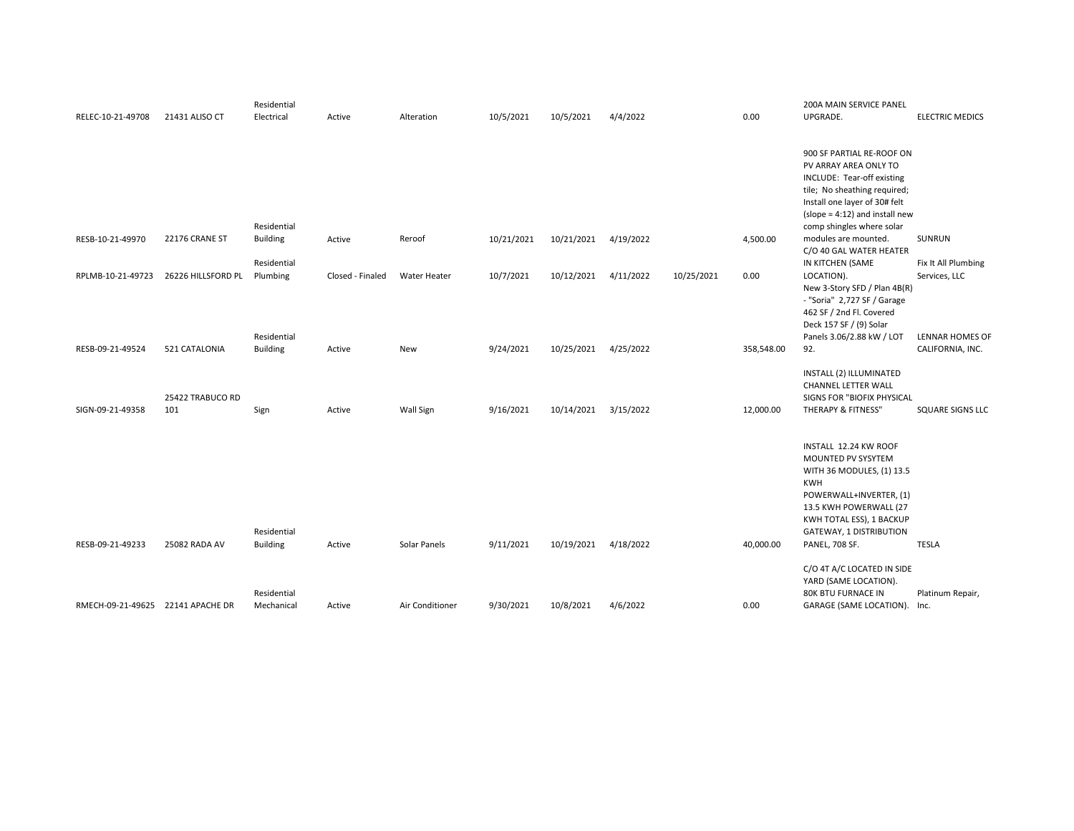|                                   |                    | Residential     |                  |                 |            |            |           |            |            | <b>200A MAIN SERVICE PANEL</b>   |                         |
|-----------------------------------|--------------------|-----------------|------------------|-----------------|------------|------------|-----------|------------|------------|----------------------------------|-------------------------|
| RELEC-10-21-49708                 | 21431 ALISO CT     | Electrical      | Active           | Alteration      | 10/5/2021  | 10/5/2021  | 4/4/2022  |            | 0.00       | UPGRADE.                         | <b>ELECTRIC MEDICS</b>  |
|                                   |                    |                 |                  |                 |            |            |           |            |            |                                  |                         |
|                                   |                    |                 |                  |                 |            |            |           |            |            |                                  |                         |
|                                   |                    |                 |                  |                 |            |            |           |            |            | 900 SF PARTIAL RE-ROOF ON        |                         |
|                                   |                    |                 |                  |                 |            |            |           |            |            | PV ARRAY AREA ONLY TO            |                         |
|                                   |                    |                 |                  |                 |            |            |           |            |            | INCLUDE: Tear-off existing       |                         |
|                                   |                    |                 |                  |                 |            |            |           |            |            | tile; No sheathing required;     |                         |
|                                   |                    |                 |                  |                 |            |            |           |            |            | Install one layer of 30# felt    |                         |
|                                   |                    |                 |                  |                 |            |            |           |            |            | $(slope = 4:12)$ and install new |                         |
|                                   |                    | Residential     |                  |                 |            |            |           |            |            | comp shingles where solar        |                         |
| RESB-10-21-49970                  | 22176 CRANE ST     | <b>Building</b> | Active           | Reroof          | 10/21/2021 | 10/21/2021 | 4/19/2022 |            | 4,500.00   | modules are mounted.             | SUNRUN                  |
|                                   |                    |                 |                  |                 |            |            |           |            |            | C/O 40 GAL WATER HEATER          |                         |
|                                   |                    | Residential     |                  |                 |            |            |           |            |            | IN KITCHEN (SAME                 | Fix It All Plumbing     |
| RPLMB-10-21-49723                 | 26226 HILLSFORD PL | Plumbing        | Closed - Finaled | Water Heater    | 10/7/2021  | 10/12/2021 | 4/11/2022 | 10/25/2021 | 0.00       | LOCATION).                       | Services, LLC           |
|                                   |                    |                 |                  |                 |            |            |           |            |            | New 3-Story SFD / Plan 4B(R)     |                         |
|                                   |                    |                 |                  |                 |            |            |           |            |            | - "Soria" 2,727 SF / Garage      |                         |
|                                   |                    |                 |                  |                 |            |            |           |            |            | 462 SF / 2nd Fl. Covered         |                         |
|                                   |                    |                 |                  |                 |            |            |           |            |            | Deck 157 SF / (9) Solar          |                         |
|                                   |                    | Residential     |                  |                 |            |            |           |            |            | Panels 3.06/2.88 kW / LOT        | LENNAR HOMES OF         |
| RESB-09-21-49524                  | 521 CATALONIA      | <b>Building</b> | Active           | New             | 9/24/2021  | 10/25/2021 | 4/25/2022 |            | 358,548.00 | 92.                              | CALIFORNIA, INC.        |
|                                   |                    |                 |                  |                 |            |            |           |            |            |                                  |                         |
|                                   |                    |                 |                  |                 |            |            |           |            |            | INSTALL (2) ILLUMINATED          |                         |
|                                   |                    |                 |                  |                 |            |            |           |            |            | <b>CHANNEL LETTER WALL</b>       |                         |
|                                   | 25422 TRABUCO RD   |                 |                  |                 |            |            |           |            |            | SIGNS FOR "BIOFIX PHYSICAL       |                         |
| SIGN-09-21-49358                  | 101                | Sign            | Active           | Wall Sign       | 9/16/2021  | 10/14/2021 | 3/15/2022 |            | 12,000.00  | <b>THERAPY &amp; FITNESS"</b>    | <b>SQUARE SIGNS LLC</b> |
|                                   |                    |                 |                  |                 |            |            |           |            |            |                                  |                         |
|                                   |                    |                 |                  |                 |            |            |           |            |            |                                  |                         |
|                                   |                    |                 |                  |                 |            |            |           |            |            | INSTALL 12.24 KW ROOF            |                         |
|                                   |                    |                 |                  |                 |            |            |           |            |            | MOUNTED PV SYSYTEM               |                         |
|                                   |                    |                 |                  |                 |            |            |           |            |            | WITH 36 MODULES, (1) 13.5        |                         |
|                                   |                    |                 |                  |                 |            |            |           |            |            | KWH                              |                         |
|                                   |                    |                 |                  |                 |            |            |           |            |            |                                  |                         |
|                                   |                    |                 |                  |                 |            |            |           |            |            | POWERWALL+INVERTER, (1)          |                         |
|                                   |                    |                 |                  |                 |            |            |           |            |            | 13.5 KWH POWERWALL (27           |                         |
|                                   |                    |                 |                  |                 |            |            |           |            |            | KWH TOTAL ESS), 1 BACKUP         |                         |
|                                   |                    | Residential     |                  |                 |            |            |           |            |            | GATEWAY, 1 DISTRIBUTION          |                         |
| RESB-09-21-49233                  | 25082 RADA AV      | <b>Building</b> | Active           | Solar Panels    | 9/11/2021  | 10/19/2021 | 4/18/2022 |            | 40,000.00  | PANEL, 708 SF.                   | <b>TESLA</b>            |
|                                   |                    |                 |                  |                 |            |            |           |            |            | C/O 4T A/C LOCATED IN SIDE       |                         |
|                                   |                    |                 |                  |                 |            |            |           |            |            | YARD (SAME LOCATION).            |                         |
|                                   |                    | Residential     |                  |                 |            |            |           |            |            | 80K BTU FURNACE IN               | Platinum Repair,        |
| RMECH-09-21-49625 22141 APACHE DR |                    |                 |                  |                 |            |            |           |            | 0.00       |                                  |                         |
|                                   |                    | Mechanical      | Active           | Air Conditioner | 9/30/2021  | 10/8/2021  | 4/6/2022  |            |            | GARAGE (SAME LOCATION).          | Inc.                    |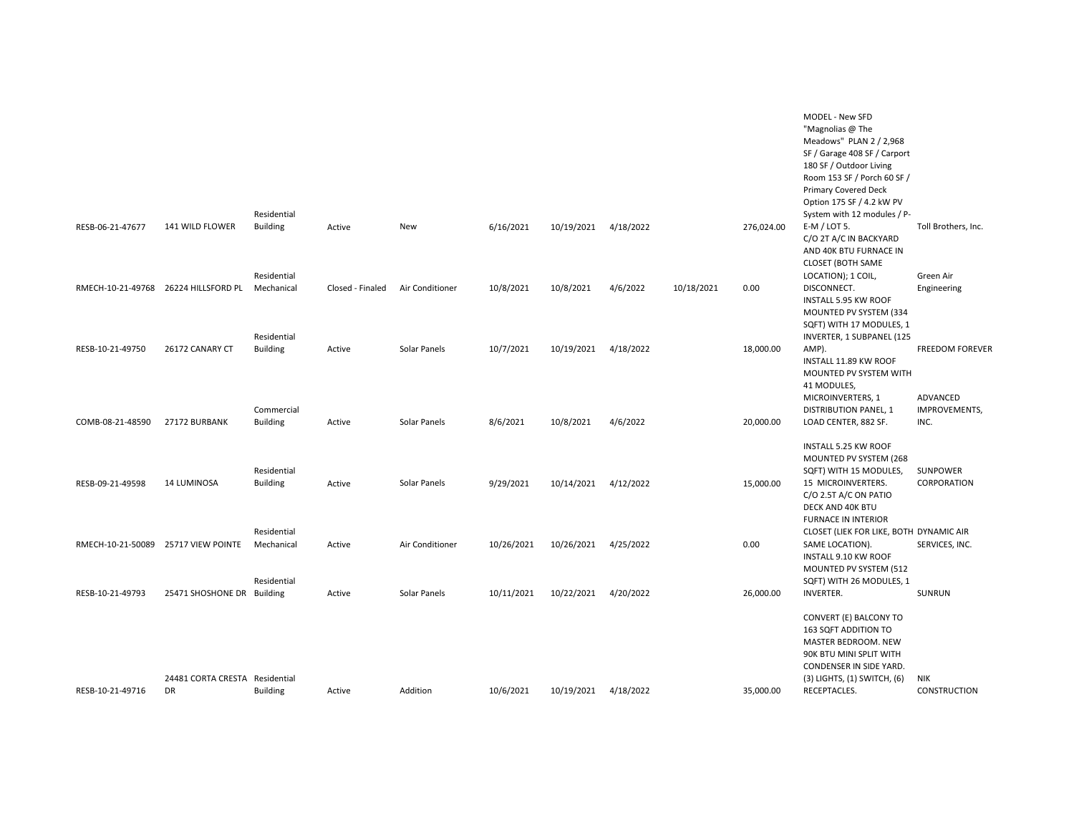|                                     |                                                              | Residential                              |                  |                 |            |                      |           |            |            | MODEL - New SFD<br>"Magnolias @ The<br>Meadows" PLAN 2 / 2,968<br>SF / Garage 408 SF / Carport<br>180 SF / Outdoor Living<br>Room 153 SF / Porch 60 SF /<br><b>Primary Covered Deck</b><br>Option 175 SF / 4.2 kW PV<br>System with 12 modules / P- |                                    |
|-------------------------------------|--------------------------------------------------------------|------------------------------------------|------------------|-----------------|------------|----------------------|-----------|------------|------------|-----------------------------------------------------------------------------------------------------------------------------------------------------------------------------------------------------------------------------------------------------|------------------------------------|
| RESB-06-21-47677                    | 141 WILD FLOWER                                              | <b>Building</b>                          | Active           | New             | 6/16/2021  | 10/19/2021           | 4/18/2022 |            | 276,024.00 | $E-M /$ LOT 5.<br>C/O 2T A/C IN BACKYARD<br>AND 40K BTU FURNACE IN<br><b>CLOSET (BOTH SAME</b>                                                                                                                                                      | Toll Brothers, Inc.                |
|                                     | RMECH-10-21-49768 26224 HILLSFORD PL                         | Residential<br>Mechanical<br>Residential | Closed - Finaled | Air Conditioner | 10/8/2021  | 10/8/2021            | 4/6/2022  | 10/18/2021 | 0.00       | LOCATION); 1 COIL,<br>DISCONNECT.<br>INSTALL 5.95 KW ROOF<br>MOUNTED PV SYSTEM (334<br>SQFT) WITH 17 MODULES, 1<br>INVERTER, 1 SUBPANEL (125                                                                                                        | Green Air<br>Engineering           |
| RESB-10-21-49750                    | 26172 CANARY CT                                              | <b>Building</b>                          | Active           | Solar Panels    | 10/7/2021  | 10/19/2021           | 4/18/2022 |            | 18,000.00  | AMP).<br>INSTALL 11.89 KW ROOF<br>MOUNTED PV SYSTEM WITH<br>41 MODULES,<br>MICROINVERTERS, 1                                                                                                                                                        | <b>FREEDOM FOREVER</b><br>ADVANCED |
| COMB-08-21-48590                    | 27172 BURBANK                                                | Commercial<br><b>Building</b>            | Active           | Solar Panels    | 8/6/2021   | 10/8/2021            | 4/6/2022  |            | 20,000.00  | <b>DISTRIBUTION PANEL, 1</b><br>LOAD CENTER, 882 SF.<br>INSTALL 5.25 KW ROOF<br>MOUNTED PV SYSTEM (268                                                                                                                                              | IMPROVEMENTS,<br>INC.              |
| RESB-09-21-49598                    | <b>14 LUMINOSA</b>                                           | Residential<br><b>Building</b>           | Active           | Solar Panels    | 9/29/2021  | 10/14/2021 4/12/2022 |           |            | 15,000.00  | SQFT) WITH 15 MODULES,<br>15 MICROINVERTERS.<br>C/O 2.5T A/C ON PATIO<br>DECK AND 40K BTU<br><b>FURNACE IN INTERIOR</b>                                                                                                                             | SUNPOWER<br>CORPORATION            |
| RMECH-10-21-50089 25717 VIEW POINTE |                                                              | Residential<br>Mechanical<br>Residential | Active           | Air Conditioner | 10/26/2021 | 10/26/2021           | 4/25/2022 |            | 0.00       | CLOSET (LIEK FOR LIKE, BOTH DYNAMIC AIR<br>SAME LOCATION).<br>INSTALL 9.10 KW ROOF<br>MOUNTED PV SYSTEM (512<br>SQFT) WITH 26 MODULES, 1                                                                                                            | SERVICES, INC.                     |
| RESB-10-21-49793                    | 25471 SHOSHONE DR Building<br>24481 CORTA CRESTA Residential |                                          | Active           | Solar Panels    | 10/11/2021 | 10/22/2021           | 4/20/2022 |            | 26,000.00  | <b>INVERTER.</b><br>CONVERT (E) BALCONY TO<br>163 SQFT ADDITION TO<br>MASTER BEDROOM. NEW<br>90K BTU MINI SPLIT WITH<br>CONDENSER IN SIDE YARD.<br>$(3)$ LIGHTS, $(1)$ SWITCH, $(6)$                                                                | SUNRUN<br>NIK                      |
| RESB-10-21-49716                    | DR                                                           | <b>Building</b>                          | Active           | Addition        | 10/6/2021  | 10/19/2021           | 4/18/2022 |            | 35,000.00  | RECEPTACLES.                                                                                                                                                                                                                                        | CONSTRUCTION                       |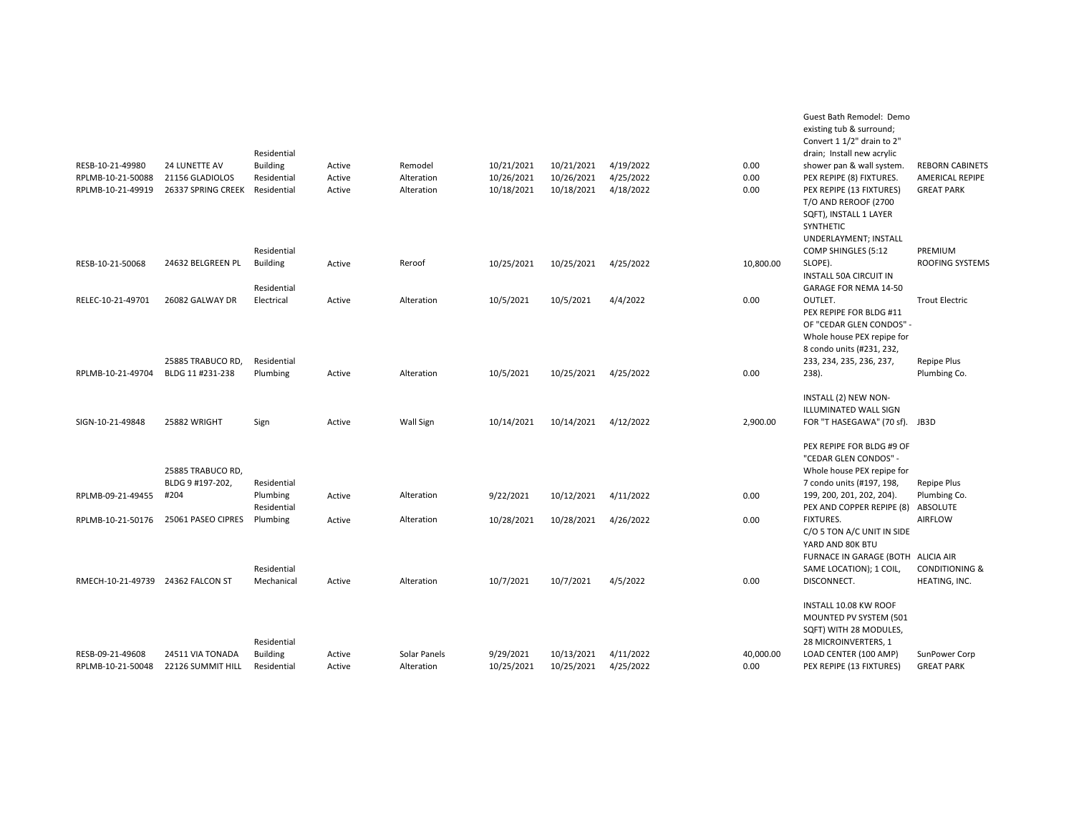|                                   |                    | Residential     |        |              |            |            |           |           | existing tub & surround;<br>Convert 1 1/2" drain to 2"<br>drain; Install new acrylic |                           |
|-----------------------------------|--------------------|-----------------|--------|--------------|------------|------------|-----------|-----------|--------------------------------------------------------------------------------------|---------------------------|
| RESB-10-21-49980                  | 24 LUNETTE AV      | <b>Building</b> | Active | Remodel      | 10/21/2021 | 10/21/2021 | 4/19/2022 | 0.00      | shower pan & wall system.                                                            | <b>REBORN CABINETS</b>    |
| RPLMB-10-21-50088                 | 21156 GLADIOLOS    | Residential     | Active | Alteration   | 10/26/2021 | 10/26/2021 | 4/25/2022 | 0.00      | PEX REPIPE (8) FIXTURES.                                                             | AMERICAL REPIPE           |
| RPLMB-10-21-49919                 | 26337 SPRING CREEK | Residential     | Active | Alteration   | 10/18/2021 | 10/18/2021 | 4/18/2022 | 0.00      | PEX REPIPE (13 FIXTURES)                                                             | <b>GREAT PARK</b>         |
|                                   |                    |                 |        |              |            |            |           |           | <b>T/O AND REROOF (2700</b>                                                          |                           |
|                                   |                    |                 |        |              |            |            |           |           | SQFT), INSTALL 1 LAYER                                                               |                           |
|                                   |                    |                 |        |              |            |            |           |           | SYNTHETIC                                                                            |                           |
|                                   |                    |                 |        |              |            |            |           |           | UNDERLAYMENT; INSTALL                                                                |                           |
|                                   |                    | Residential     |        |              |            |            |           |           | COMP SHINGLES (5:12                                                                  | PREMIUM                   |
| RESB-10-21-50068                  | 24632 BELGREEN PL  | <b>Building</b> | Active | Reroof       | 10/25/2021 | 10/25/2021 | 4/25/2022 | 10,800.00 | SLOPE).                                                                              | <b>ROOFING SYSTEMS</b>    |
|                                   |                    |                 |        |              |            |            |           |           | <b>INSTALL 50A CIRCUIT IN</b>                                                        |                           |
|                                   |                    | Residential     |        |              |            |            |           |           | <b>GARAGE FOR NEMA 14-50</b>                                                         |                           |
| RELEC-10-21-49701                 | 26082 GALWAY DR    | Electrical      | Active | Alteration   | 10/5/2021  | 10/5/2021  | 4/4/2022  | 0.00      | OUTLET.                                                                              | <b>Trout Electric</b>     |
|                                   |                    |                 |        |              |            |            |           |           | PEX REPIPE FOR BLDG #11                                                              |                           |
|                                   |                    |                 |        |              |            |            |           |           | OF "CEDAR GLEN CONDOS" -                                                             |                           |
|                                   |                    |                 |        |              |            |            |           |           | Whole house PEX repipe for                                                           |                           |
|                                   |                    |                 |        |              |            |            |           |           | 8 condo units (#231, 232,                                                            |                           |
|                                   | 25885 TRABUCO RD,  | Residential     |        |              |            |            |           |           | 233, 234, 235, 236, 237,                                                             | Repipe Plus               |
| RPLMB-10-21-49704                 | BLDG 11 #231-238   | Plumbing        | Active | Alteration   | 10/5/2021  | 10/25/2021 | 4/25/2022 | 0.00      | 238).                                                                                | Plumbing Co.              |
|                                   |                    |                 |        |              |            |            |           |           |                                                                                      |                           |
|                                   |                    |                 |        |              |            |            |           |           | INSTALL (2) NEW NON-                                                                 |                           |
|                                   |                    |                 |        |              |            |            |           |           | <b>ILLUMINATED WALL SIGN</b>                                                         |                           |
| SIGN-10-21-49848                  | 25882 WRIGHT       | Sign            | Active | Wall Sign    | 10/14/2021 | 10/14/2021 | 4/12/2022 | 2,900.00  | FOR "T HASEGAWA" (70 sf).                                                            | JB3D                      |
|                                   |                    |                 |        |              |            |            |           |           |                                                                                      |                           |
|                                   |                    |                 |        |              |            |            |           |           | PEX REPIPE FOR BLDG #9 OF                                                            |                           |
|                                   |                    |                 |        |              |            |            |           |           | "CEDAR GLEN CONDOS" -                                                                |                           |
|                                   | 25885 TRABUCO RD,  |                 |        |              |            |            |           |           | Whole house PEX repipe for                                                           |                           |
|                                   | BLDG 9 #197-202,   | Residential     |        |              |            |            |           |           | 7 condo units (#197, 198,                                                            | Repipe Plus               |
| RPLMB-09-21-49455                 | #204               | Plumbing        | Active | Alteration   | 9/22/2021  | 10/12/2021 | 4/11/2022 | 0.00      | 199, 200, 201, 202, 204).                                                            | Plumbing Co.              |
|                                   |                    | Residential     |        |              |            |            |           |           | PEX AND COPPER REPIPE (8)                                                            | ABSOLUTE                  |
| RPLMB-10-21-50176                 | 25061 PASEO CIPRES | Plumbing        | Active | Alteration   | 10/28/2021 | 10/28/2021 | 4/26/2022 | 0.00      | <b>FIXTURES.</b>                                                                     | AIRFLOW                   |
|                                   |                    |                 |        |              |            |            |           |           | C/O 5 TON A/C UNIT IN SIDE                                                           |                           |
|                                   |                    |                 |        |              |            |            |           |           | YARD AND 80K BTU                                                                     |                           |
|                                   |                    |                 |        |              |            |            |           |           | FURNACE IN GARAGE (BOTH ALICIA AIR                                                   |                           |
|                                   |                    | Residential     |        |              |            |            |           |           | SAME LOCATION); 1 COIL,                                                              | <b>CONDITIONING &amp;</b> |
| RMECH-10-21-49739 24362 FALCON ST |                    | Mechanical      | Active | Alteration   | 10/7/2021  | 10/7/2021  | 4/5/2022  | 0.00      | DISCONNECT.                                                                          | HEATING, INC.             |
|                                   |                    |                 |        |              |            |            |           |           |                                                                                      |                           |
|                                   |                    |                 |        |              |            |            |           |           | INSTALL 10.08 KW ROOF                                                                |                           |
|                                   |                    |                 |        |              |            |            |           |           | MOUNTED PV SYSTEM (501                                                               |                           |
|                                   |                    |                 |        |              |            |            |           |           | SQFT) WITH 28 MODULES,                                                               |                           |
|                                   |                    | Residential     |        |              |            |            |           |           | 28 MICROINVERTERS, 1                                                                 |                           |
| RESB-09-21-49608                  | 24511 VIA TONADA   | <b>Building</b> | Active | Solar Panels | 9/29/2021  | 10/13/2021 | 4/11/2022 | 40,000.00 | LOAD CENTER (100 AMP)                                                                | SunPower Corp             |
| RPLMB-10-21-50048                 | 22126 SUMMIT HILL  | Residential     | Active | Alteration   | 10/25/2021 | 10/25/2021 | 4/25/2022 | 0.00      | PEX REPIPE (13 FIXTURES)                                                             | <b>GREAT PARK</b>         |

Guest Bath Remodel: Demo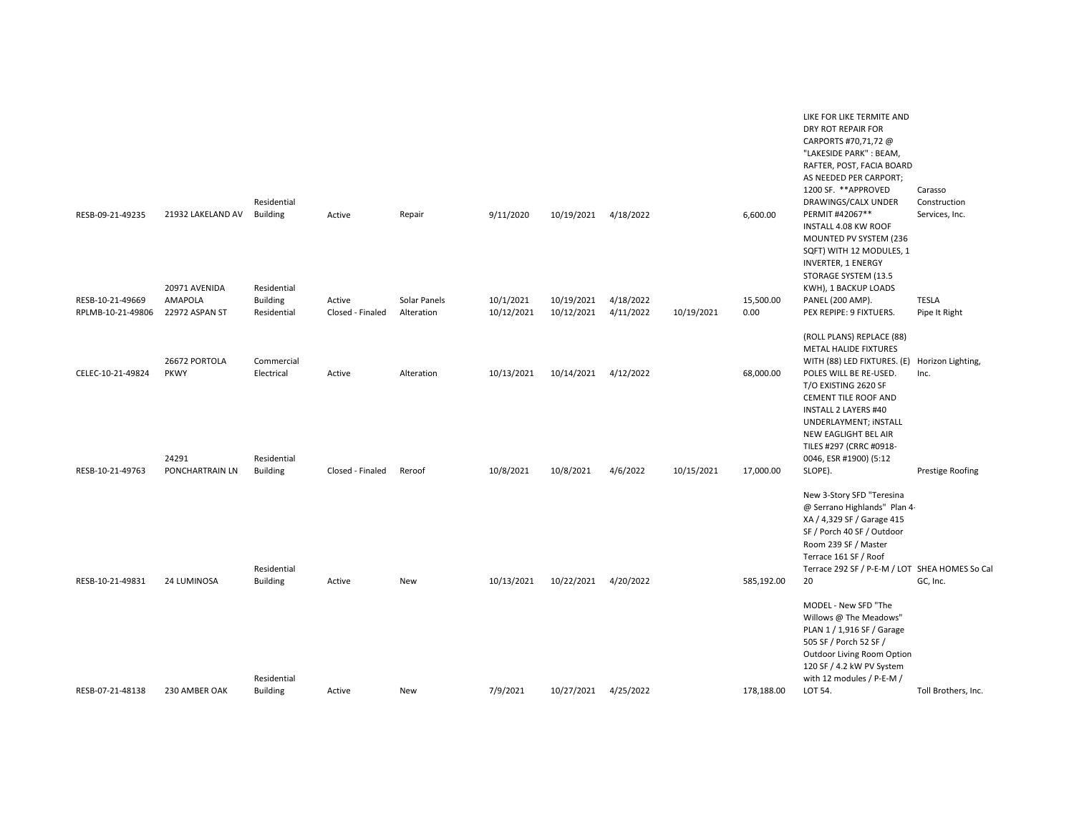| RESB-09-21-49235                      | 21932 LAKELAND AV                          | Residential<br><b>Building</b>                | Active                     | Repair                     | 9/11/2020               | 10/19/2021               | 4/18/2022              |            | 6,600.00          | LIKE FOR LIKE TERMITE AND<br>DRY ROT REPAIR FOR<br>CARPORTS #70,71,72 @<br>"LAKESIDE PARK": BEAM,<br>RAFTER, POST, FACIA BOARD<br>AS NEEDED PER CARPORT;<br>1200 SF. ** APPROVED<br>DRAWINGS/CALX UNDER<br>PERMIT #42067**<br>INSTALL 4.08 KW ROOF | Carasso<br>Construction<br>Services, Inc. |
|---------------------------------------|--------------------------------------------|-----------------------------------------------|----------------------------|----------------------------|-------------------------|--------------------------|------------------------|------------|-------------------|----------------------------------------------------------------------------------------------------------------------------------------------------------------------------------------------------------------------------------------------------|-------------------------------------------|
| RESB-10-21-49669<br>RPLMB-10-21-49806 | 20971 AVENIDA<br>AMAPOLA<br>22972 ASPAN ST | Residential<br><b>Building</b><br>Residential | Active<br>Closed - Finaled | Solar Panels<br>Alteration | 10/1/2021<br>10/12/2021 | 10/19/2021<br>10/12/2021 | 4/18/2022<br>4/11/2022 | 10/19/2021 | 15,500.00<br>0.00 | MOUNTED PV SYSTEM (236<br>SQFT) WITH 12 MODULES, 1<br><b>INVERTER, 1 ENERGY</b><br>STORAGE SYSTEM (13.5<br>KWH), 1 BACKUP LOADS<br>PANEL (200 AMP).<br>PEX REPIPE: 9 FIXTUERS.                                                                     | <b>TESLA</b><br>Pipe It Right             |
|                                       |                                            |                                               |                            |                            |                         |                          |                        |            |                   | (ROLL PLANS) REPLACE (88)                                                                                                                                                                                                                          |                                           |
| CELEC-10-21-49824                     | 26672 PORTOLA<br>PKWY                      | Commercial<br>Electrical                      | Active                     | Alteration                 | 10/13/2021              | 10/14/2021               | 4/12/2022              |            | 68,000.00         | METAL HALIDE FIXTURES<br>WITH (88) LED FIXTURES. (E) Horizon Lighting,<br>POLES WILL BE RE-USED.                                                                                                                                                   | Inc.                                      |
|                                       | 24291                                      | Residential                                   |                            |                            |                         |                          |                        |            |                   | T/O EXISTING 2620 SF<br><b>CEMENT TILE ROOF AND</b><br><b>INSTALL 2 LAYERS #40</b><br>UNDERLAYMENT; INSTALL<br>NEW EAGLIGHT BEL AIR<br>TILES #297 (CRRC #0918-<br>0046, ESR #1900) (5:12                                                           |                                           |
| RESB-10-21-49763                      | PONCHARTRAIN LN                            | <b>Building</b>                               | Closed - Finaled           | Reroof                     | 10/8/2021               | 10/8/2021                | 4/6/2022               | 10/15/2021 | 17,000.00         | SLOPE).                                                                                                                                                                                                                                            | Prestige Roofing                          |
|                                       |                                            |                                               |                            |                            |                         |                          |                        |            |                   | New 3-Story SFD "Teresina<br>@ Serrano Highlands" Plan 4-<br>XA / 4,329 SF / Garage 415<br>SF / Porch 40 SF / Outdoor<br>Room 239 SF / Master<br>Terrace 161 SF / Roof                                                                             |                                           |
| RESB-10-21-49831                      | 24 LUMINOSA                                | Residential<br><b>Building</b>                | Active                     | New                        | 10/13/2021              | 10/22/2021               | 4/20/2022              |            | 585,192.00        | Terrace 292 SF / P-E-M / LOT SHEA HOMES So Cal<br>20                                                                                                                                                                                               | GC, Inc.                                  |
|                                       |                                            | Residential                                   |                            |                            |                         |                          |                        |            |                   | MODEL - New SFD "The<br>Willows @ The Meadows"<br>PLAN 1 / 1,916 SF / Garage<br>505 SF / Porch 52 SF /<br>Outdoor Living Room Option<br>120 SF / 4.2 kW PV System<br>with 12 modules / P-E-M /                                                     |                                           |
| RESB-07-21-48138                      | 230 AMBER OAK                              | <b>Building</b>                               | Active                     | New                        | 7/9/2021                | 10/27/2021 4/25/2022     |                        |            | 178,188.00        | LOT 54.                                                                                                                                                                                                                                            | Toll Brothers, Inc.                       |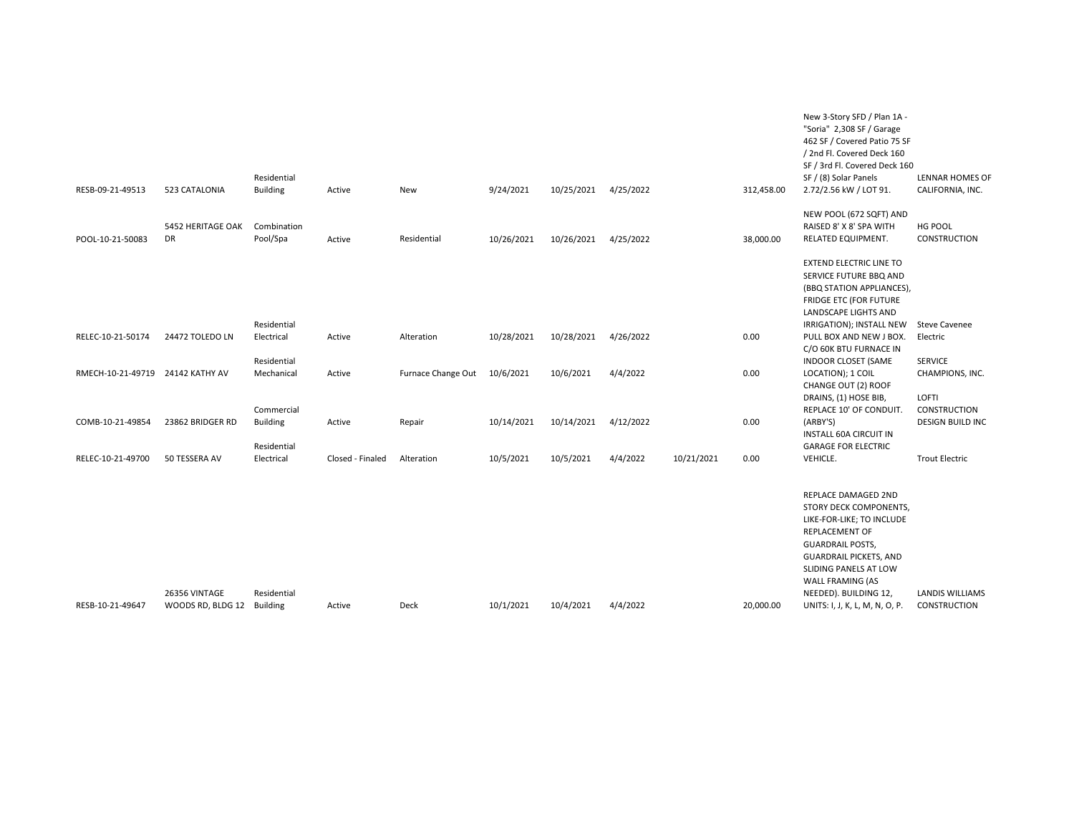|                                  |                                | Residential               |                  |                              |            |            |           |            |            | New 3-Story SFD / Plan 1A -<br>"Soria" 2,308 SF / Garage<br>462 SF / Covered Patio 75 SF<br>/ 2nd Fl. Covered Deck 160<br>SF / 3rd Fl. Covered Deck 160<br>SF / (8) Solar Panels                                               | <b>LENNAR HOMES OF</b>                          |
|----------------------------------|--------------------------------|---------------------------|------------------|------------------------------|------------|------------|-----------|------------|------------|--------------------------------------------------------------------------------------------------------------------------------------------------------------------------------------------------------------------------------|-------------------------------------------------|
| RESB-09-21-49513                 | 523 CATALONIA                  | <b>Building</b>           | Active           | New                          | 9/24/2021  | 10/25/2021 | 4/25/2022 |            | 312,458.00 | 2.72/2.56 kW / LOT 91.                                                                                                                                                                                                         | CALIFORNIA, INC.                                |
| POOL-10-21-50083                 | 5452 HERITAGE OAK<br><b>DR</b> | Combination<br>Pool/Spa   | Active           | Residential                  | 10/26/2021 | 10/26/2021 | 4/25/2022 |            | 38,000.00  | NEW POOL (672 SQFT) AND<br>RAISED 8' X 8' SPA WITH<br>RELATED EQUIPMENT.                                                                                                                                                       | HG POOL<br><b>CONSTRUCTION</b>                  |
|                                  |                                | Residential               |                  |                              |            |            |           |            |            | <b>EXTEND ELECTRIC LINE TO</b><br>SERVICE FUTURE BBQ AND<br>(BBQ STATION APPLIANCES),<br><b>FRIDGE ETC (FOR FUTURE</b><br>LANDSCAPE LIGHTS AND<br>IRRIGATION); INSTALL NEW                                                     | <b>Steve Cavenee</b>                            |
| RELEC-10-21-50174                | 24472 TOLEDO LN                | Electrical                | Active           | Alteration                   | 10/28/2021 | 10/28/2021 | 4/26/2022 |            | 0.00       | PULL BOX AND NEW J BOX.                                                                                                                                                                                                        | Electric                                        |
|                                  |                                | Residential               |                  |                              |            |            |           |            |            | C/O 60K BTU FURNACE IN<br>INDOOR CLOSET (SAME                                                                                                                                                                                  | <b>SERVICE</b>                                  |
| RMECH-10-21-49719 24142 KATHY AV |                                | Mechanical<br>Commercial  | Active           | Furnace Change Out 10/6/2021 |            | 10/6/2021  | 4/4/2022  |            | 0.00       | LOCATION); 1 COIL<br>CHANGE OUT (2) ROOF<br>DRAINS, (1) HOSE BIB,<br>REPLACE 10' OF CONDUIT.                                                                                                                                   | CHAMPIONS, INC.<br>LOFTI<br><b>CONSTRUCTION</b> |
| COMB-10-21-49854                 | 23862 BRIDGER RD               | <b>Building</b>           | Active           | Repair                       | 10/14/2021 | 10/14/2021 | 4/12/2022 |            | 0.00       | (ARBY'S)<br><b>INSTALL 60A CIRCUIT IN</b>                                                                                                                                                                                      | <b>DESIGN BUILD INC</b>                         |
| RELEC-10-21-49700                | 50 TESSERA AV                  | Residential<br>Electrical | Closed - Finaled | Alteration                   | 10/5/2021  | 10/5/2021  | 4/4/2022  | 10/21/2021 | 0.00       | <b>GARAGE FOR ELECTRIC</b><br>VEHICLE.                                                                                                                                                                                         | <b>Trout Electric</b>                           |
|                                  | 26356 VINTAGE                  | Residential               |                  |                              |            |            |           |            |            | REPLACE DAMAGED 2ND<br>STORY DECK COMPONENTS,<br>LIKE-FOR-LIKE; TO INCLUDE<br>REPLACEMENT OF<br><b>GUARDRAIL POSTS,</b><br><b>GUARDRAIL PICKETS, AND</b><br>SLIDING PANELS AT LOW<br>WALL FRAMING (AS<br>NEEDED). BUILDING 12, | LANDIS WILLIAMS                                 |
| RESB-10-21-49647                 | WOODS RD, BLDG 12              | Building                  | Active           | Deck                         | 10/1/2021  | 10/4/2021  | 4/4/2022  |            | 20,000.00  | UNITS: I, J, K, L, M, N, O, P.                                                                                                                                                                                                 | <b>CONSTRUCTION</b>                             |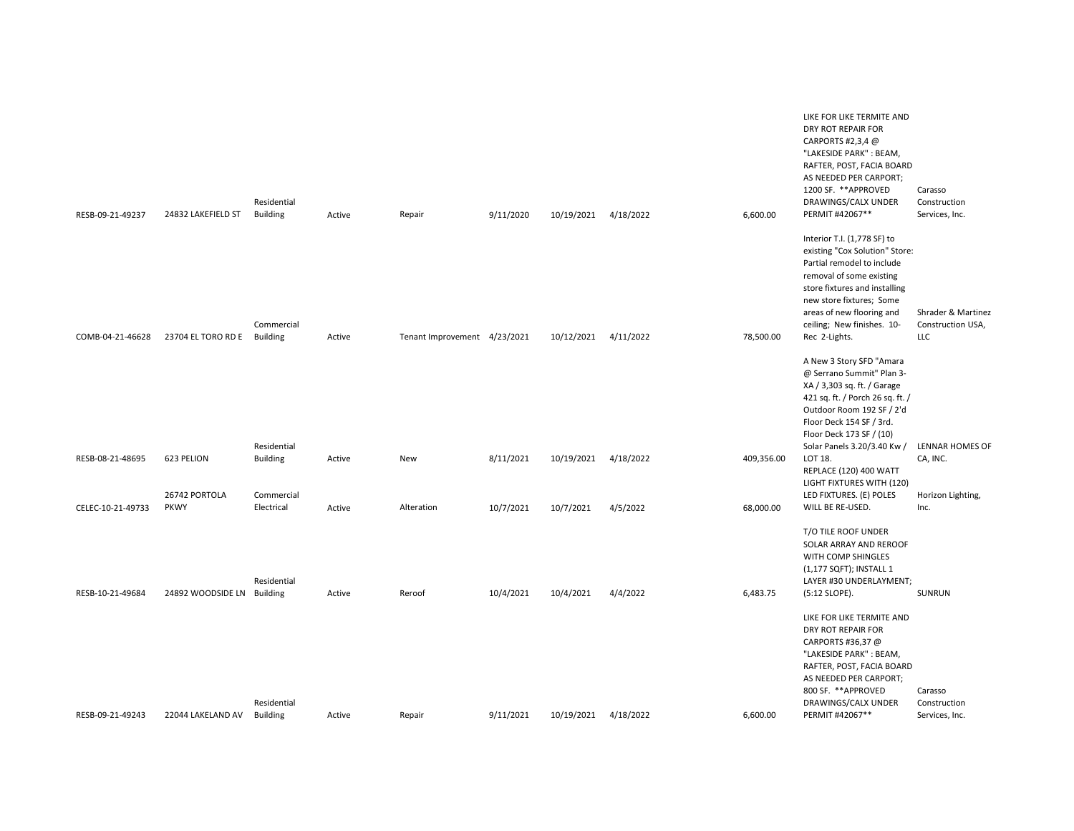| RESB-09-21-49237  | 24832 LAKEFIELD ST          | Residential<br><b>Building</b> | Active | Repair                       | 9/11/2020 | 10/19/2021           | 4/18/2022 | 6,600.00   | LIKE FOR LIKE TERMITE AND<br>DRY ROT REPAIR FOR<br>CARPORTS #2,3,4 @<br>"LAKESIDE PARK": BEAM,<br>RAFTER, POST, FACIA BOARD<br>AS NEEDED PER CARPORT;<br>1200 SF. ** APPROVED<br>DRAWINGS/CALX UNDER<br>PERMIT #42067**                                          | Carasso<br>Construction<br>Services, Inc.             |
|-------------------|-----------------------------|--------------------------------|--------|------------------------------|-----------|----------------------|-----------|------------|------------------------------------------------------------------------------------------------------------------------------------------------------------------------------------------------------------------------------------------------------------------|-------------------------------------------------------|
| COMB-04-21-46628  | 23704 EL TORO RD E Building | Commercial                     | Active | Tenant Improvement 4/23/2021 |           | 10/12/2021           | 4/11/2022 | 78,500.00  | Interior T.I. (1,778 SF) to<br>existing "Cox Solution" Store:<br>Partial remodel to include<br>removal of some existing<br>store fixtures and installing<br>new store fixtures; Some<br>areas of new flooring and<br>ceiling; New finishes. 10-<br>Rec 2-Lights. | Shrader & Martinez<br>Construction USA,<br><b>LLC</b> |
|                   |                             | Residential                    |        |                              |           |                      |           |            | A New 3 Story SFD "Amara<br>@ Serrano Summit" Plan 3-<br>XA / 3,303 sq. ft. / Garage<br>421 sq. ft. / Porch 26 sq. ft. /<br>Outdoor Room 192 SF / 2'd<br>Floor Deck 154 SF / 3rd.<br>Floor Deck 173 SF / (10)<br>Solar Panels 3.20/3.40 Kw /                     | LENNAR HOMES OF                                       |
| RESB-08-21-48695  | 623 PELION<br>26742 PORTOLA | <b>Building</b><br>Commercial  | Active | New                          | 8/11/2021 | 10/19/2021           | 4/18/2022 | 409,356.00 | LOT 18.<br>REPLACE (120) 400 WATT<br>LIGHT FIXTURES WITH (120)<br>LED FIXTURES. (E) POLES                                                                                                                                                                        | CA, INC.<br>Horizon Lighting,                         |
| CELEC-10-21-49733 | <b>PKWY</b>                 | Electrical                     | Active | Alteration                   | 10/7/2021 | 10/7/2021            | 4/5/2022  | 68,000.00  | WILL BE RE-USED.                                                                                                                                                                                                                                                 | Inc.                                                  |
| RESB-10-21-49684  | 24892 WOODSIDE LN Building  | Residential                    | Active | Reroof                       | 10/4/2021 | 10/4/2021            | 4/4/2022  | 6,483.75   | T/O TILE ROOF UNDER<br>SOLAR ARRAY AND REROOF<br>WITH COMP SHINGLES<br>(1,177 SQFT); INSTALL 1<br>LAYER #30 UNDERLAYMENT;<br>(5:12 SLOPE).                                                                                                                       | SUNRUN                                                |
| RESB-09-21-49243  | 22044 LAKELAND AV           | Residential<br>Building        | Active | Repair                       | 9/11/2021 | 10/19/2021 4/18/2022 |           | 6,600.00   | LIKE FOR LIKE TERMITE AND<br>DRY ROT REPAIR FOR<br>CARPORTS #36,37 @<br>"LAKESIDE PARK": BEAM,<br>RAFTER, POST, FACIA BOARD<br>AS NEEDED PER CARPORT;<br>800 SF. ** APPROVED<br>DRAWINGS/CALX UNDER<br>PERMIT #42067**                                           | Carasso<br>Construction<br>Services, Inc.             |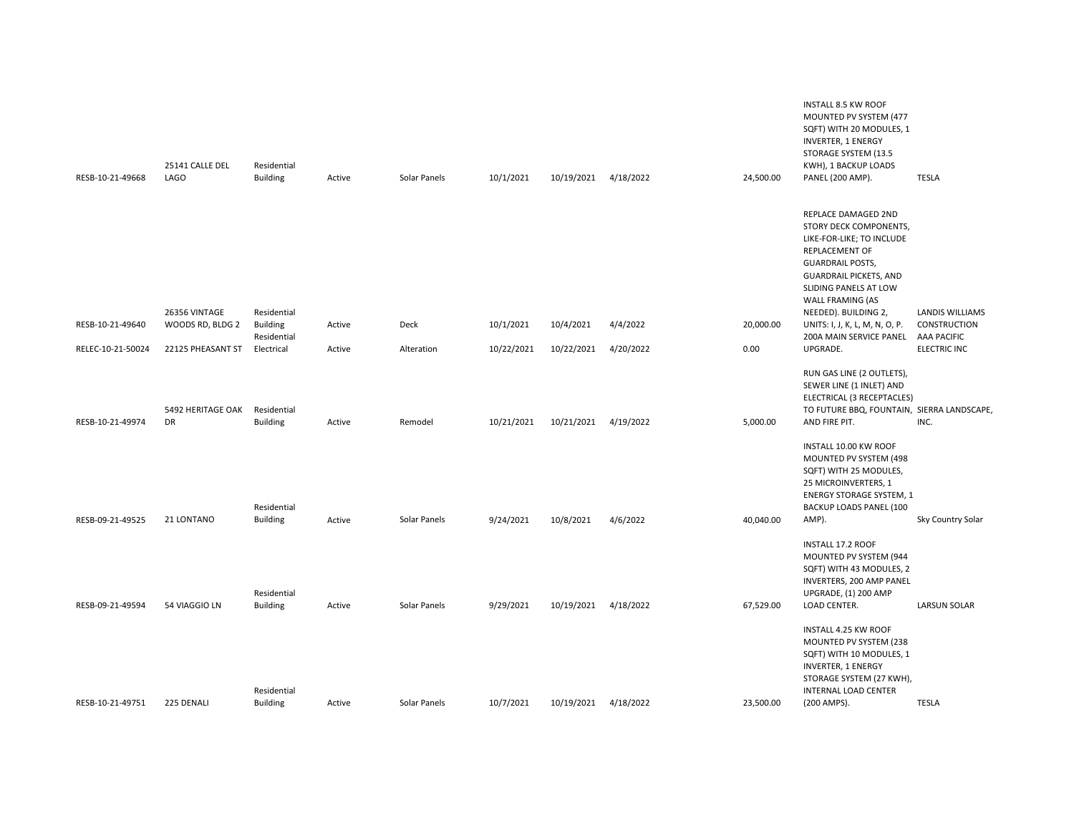| RESB-10-21-49668  | 25141 CALLE DEL<br><b>LAGO</b> | Residential<br><b>Building</b> | Active | Solar Panels | 10/1/2021  | 10/19/2021           | 4/18/2022 | 24,500.00 | <b>INSTALL 8.5 KW ROOF</b><br>MOUNTED PV SYSTEM (477<br>SQFT) WITH 20 MODULES, 1<br><b>INVERTER, 1 ENERGY</b><br>STORAGE SYSTEM (13.5<br>KWH), 1 BACKUP LOADS<br>PANEL (200 AMP).                                             | <b>TESLA</b>           |
|-------------------|--------------------------------|--------------------------------|--------|--------------|------------|----------------------|-----------|-----------|-------------------------------------------------------------------------------------------------------------------------------------------------------------------------------------------------------------------------------|------------------------|
|                   | 26356 VINTAGE                  | Residential                    |        |              |            |                      |           |           | REPLACE DAMAGED 2ND<br>STORY DECK COMPONENTS,<br>LIKE-FOR-LIKE; TO INCLUDE<br>REPLACEMENT OF<br><b>GUARDRAIL POSTS,</b><br><b>GUARDRAIL PICKETS, AND</b><br>SLIDING PANELS AT LOW<br>WALL FRAMING (AS<br>NEEDED). BUILDING 2, | <b>LANDIS WILLIAMS</b> |
| RESB-10-21-49640  | WOODS RD, BLDG 2               | <b>Building</b><br>Residential | Active | Deck         | 10/1/2021  | 10/4/2021            | 4/4/2022  | 20,000.00 | UNITS: I, J, K, L, M, N, O, P.<br>200A MAIN SERVICE PANEL AAA PACIFIC                                                                                                                                                         | <b>CONSTRUCTION</b>    |
| RELEC-10-21-50024 | 22125 PHEASANT ST              | Electrical                     | Active | Alteration   | 10/22/2021 | 10/22/2021           | 4/20/2022 | 0.00      | UPGRADE.                                                                                                                                                                                                                      | <b>ELECTRIC INC</b>    |
| RESB-10-21-49974  | 5492 HERITAGE OAK<br>DR        | Residential<br><b>Building</b> | Active | Remodel      | 10/21/2021 | 10/21/2021           | 4/19/2022 | 5,000.00  | RUN GAS LINE (2 OUTLETS),<br>SEWER LINE (1 INLET) AND<br>ELECTRICAL (3 RECEPTACLES)<br>TO FUTURE BBQ, FOUNTAIN, SIERRA LANDSCAPE,<br>AND FIRE PIT.                                                                            | INC.                   |
| RESB-09-21-49525  | 21 LONTANO                     | Residential<br><b>Building</b> | Active | Solar Panels | 9/24/2021  | 10/8/2021            | 4/6/2022  | 40,040.00 | INSTALL 10.00 KW ROOF<br>MOUNTED PV SYSTEM (498<br>SQFT) WITH 25 MODULES,<br>25 MICROINVERTERS, 1<br><b>ENERGY STORAGE SYSTEM, 1</b><br>BACKUP LOADS PANEL (100<br>AMP).                                                      | Sky Country Solar      |
|                   |                                | Residential                    |        |              |            |                      |           |           | INSTALL 17.2 ROOF<br>MOUNTED PV SYSTEM (944<br>SQFT) WITH 43 MODULES, 2<br>INVERTERS, 200 AMP PANEL<br>UPGRADE, (1) 200 AMP                                                                                                   |                        |
| RESB-09-21-49594  | 54 VIAGGIO LN                  | <b>Building</b><br>Residential | Active | Solar Panels | 9/29/2021  | 10/19/2021           | 4/18/2022 | 67,529.00 | LOAD CENTER.<br>INSTALL 4.25 KW ROOF<br>MOUNTED PV SYSTEM (238<br>SQFT) WITH 10 MODULES, 1<br><b>INVERTER, 1 ENERGY</b><br>STORAGE SYSTEM (27 KWH),<br>INTERNAL LOAD CENTER                                                   | <b>LARSUN SOLAR</b>    |
| RESB-10-21-49751  | 225 DENALI                     | <b>Building</b>                | Active | Solar Panels | 10/7/2021  | 10/19/2021 4/18/2022 |           | 23,500.00 | (200 AMPS).                                                                                                                                                                                                                   | <b>TESLA</b>           |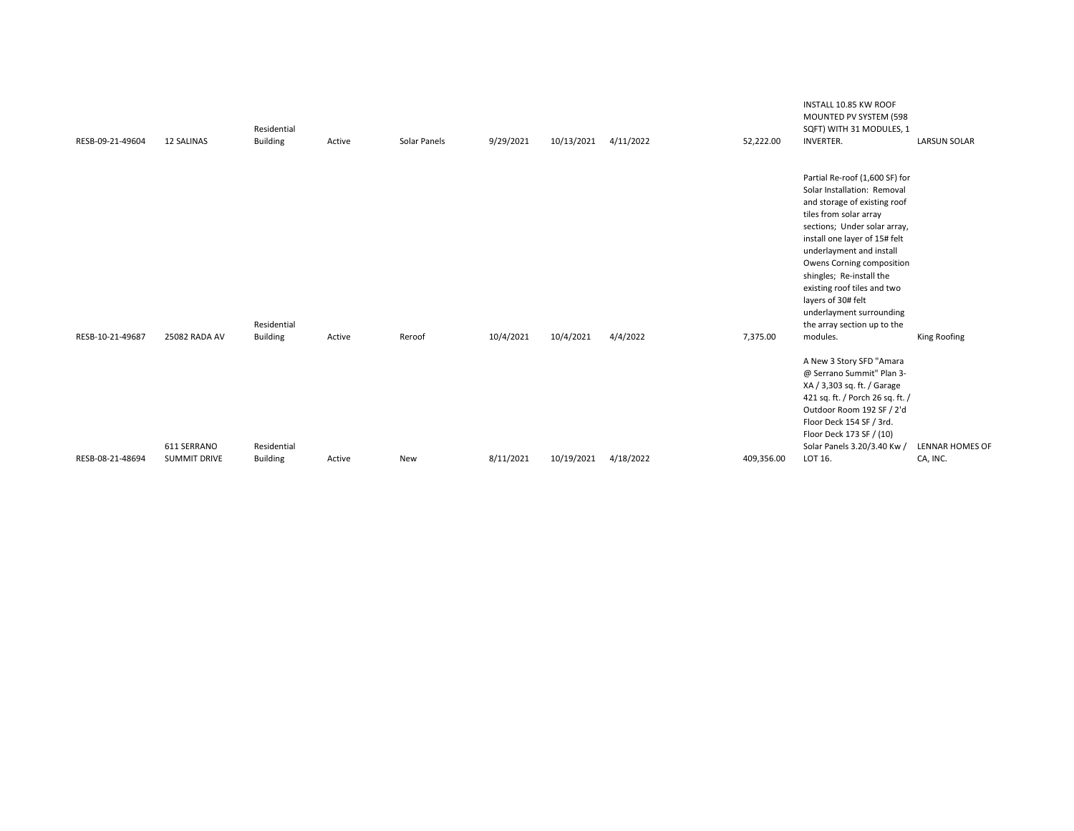| RESB-09-21-49604 | <b>12 SALINAS</b>                  | Residential<br><b>Building</b> | Active | Solar Panels | 9/29/2021 | 10/13/2021 | 4/11/2022 | 52,222.00  | INSTALL 10.85 KW ROOF<br>MOUNTED PV SYSTEM (598<br>SQFT) WITH 31 MODULES, 1<br><b>INVERTER.</b>                                                                                                                                                                                                                                                                                                           | <b>LARSUN SOLAR</b>                |
|------------------|------------------------------------|--------------------------------|--------|--------------|-----------|------------|-----------|------------|-----------------------------------------------------------------------------------------------------------------------------------------------------------------------------------------------------------------------------------------------------------------------------------------------------------------------------------------------------------------------------------------------------------|------------------------------------|
| RESB-10-21-49687 | 25082 RADA AV                      | Residential<br><b>Building</b> | Active | Reroof       | 10/4/2021 | 10/4/2021  | 4/4/2022  | 7,375.00   | Partial Re-roof (1,600 SF) for<br>Solar Installation: Removal<br>and storage of existing roof<br>tiles from solar array<br>sections; Under solar array,<br>install one layer of 15# felt<br>underlayment and install<br>Owens Corning composition<br>shingles; Re-install the<br>existing roof tiles and two<br>layers of 30# felt<br>underlayment surrounding<br>the array section up to the<br>modules. | King Roofing                       |
| RESB-08-21-48694 | 611 SERRANO<br><b>SUMMIT DRIVE</b> | Residential<br><b>Building</b> | Active | New          | 8/11/2021 | 10/19/2021 | 4/18/2022 | 409,356.00 | A New 3 Story SFD "Amara<br>@ Serrano Summit" Plan 3-<br>XA / 3,303 sq. ft. / Garage<br>421 sq. ft. / Porch 26 sq. ft. /<br>Outdoor Room 192 SF / 2'd<br>Floor Deck 154 SF / 3rd.<br>Floor Deck 173 SF / (10)<br>Solar Panels 3.20/3.40 Kw /<br>LOT 16.                                                                                                                                                   | <b>LENNAR HOMES OF</b><br>CA, INC. |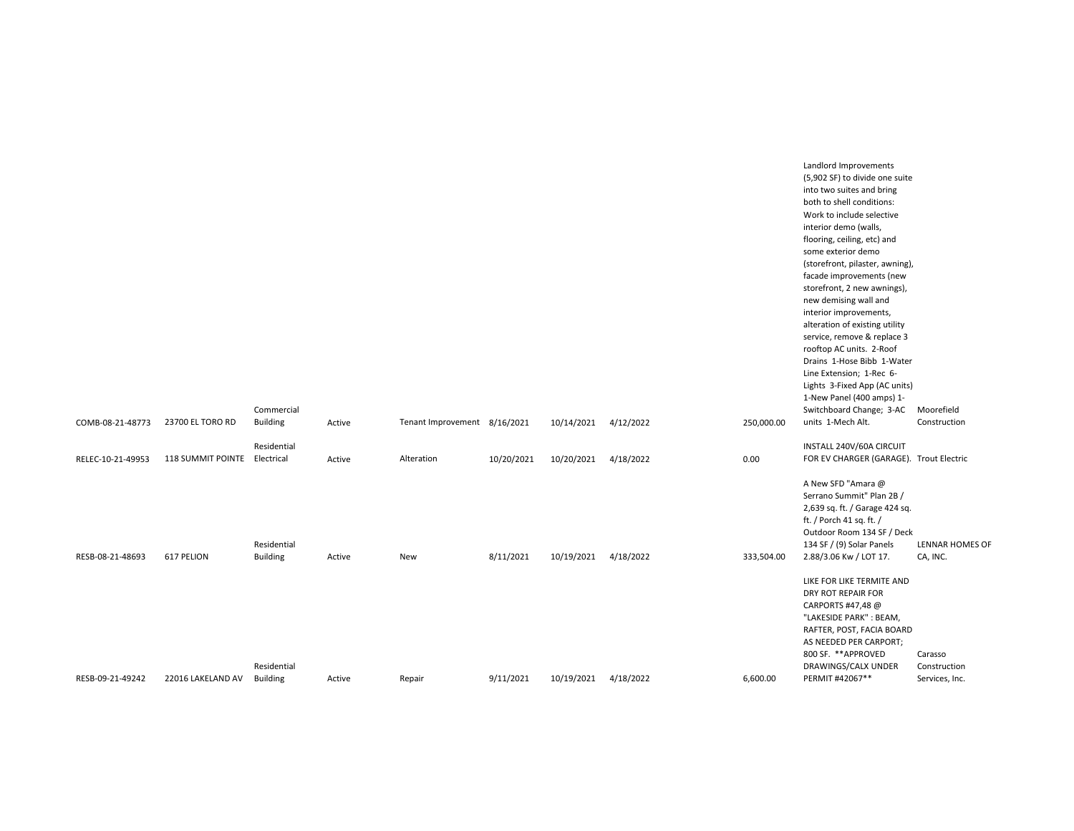|                   |                              | Commercial                     |        |                              |            |                      |           |            | Landlord Improvements<br>(5,902 SF) to divide one suite<br>into two suites and bring<br>both to shell conditions:<br>Work to include selective<br>interior demo (walls,<br>flooring, ceiling, etc) and<br>some exterior demo<br>(storefront, pilaster, awning),<br>facade improvements (new<br>storefront, 2 new awnings),<br>new demising wall and<br>interior improvements,<br>alteration of existing utility<br>service, remove & replace 3<br>rooftop AC units. 2-Roof<br>Drains 1-Hose Bibb 1-Water<br>Line Extension; 1-Rec 6-<br>Lights 3-Fixed App (AC units)<br>1-New Panel (400 amps) 1-<br>Switchboard Change; 3-AC | Moorefield                                |
|-------------------|------------------------------|--------------------------------|--------|------------------------------|------------|----------------------|-----------|------------|--------------------------------------------------------------------------------------------------------------------------------------------------------------------------------------------------------------------------------------------------------------------------------------------------------------------------------------------------------------------------------------------------------------------------------------------------------------------------------------------------------------------------------------------------------------------------------------------------------------------------------|-------------------------------------------|
| COMB-08-21-48773  | 23700 EL TORO RD             | <b>Building</b>                | Active | Tenant Improvement 8/16/2021 |            | 10/14/2021           | 4/12/2022 | 250,000.00 | units 1-Mech Alt.                                                                                                                                                                                                                                                                                                                                                                                                                                                                                                                                                                                                              | Construction                              |
| RELEC-10-21-49953 | 118 SUMMIT POINTE Electrical | Residential                    | Active | Alteration                   | 10/20/2021 | 10/20/2021           | 4/18/2022 | 0.00       | INSTALL 240V/60A CIRCUIT<br>FOR EV CHARGER (GARAGE). Trout Electric                                                                                                                                                                                                                                                                                                                                                                                                                                                                                                                                                            |                                           |
| RESB-08-21-48693  | 617 PELION                   | Residential<br><b>Building</b> | Active | New                          | 8/11/2021  | 10/19/2021 4/18/2022 |           | 333,504.00 | A New SFD "Amara @<br>Serrano Summit" Plan 2B /<br>2,639 sq. ft. / Garage 424 sq.<br>ft. / Porch 41 sq. ft. /<br>Outdoor Room 134 SF / Deck<br>134 SF / (9) Solar Panels<br>2.88/3.06 Kw / LOT 17.                                                                                                                                                                                                                                                                                                                                                                                                                             | LENNAR HOMES OF<br>CA, INC.               |
| RESB-09-21-49242  | 22016 LAKELAND AV            | Residential<br><b>Building</b> | Active | Repair                       | 9/11/2021  | 10/19/2021           | 4/18/2022 | 6,600.00   | LIKE FOR LIKE TERMITE AND<br>DRY ROT REPAIR FOR<br>CARPORTS #47,48 @<br>"LAKESIDE PARK": BEAM,<br>RAFTER, POST, FACIA BOARD<br>AS NEEDED PER CARPORT;<br>800 SF. ** APPROVED<br>DRAWINGS/CALX UNDER<br>PERMIT #42067**                                                                                                                                                                                                                                                                                                                                                                                                         | Carasso<br>Construction<br>Services, Inc. |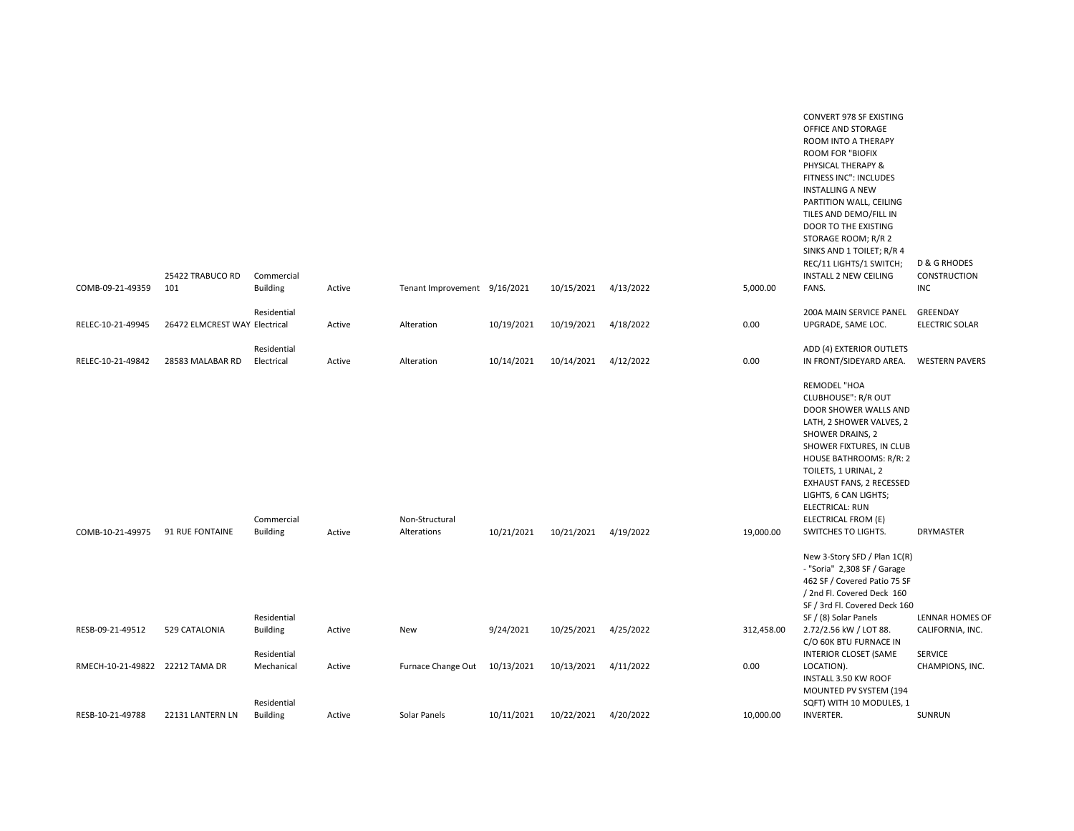| COMB-09-21-49359                | 25422 TRABUCO RD<br>101       | Commercial<br><b>Building</b>  | Active | Tenant Improvement 9/16/2021  |            | 10/15/2021 | 4/13/2022 | 5,000.00   | CONVERT 978 SF EXISTING<br>OFFICE AND STORAGE<br>ROOM INTO A THERAPY<br><b>ROOM FOR "BIOFIX</b><br>PHYSICAL THERAPY &<br>FITNESS INC": INCLUDES<br><b>INSTALLING A NEW</b><br>PARTITION WALL, CEILING<br>TILES AND DEMO/FILL IN<br>DOOR TO THE EXISTING<br>STORAGE ROOM; R/R 2<br>SINKS AND 1 TOILET; R/R 4<br>REC/11 LIGHTS/1 SWITCH;<br><b>INSTALL 2 NEW CEILING</b><br>FANS. | <b>D &amp; G RHODES</b><br>CONSTRUCTION<br><b>INC</b> |
|---------------------------------|-------------------------------|--------------------------------|--------|-------------------------------|------------|------------|-----------|------------|---------------------------------------------------------------------------------------------------------------------------------------------------------------------------------------------------------------------------------------------------------------------------------------------------------------------------------------------------------------------------------|-------------------------------------------------------|
|                                 |                               | Residential                    |        |                               |            |            |           |            | 200A MAIN SERVICE PANEL                                                                                                                                                                                                                                                                                                                                                         | GREENDAY                                              |
| RELEC-10-21-49945               | 26472 ELMCREST WAY Electrical |                                | Active | Alteration                    | 10/19/2021 | 10/19/2021 | 4/18/2022 | 0.00       | UPGRADE, SAME LOC.                                                                                                                                                                                                                                                                                                                                                              | <b>ELECTRIC SOLAR</b>                                 |
| RELEC-10-21-49842               | 28583 MALABAR RD              | Residential<br>Electrical      | Active | Alteration                    | 10/14/2021 | 10/14/2021 | 4/12/2022 | 0.00       | ADD (4) EXTERIOR OUTLETS<br>IN FRONT/SIDEYARD AREA.                                                                                                                                                                                                                                                                                                                             | <b>WESTERN PAVERS</b>                                 |
| COMB-10-21-49975                | 91 RUE FONTAINE               | Commercial<br><b>Building</b>  | Active | Non-Structural<br>Alterations | 10/21/2021 | 10/21/2021 | 4/19/2022 | 19,000.00  | REMODEL "HOA<br><b>CLUBHOUSE": R/R OUT</b><br>DOOR SHOWER WALLS AND<br>LATH, 2 SHOWER VALVES, 2<br>SHOWER DRAINS, 2<br>SHOWER FIXTURES, IN CLUB<br>HOUSE BATHROOMS: R/R: 2<br>TOILETS, 1 URINAL, 2<br>EXHAUST FANS, 2 RECESSED<br>LIGHTS, 6 CAN LIGHTS;<br><b>ELECTRICAL: RUN</b><br>ELECTRICAL FROM (E)<br>SWITCHES TO LIGHTS.                                                 | DRYMASTER                                             |
|                                 |                               |                                |        |                               |            |            |           |            | New 3-Story SFD / Plan 1C(R)                                                                                                                                                                                                                                                                                                                                                    |                                                       |
|                                 |                               |                                |        |                               |            |            |           |            | - "Soria" 2,308 SF / Garage<br>462 SF / Covered Patio 75 SF<br>/ 2nd Fl. Covered Deck 160<br>SF / 3rd Fl. Covered Deck 160                                                                                                                                                                                                                                                      |                                                       |
| RESB-09-21-49512                | 529 CATALONIA                 | Residential<br><b>Building</b> | Active | New                           | 9/24/2021  | 10/25/2021 | 4/25/2022 | 312,458.00 | SF / (8) Solar Panels<br>2.72/2.56 kW / LOT 88.                                                                                                                                                                                                                                                                                                                                 | LENNAR HOMES OF<br>CALIFORNIA, INC.                   |
|                                 |                               |                                |        |                               |            |            |           |            | C/O 60K BTU FURNACE IN                                                                                                                                                                                                                                                                                                                                                          |                                                       |
|                                 |                               | Residential                    |        |                               |            |            |           |            | <b>INTERIOR CLOSET (SAME</b>                                                                                                                                                                                                                                                                                                                                                    | <b>SERVICE</b>                                        |
| RMECH-10-21-49822 22212 TAMA DR |                               | Mechanical<br>Residential      | Active | Furnace Change Out            | 10/13/2021 | 10/13/2021 | 4/11/2022 | 0.00       | LOCATION).<br>INSTALL 3.50 KW ROOF<br>MOUNTED PV SYSTEM (194<br>SQFT) WITH 10 MODULES, 1                                                                                                                                                                                                                                                                                        | CHAMPIONS, INC.                                       |
| RESB-10-21-49788                | 22131 LANTERN LN              | <b>Building</b>                | Active | Solar Panels                  | 10/11/2021 | 10/22/2021 | 4/20/2022 | 10,000.00  | <b>INVERTER.</b>                                                                                                                                                                                                                                                                                                                                                                | <b>SUNRUN</b>                                         |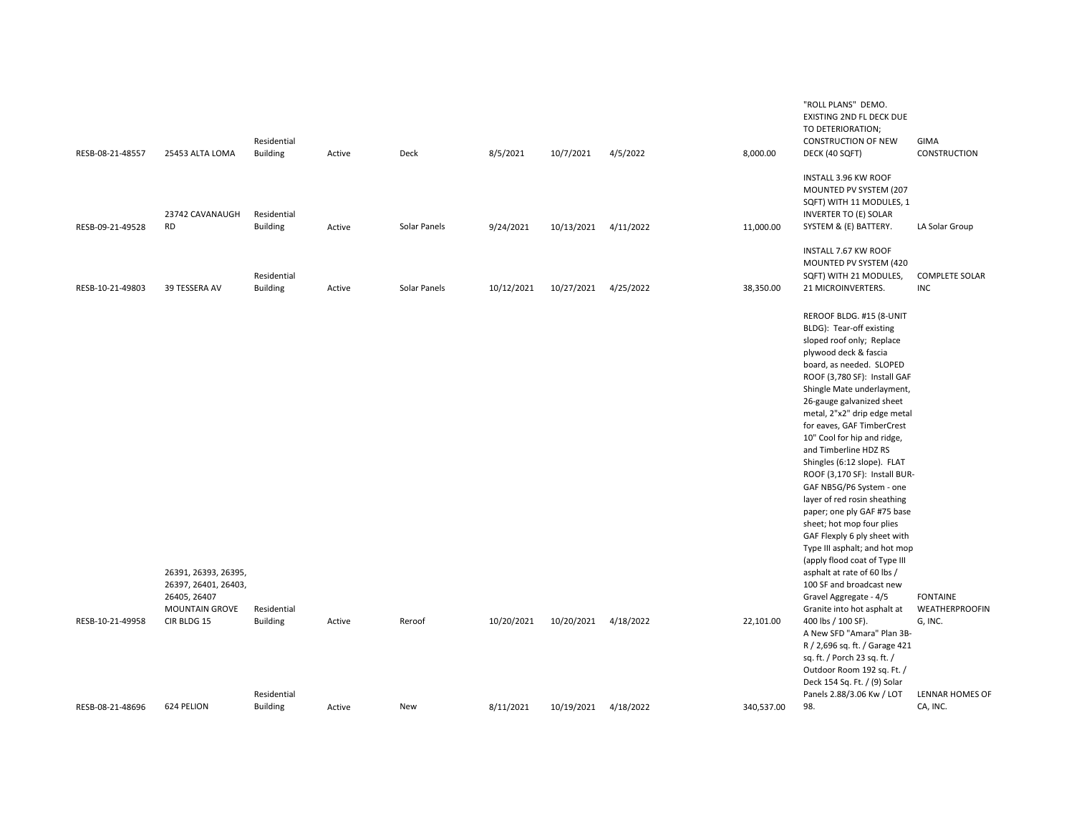| RESB-08-21-48557 | 25453 ALTA LOMA                                                                               | Residential<br><b>Building</b>                | Active | Deck         | 8/5/2021   | 10/7/2021  | 4/5/2022  | 8,000.00   | "ROLL PLANS" DEMO.<br>EXISTING 2ND FL DECK DUE<br>TO DETERIORATION;<br><b>CONSTRUCTION OF NEW</b><br>DECK (40 SQFT)                                                                                                                                                                                                                                                                                                                                                                                                                                                                                                                                                                                                                                                                                                                                                                                                                                                                    | <b>GIMA</b><br>CONSTRUCTION                                            |
|------------------|-----------------------------------------------------------------------------------------------|-----------------------------------------------|--------|--------------|------------|------------|-----------|------------|----------------------------------------------------------------------------------------------------------------------------------------------------------------------------------------------------------------------------------------------------------------------------------------------------------------------------------------------------------------------------------------------------------------------------------------------------------------------------------------------------------------------------------------------------------------------------------------------------------------------------------------------------------------------------------------------------------------------------------------------------------------------------------------------------------------------------------------------------------------------------------------------------------------------------------------------------------------------------------------|------------------------------------------------------------------------|
| RESB-09-21-49528 | 23742 CAVANAUGH<br><b>RD</b>                                                                  | Residential<br><b>Building</b>                | Active | Solar Panels | 9/24/2021  | 10/13/2021 | 4/11/2022 | 11,000.00  | INSTALL 3.96 KW ROOF<br>MOUNTED PV SYSTEM (207<br>SQFT) WITH 11 MODULES, 1<br><b>INVERTER TO (E) SOLAR</b><br>SYSTEM & (E) BATTERY.                                                                                                                                                                                                                                                                                                                                                                                                                                                                                                                                                                                                                                                                                                                                                                                                                                                    | LA Solar Group                                                         |
| RESB-10-21-49803 | 39 TESSERA AV                                                                                 | Residential<br><b>Building</b>                | Active | Solar Panels | 10/12/2021 | 10/27/2021 | 4/25/2022 | 38,350.00  | INSTALL 7.67 KW ROOF<br>MOUNTED PV SYSTEM (420<br>SQFT) WITH 21 MODULES,<br>21 MICROINVERTERS.                                                                                                                                                                                                                                                                                                                                                                                                                                                                                                                                                                                                                                                                                                                                                                                                                                                                                         | <b>COMPLETE SOLAR</b><br><b>INC</b>                                    |
| RESB-10-21-49958 | 26391, 26393, 26395,<br>26397, 26401, 26403,<br>26405, 26407<br>MOUNTAIN GROVE<br>CIR BLDG 15 | Residential<br><b>Building</b><br>Residential | Active | Reroof       | 10/20/2021 | 10/20/2021 | 4/18/2022 | 22,101.00  | REROOF BLDG. #15 (8-UNIT<br>BLDG): Tear-off existing<br>sloped roof only; Replace<br>plywood deck & fascia<br>board, as needed. SLOPED<br>ROOF (3,780 SF): Install GAF<br>Shingle Mate underlayment,<br>26-gauge galvanized sheet<br>metal, 2"x2" drip edge metal<br>for eaves, GAF TimberCrest<br>10" Cool for hip and ridge,<br>and Timberline HDZ RS<br>Shingles (6:12 slope). FLAT<br>ROOF (3,170 SF): Install BUR-<br>GAF NB5G/P6 System - one<br>layer of red rosin sheathing<br>paper; one ply GAF #75 base<br>sheet; hot mop four plies<br>GAF Flexply 6 ply sheet with<br>Type III asphalt; and hot mop<br>(apply flood coat of Type III<br>asphalt at rate of 60 lbs /<br>100 SF and broadcast new<br>Gravel Aggregate - 4/5<br>Granite into hot asphalt at<br>400 lbs / 100 SF).<br>A New SFD "Amara" Plan 3B-<br>R / 2,696 sq. ft. / Garage 421<br>sq. ft. / Porch 23 sq. ft. /<br>Outdoor Room 192 sq. Ft. /<br>Deck 154 Sq. Ft. / (9) Solar<br>Panels 2.88/3.06 Kw / LOT | <b>FONTAINE</b><br><b>WEATHERPROOFIN</b><br>G, INC.<br>LENNAR HOMES OF |
| RESB-08-21-48696 | 624 PELION                                                                                    | <b>Building</b>                               | Active | New          | 8/11/2021  | 10/19/2021 | 4/18/2022 | 340,537.00 | 98.                                                                                                                                                                                                                                                                                                                                                                                                                                                                                                                                                                                                                                                                                                                                                                                                                                                                                                                                                                                    | CA, INC.                                                               |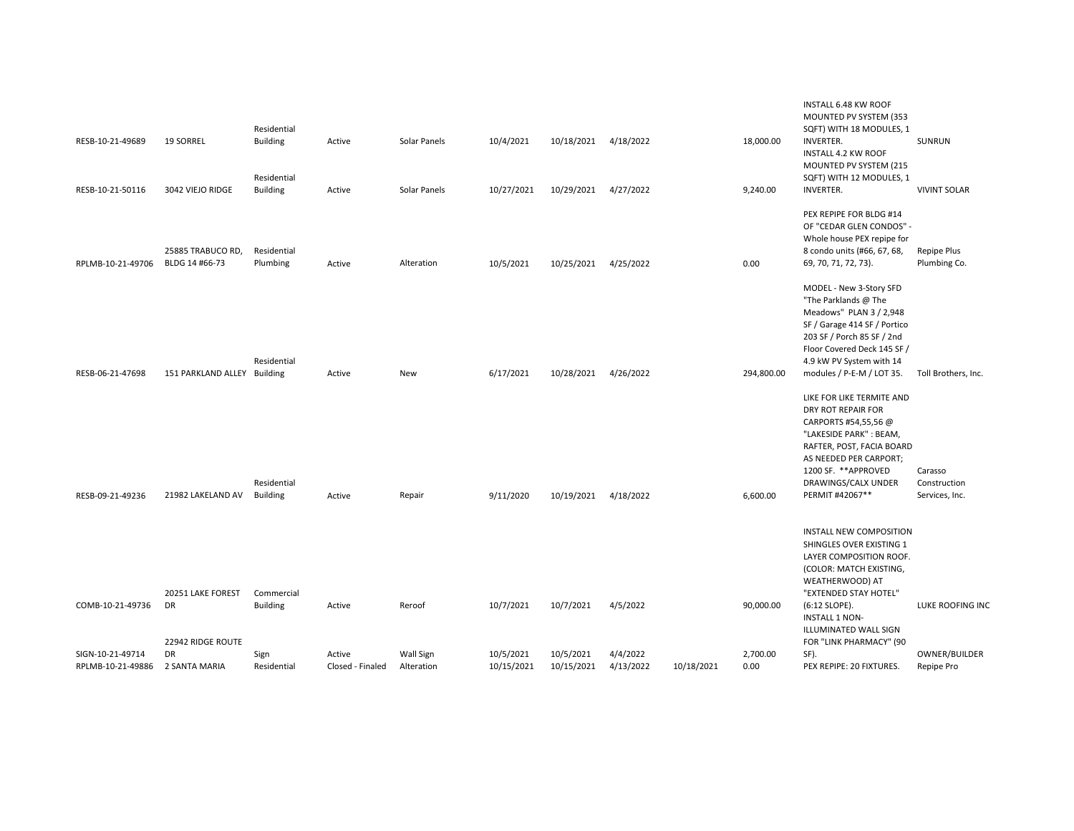|                   |                                              | Residential                    |                  |              |            |            |           |            |            | INSTALL 6.48 KW ROOF<br>MOUNTED PV SYSTEM (353<br>SQFT) WITH 18 MODULES, 1                                                                                                                                                       |                                           |
|-------------------|----------------------------------------------|--------------------------------|------------------|--------------|------------|------------|-----------|------------|------------|----------------------------------------------------------------------------------------------------------------------------------------------------------------------------------------------------------------------------------|-------------------------------------------|
| RESB-10-21-49689  | <b>19 SORREL</b>                             | <b>Building</b><br>Residential | Active           | Solar Panels | 10/4/2021  | 10/18/2021 | 4/18/2022 |            | 18,000.00  | <b>INVERTER.</b><br><b>INSTALL 4.2 KW ROOF</b><br>MOUNTED PV SYSTEM (215<br>SQFT) WITH 12 MODULES, 1                                                                                                                             | SUNRUN                                    |
| RESB-10-21-50116  | 3042 VIEJO RIDGE                             | <b>Building</b>                | Active           | Solar Panels | 10/27/2021 | 10/29/2021 | 4/27/2022 |            | 9,240.00   | <b>INVERTER.</b>                                                                                                                                                                                                                 | <b>VIVINT SOLAR</b>                       |
| RPLMB-10-21-49706 | 25885 TRABUCO RD,<br>BLDG 14 #66-73          | Residential<br>Plumbing        | Active           | Alteration   | 10/5/2021  | 10/25/2021 | 4/25/2022 |            | 0.00       | PEX REPIPE FOR BLDG #14<br>OF "CEDAR GLEN CONDOS" -<br>Whole house PEX repipe for<br>8 condo units (#66, 67, 68,<br>69, 70, 71, 72, 73).                                                                                         | Repipe Plus<br>Plumbing Co.               |
| RESB-06-21-47698  | 151 PARKLAND ALLEY Building                  | Residential                    | Active           | New          | 6/17/2021  | 10/28/2021 | 4/26/2022 |            | 294,800.00 | MODEL - New 3-Story SFD<br>"The Parklands @ The<br>Meadows" PLAN 3 / 2,948<br>SF / Garage 414 SF / Portico<br>203 SF / Porch 85 SF / 2nd<br>Floor Covered Deck 145 SF /<br>4.9 kW PV System with 14<br>modules / P-E-M / LOT 35. | Toll Brothers, Inc.                       |
| RESB-09-21-49236  | 21982 LAKELAND AV                            | Residential<br><b>Building</b> | Active           | Repair       | 9/11/2020  | 10/19/2021 | 4/18/2022 |            | 6,600.00   | LIKE FOR LIKE TERMITE AND<br>DRY ROT REPAIR FOR<br>CARPORTS #54,55,56 @<br>"LAKESIDE PARK": BEAM,<br>RAFTER, POST, FACIA BOARD<br>AS NEEDED PER CARPORT;<br>1200 SF. **APPROVED<br>DRAWINGS/CALX UNDER<br>PERMIT #42067**        | Carasso<br>Construction<br>Services, Inc. |
|                   |                                              |                                |                  |              |            |            |           |            |            | <b>INSTALL NEW COMPOSITION</b><br>SHINGLES OVER EXISTING 1<br>LAYER COMPOSITION ROOF.<br>(COLOR: MATCH EXISTING,<br>WEATHERWOOD) AT                                                                                              |                                           |
| COMB-10-21-49736  | 20251 LAKE FOREST<br>DR<br>22942 RIDGE ROUTE | Commercial<br><b>Building</b>  | Active           | Reroof       | 10/7/2021  | 10/7/2021  | 4/5/2022  |            | 90,000.00  | "EXTENDED STAY HOTEL"<br>(6:12 SLOPE).<br><b>INSTALL 1 NON-</b><br>ILLUMINATED WALL SIGN<br>FOR "LINK PHARMACY" (90                                                                                                              | LUKE ROOFING INC                          |
| SIGN-10-21-49714  | <b>DR</b>                                    | Sign                           | Active           | Wall Sign    | 10/5/2021  | 10/5/2021  | 4/4/2022  |            | 2,700.00   | SF).                                                                                                                                                                                                                             | OWNER/BUILDER                             |
| RPLMB-10-21-49886 | 2 SANTA MARIA                                | Residential                    | Closed - Finaled | Alteration   | 10/15/2021 | 10/15/2021 | 4/13/2022 | 10/18/2021 | 0.00       | PEX REPIPE: 20 FIXTURES.                                                                                                                                                                                                         | Repipe Pro                                |